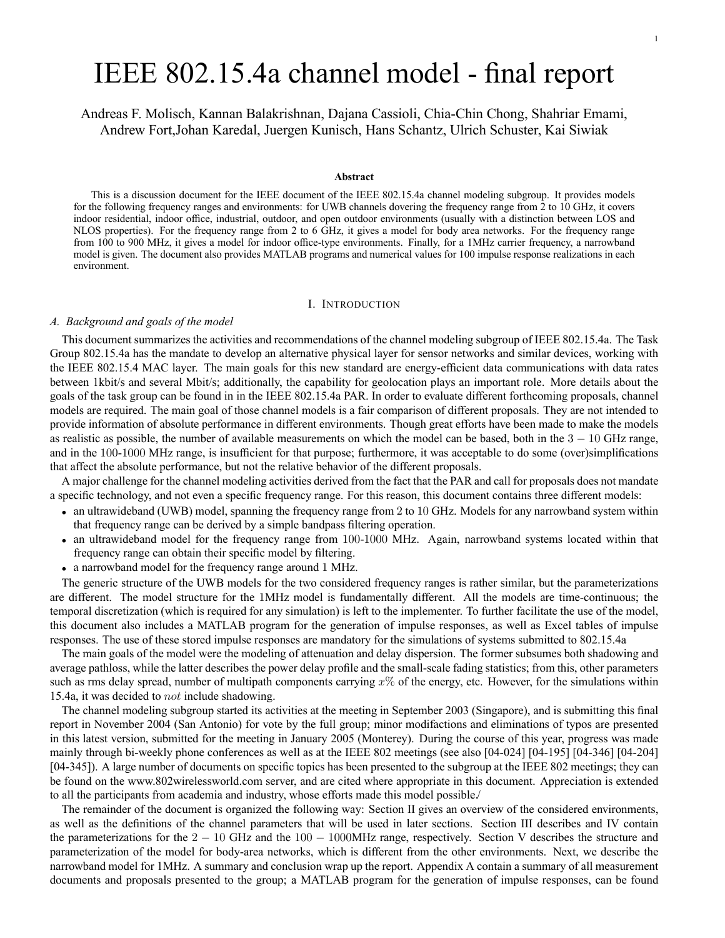# IEEE 802.15.4a channel model - final report

Andreas F. Molisch, Kannan Balakrishnan, Dajana Cassioli, Chia-Chin Chong, Shahriar Emami, Andrew Fort,Johan Karedal, Juergen Kunisch, Hans Schantz, Ulrich Schuster, Kai Siwiak

#### **Abstract**

This is a discussion document for the IEEE document of the IEEE 802.15.4a channel modeling subgroup. It provides models for the following frequency ranges and environments: for UWB channels dovering the frequency range from 2 to 10 GHz, it covers indoor residential, indoor office, industrial, outdoor, and open outdoor environments (usually with a distinction between LOS and NLOS properties). For the frequency range from 2 to 6 GHz, it gives a model for body area networks. For the frequency range from 100 to 900 MHz, it gives a model for indoor office-type environments. Finally, for a 1MHz carrier frequency, a narrowband model is given. The document also provides MATLAB programs and numerical values for 100 impulse response realizations in each environment.

### I. INTRODUCTION

### *A. Background and goals of the model*

This document summarizes the activities and recommendations of the channel modeling subgroup of IEEE 802.15.4a. The Task Group 802.15.4a has the mandate to develop an alternative physical layer for sensor networks and similar devices, working with the IEEE 802.15.4 MAC layer. The main goals for this new standard are energy-efficient data communications with data rates between 1kbit/s and several Mbit/s; additionally, the capability for geolocation plays an important role. More details about the goals of the task group can be found in in the IEEE 802.15.4a PAR. In order to evaluate different forthcoming proposals, channel models are required. The main goal of those channel models is a fair comparison of different proposals. They are not intended to provide information of absolute performance in different environments. Though great efforts have been made to make the models as realistic as possible, the number of available measurements on which the model can be based, both in the  $3 - 10$  GHz range, and in the 100-1000 MHz range, is insufficient for that purpose; furthermore, it was acceptable to do some (over)simplifications that affect the absolute performance, but not the relative behavior of the different proposals.

A major challenge for the channel modeling activities derived from the fact that the PAR and call for proposals does not mandate a specific technology, and not even a specific frequency range. For this reason, this document contains three different models:

- an ultrawideband (UWB) model, spanning the frequency range from 2 to 10 GHz. Models for any narrowband system within that frequency range can be derived by a simple bandpass filtering operation.
- an ultrawideband model for the frequency range from 100-1000 MHz. Again, narrowband systems located within that frequency range can obtain their specific model by filtering.
- a narrowband model for the frequency range around 1 MHz.

The generic structure of the UWB models for the two considered frequency ranges is rather similar, but the parameterizations are different. The model structure for the 1MHz model is fundamentally different. All the models are time-continuous; the temporal discretization (which is required for any simulation) is left to the implementer. To further facilitate the use of the model, this document also includes a MATLAB program for the generation of impulse responses, as well as Excel tables of impulse responses. The use of these stored impulse responses are mandatory for the simulations of systems submitted to 802.15.4a

The main goals of the model were the modeling of attenuation and delay dispersion. The former subsumes both shadowing and average pathloss, while the latter describes the power delay profile and the small-scale fading statistics; from this, other parameters such as rms delay spread, number of multipath components carrying  $x\%$  of the energy, etc. However, for the simulations within 15.4a, it was decided to not include shadowing.

The channel modeling subgroup started its activities at the meeting in September 2003 (Singapore), and is submitting this final report in November 2004 (San Antonio) for vote by the full group; minor modifactions and eliminations of typos are presented in this latest version, submitted for the meeting in January 2005 (Monterey). During the course of this year, progress was made mainly through bi-weekly phone conferences as well as at the IEEE 802 meetings (see also [04-024] [04-195] [04-346] [04-204] [04-345]). A large number of documents on specific topics has been presented to the subgroup at the IEEE 802 meetings; they can be found on the www.802wirelessworld.com server, and are cited where appropriate in this document. Appreciation is extended to all the participants from academia and industry, whose efforts made this model possible/

The remainder of the document is organized the following way: Section II gives an overview of the considered environments, as well as the definitions of the channel parameters that will be used in later sections. Section III describes and IV contain the parameterizations for the  $2 - 10$  GHz and the  $100 - 1000$ MHz range, respectively. Section V describes the structure and parameterization of the model for body-area networks, which is different from the other environments. Next, we describe the narrowband model for 1MHz. A summary and conclusion wrap up the report. Appendix A contain a summary of all measurement documents and proposals presented to the group; a MATLAB program for the generation of impulse responses, can be found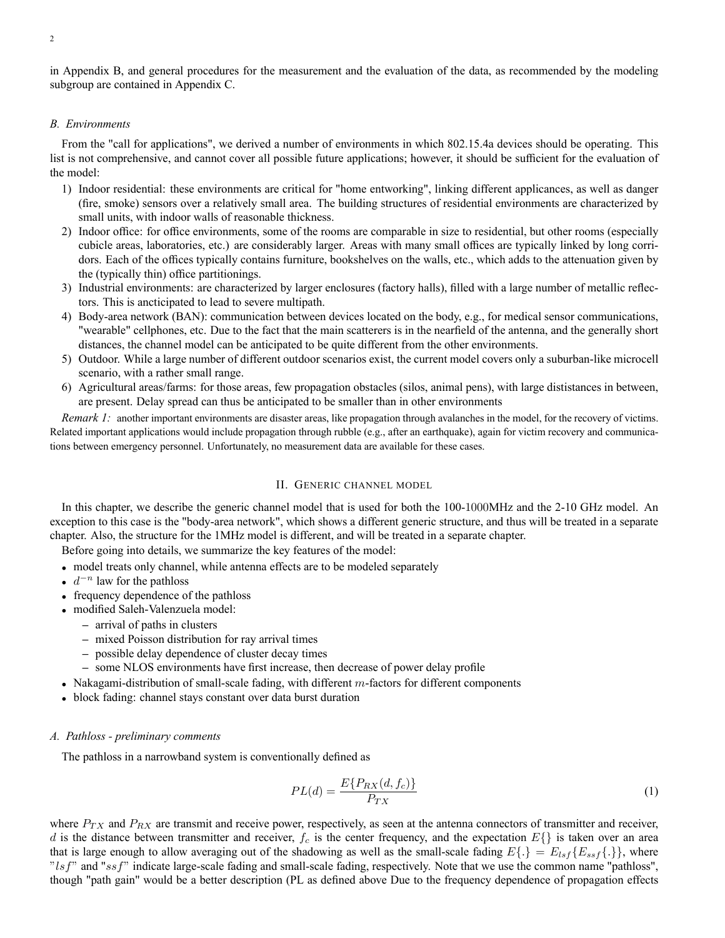in Appendix B, and general procedures for the measurement and the evaluation of the data, as recommended by the modeling subgroup are contained in Appendix C.

### *B. Environments*

From the "call for applications", we derived a number of environments in which 802.15.4a devices should be operating. This list is not comprehensive, and cannot cover all possible future applications; however, it should be sufficient for the evaluation of the model:

- 1) Indoor residential: these environments are critical for "home entworking", linking different applicances, as well as danger (fire, smoke) sensors over a relatively small area. The building structures of residential environments are characterized by small units, with indoor walls of reasonable thickness.
- 2) Indoor office: for office environments, some of the rooms are comparable in size to residential, but other rooms (especially cubicle areas, laboratories, etc.) are considerably larger. Areas with many small offices are typically linked by long corridors. Each of the offices typically contains furniture, bookshelves on the walls, etc., which adds to the attenuation given by the (typically thin) office partitionings.
- 3) Industrial environments: are characterized by larger enclosures (factory halls), filled with a large number of metallic reflectors. This is ancticipated to lead to severe multipath.
- 4) Body-area network (BAN): communication between devices located on the body, e.g., for medical sensor communications, "wearable" cellphones, etc. Due to the fact that the main scatterers is in the nearfield of the antenna, and the generally short distances, the channel model can be anticipated to be quite different from the other environments.
- 5) Outdoor. While a large number of different outdoor scenarios exist, the current model covers only a suburban-like microcell scenario, with a rather small range.
- 6) Agricultural areas/farms: for those areas, few propagation obstacles (silos, animal pens), with large dististances in between, are present. Delay spread can thus be anticipated to be smaller than in other environments

*Remark 1:* another important environments are disaster areas, like propagation through avalanches in the model, for the recovery of victims. Related important applications would include propagation through rubble (e.g., after an earthquake), again for victim recovery and communications between emergency personnel. Unfortunately, no measurement data are available for these cases.

### II. GENERIC CHANNEL MODEL

In this chapter, we describe the generic channel model that is used for both the 100-1000MHz and the 2-10 GHz model. An exception to this case is the "body-area network", which shows a different generic structure, and thus will be treated in a separate chapter. Also, the structure for the 1MHz model is different, and will be treated in a separate chapter.

Before going into details, we summarize the key features of the model:

- model treats only channel, while antenna effects are to be modeled separately
- $d^{-n}$  law for the pathloss
- frequency dependence of the pathloss
- modified Saleh-Valenzuela model:
	- **–** arrival of paths in clusters
	- **–** mixed Poisson distribution for ray arrival times
	- **–** possible delay dependence of cluster decay times
	- **–** some NLOS environments have first increase, then decrease of power delay profile
- Nakagami-distribution of small-scale fading, with different  $m$ -factors for different components
- block fading: channel stays constant over data burst duration

### *A. Pathloss - preliminary comments*

The pathloss in a narrowband system is conventionally defined as

$$
PL(d) = \frac{E\{P_{RX}(d, f_c)\}}{P_{TX}}
$$
\n<sup>(1)</sup>

where  $P_{TX}$  and  $P_{RX}$  are transmit and receive power, respectively, as seen at the antenna connectors of transmitter and receiver, d is the distance between transmitter and receiver,  $f_c$  is the center frequency, and the expectation  $E\{\}\$ is taken over an area that is large enough to allow averaging out of the shadowing as well as the small-scale fading  $E\{.\} = E_{lsf}\{E_{ssf}[\}$ , where " $lsf$ " and " $ssf$ " indicate large-scale fading and small-scale fading, respectively. Note that we use the common name "pathloss", though "path gain" would be a better description (PL as defined above Due to the frequency dependence of propagation effects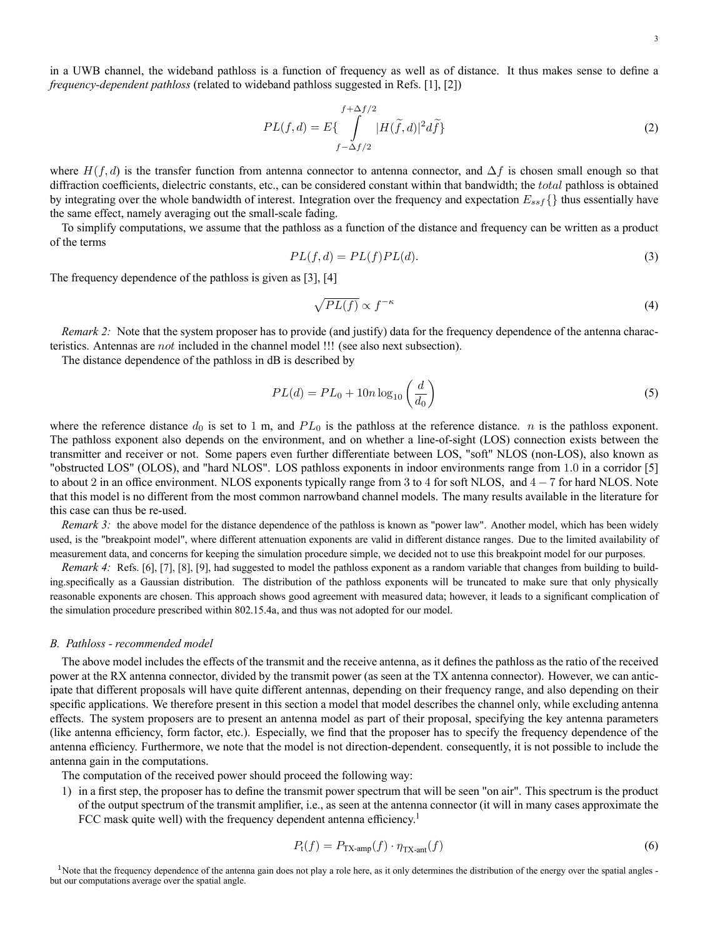3

in a UWB channel, the wideband pathloss is a function of frequency as well as of distance. It thus makes sense to define a *frequency-dependent pathloss* (related to wideband pathloss suggested in Refs. [1], [2])

$$
PL(f,d) = E\{\int_{f-\Delta f/2}^{f+\Delta f/2} |H(\tilde{f},d)|^2 d\tilde{f}\}
$$
\n(2)

where  $H(f, d)$  is the transfer function from antenna connector to antenna connector, and  $\Delta f$  is chosen small enough so that diffraction coefficients, dielectric constants, etc., can be considered constant within that bandwidth; the *total* pathloss is obtained by integrating over the whole bandwidth of interest. Integration over the frequency and expectation  $E_{ssf}$  {} thus essentially have the same effect, namely averaging out the small-scale fading.

To simplify computations, we assume that the pathloss as a function of the distance and frequency can be written as a product of the terms

$$
PL(f,d) = PL(f)PL(d).
$$
\n(3)

The frequency dependence of the pathloss is given as [3], [4]

$$
\sqrt{PL(f)} \propto f^{-\kappa} \tag{4}
$$

*Remark 2:* Note that the system proposer has to provide (and justify) data for the frequency dependence of the antenna characteristics. Antennas are not included in the channel model !!! (see also next subsection).

The distance dependence of the pathloss in dB is described by

$$
PL(d) = PL_0 + 10n \log_{10} \left(\frac{d}{d_0}\right) \tag{5}
$$

where the reference distance  $d_0$  is set to 1 m, and  $PL_0$  is the pathloss at the reference distance. *n* is the pathloss exponent. The pathloss exponent also depends on the environment, and on whether a line-of-sight (LOS) connection exists between the transmitter and receiver or not. Some papers even further differentiate between LOS, "soft" NLOS (non-LOS), also known as "obstructed LOS" (OLOS), and "hard NLOS". LOS pathloss exponents in indoor environments range from 1.0 in a corridor [5] to about 2 in an office environment. NLOS exponents typically range from 3 to 4 for soft NLOS, and  $4 - 7$  for hard NLOS. Note that this model is no different from the most common narrowband channel models. The many results available in the literature for this case can thus be re-used.

*Remark 3:* the above model for the distance dependence of the pathloss is known as "power law". Another model, which has been widely used, is the "breakpoint model", where different attenuation exponents are valid in different distance ranges. Due to the limited availability of measurement data, and concerns for keeping the simulation procedure simple, we decided not to use this breakpoint model for our purposes.

*Remark 4:* Refs. [6], [7], [8], [9], had suggested to model the pathloss exponent as a random variable that changes from building to building.specifically as a Gaussian distribution. The distribution of the pathloss exponents will be truncated to make sure that only physically reasonable exponents are chosen. This approach shows good agreement with measured data; however, it leads to a significant complication of the simulation procedure prescribed within 802.15.4a, and thus was not adopted for our model.

#### *B. Pathloss - recommended model*

The above model includes the effects of the transmit and the receive antenna, as it defines the pathloss as the ratio of the received power at the RX antenna connector, divided by the transmit power (as seen at the TX antenna connector). However, we can anticipate that different proposals will have quite different antennas, depending on their frequency range, and also depending on their specific applications. We therefore present in this section a model that model describes the channel only, while excluding antenna effects. The system proposers are to present an antenna model as part of their proposal, specifying the key antenna parameters (like antenna efficiency, form factor, etc.). Especially, we find that the proposer has to specify the frequency dependence of the antenna efficiency. Furthermore, we note that the model is not direction-dependent. consequently, it is not possible to include the antenna gain in the computations.

The computation of the received power should proceed the following way:

1) in a first step, the proposer has to define the transmit power spectrum that will be seen "on air". This spectrum is the product of the output spectrum of the transmit amplifier, i.e., as seen at the antenna connector (it will in many cases approximate the FCC mask quite well) with the frequency dependent antenna efficiency.<sup>1</sup>

$$
P_{t}(f) = P_{\text{TX-amp}}(f) \cdot \eta_{\text{TX-ant}}(f)
$$
\n(6)

<sup>1</sup>Note that the frequency dependence of the antenna gain does not play a role here, as it only determines the distribution of the energy over the spatial angles but our computations average over the spatial angle.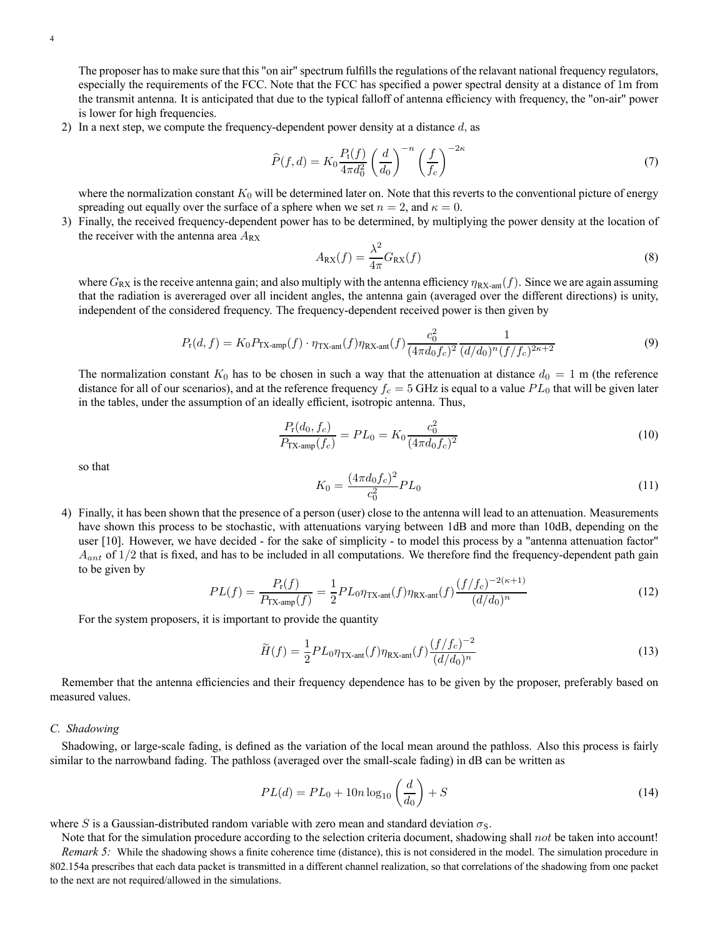The proposer has to make sure that this "on air" spectrum fulfills the regulations of the relavant national frequency regulators, especially the requirements of the FCC. Note that the FCC has specified a power spectral density at a distance of 1m from the transmit antenna. It is anticipated that due to the typical falloff of antenna efficiency with frequency, the "on-air" power is lower for high frequencies.

2) In a next step, we compute the frequency-dependent power density at a distance  $d$ , as

$$
\widehat{P}(f,d) = K_0 \frac{P_t(f)}{4\pi d_0^2} \left(\frac{d}{d_0}\right)^{-n} \left(\frac{f}{f_c}\right)^{-2\kappa} \tag{7}
$$

where the normalization constant  $K_0$  will be determined later on. Note that this reverts to the conventional picture of energy spreading out equally over the surface of a sphere when we set  $n = 2$ , and  $\kappa = 0$ .

3) Finally, the received frequency-dependent power has to be determined, by multiplying the power density at the location of the receiver with the antenna area  $A_{RX}$ 

$$
A_{\rm RX}(f) = \frac{\lambda^2}{4\pi} G_{\rm RX}(f) \tag{8}
$$

where  $G_{\rm RX}$  is the receive antenna gain; and also multiply with the antenna efficiency  $\eta_{\rm RX-ant}(f)$ . Since we are again assuming that the radiation is avereraged over all incident angles, the antenna gain (averaged over the different directions) is unity, independent of the considered frequency. The frequency-dependent received power is then given by

$$
P_{\rm r}(d,f) = K_0 P_{\rm TX-amp}(f) \cdot \eta_{\rm TX-ant}(f) \eta_{\rm RX-ant}(f) \frac{c_0^2}{(4\pi d_0 f_c)^2} \frac{1}{(d/d_0)^n (f/f_c)^{2\kappa + 2}}
$$
(9)

The normalization constant  $K_0$  has to be chosen in such a way that the attenuation at distance  $d_0 = 1$  m (the reference distance for all of our scenarios), and at the reference frequency  $f_c = 5$  GHz is equal to a value  $PL_0$  that will be given later in the tables, under the assumption of an ideally efficient, isotropic antenna. Thus,

$$
\frac{P_{\rm r}(d_0, f_c)}{P_{\rm TX-amp}(f_c)} = PL_0 = K_0 \frac{c_0^2}{(4\pi d_0 f_c)^2}
$$
\n(10)

so that

$$
K_0 = \frac{(4\pi d_0 f_c)^2}{c_0^2} PL_0
$$
\n(11)

4) Finally, it has been shown that the presence of a person (user) close to the antenna will lead to an attenuation. Measurements have shown this process to be stochastic, with attenuations varying between 1dB and more than 10dB, depending on the user [10]. However, we have decided - for the sake of simplicity - to model this process by a "antenna attenuation factor"  $A_{ant}$  of  $1/2$  that is fixed, and has to be included in all computations. We therefore find the frequency-dependent path gain to be given by

$$
PL(f) = \frac{P_{\rm r}(f)}{P_{\rm TX-amp}(f)} = \frac{1}{2}PL_0\eta_{\rm TX-ant}(f)\eta_{\rm RX-ant}(f)\frac{(f/f_c)^{-2(\kappa+1)}}{(d/d_0)^n}
$$
(12)

For the system proposers, it is important to provide the quantity

$$
\widetilde{H}(f) = \frac{1}{2} P L_0 \eta_{\text{TX-ant}}(f) \eta_{\text{RX-ant}}(f) \frac{(f/f_c)^{-2}}{(d/d_0)^n}
$$
\n(13)

Remember that the antenna efficiencies and their frequency dependence has to be given by the proposer, preferably based on measured values.

### *C. Shadowing*

Shadowing, or large-scale fading, is defined as the variation of the local mean around the pathloss. Also this process is fairly similar to the narrowband fading. The pathloss (averaged over the small-scale fading) in dB can be written as

$$
PL(d) = PL_0 + 10n \log_{10} \left(\frac{d}{d_0}\right) + S \tag{14}
$$

where S is a Gaussian-distributed random variable with zero mean and standard deviation  $\sigma_s$ .

Note that for the simulation procedure according to the selection criteria document, shadowing shall not be taken into account! *Remark 5:* While the shadowing shows a finite coherence time (distance), this is not considered in the model. The simulation procedure in 802.154a prescribes that each data packet is transmitted in a different channel realization, so that correlations of the shadowing from one packet to the next are not required/allowed in the simulations.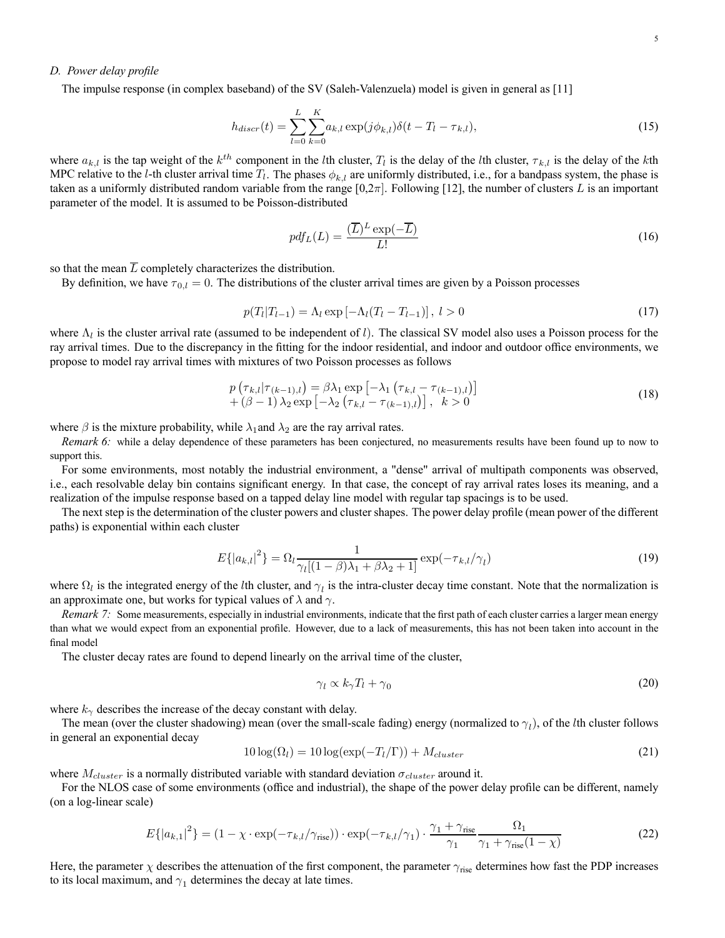### *D. Power delay profile*

The impulse response (in complex baseband) of the SV (Saleh-Valenzuela) model is given in general as [11]

$$
h_{discr}(t) = \sum_{l=0}^{L} \sum_{k=0}^{K} a_{k,l} \exp(j\phi_{k,l}) \delta(t - T_l - \tau_{k,l}),
$$
\n(15)

where  $a_{k,l}$  is the tap weight of the  $k^{th}$  component in the *l*th cluster,  $T_l$  is the delay of the *l*th cluster,  $\tau_{k,l}$  is the delay of the *k*th MPC relative to the *l*-th cluster arrival time  $T_l$ . The phases  $\phi_{k,l}$  are uniformly distributed, i.e., for a bandpass system, the phase is taken as a uniformly distributed random variable from the range  $[0,2\pi]$ . Following [12], the number of clusters L is an important parameter of the model. It is assumed to be Poisson-distributed

$$
pdf_L(L) = \frac{(\overline{L})^L \exp(-\overline{L})}{L!}
$$
\n(16)

so that the mean  $\overline{L}$  completely characterizes the distribution.

By definition, we have  $\tau_{0,l} = 0$ . The distributions of the cluster arrival times are given by a Poisson processes

$$
p(T_l|T_{l-1}) = \Lambda_l \exp\left[-\Lambda_l(T_l - T_{l-1})\right], \ l > 0 \tag{17}
$$

where  $\Lambda_l$  is the cluster arrival rate (assumed to be independent of l). The classical SV model also uses a Poisson process for the ray arrival times. Due to the discrepancy in the fitting for the indoor residential, and indoor and outdoor office environments, we propose to model ray arrival times with mixtures of two Poisson processes as follows

$$
p\left(\tau_{k,l}|\tau_{(k-1),l}\right) = \beta\lambda_1 \exp\left[-\lambda_1 \left(\tau_{k,l} - \tau_{(k-1),l}\right)\right] + (\beta - 1)\lambda_2 \exp\left[-\lambda_2 \left(\tau_{k,l} - \tau_{(k-1),l}\right)\right], \quad k > 0
$$
\n(18)

where  $\beta$  is the mixture probability, while  $\lambda_1$  and  $\lambda_2$  are the ray arrival rates.

*Remark 6:* while a delay dependence of these parameters has been conjectured, no measurements results have been found up to now to support this.

For some environments, most notably the industrial environment, a "dense" arrival of multipath components was observed, i.e., each resolvable delay bin contains significant energy. In that case, the concept of ray arrival rates loses its meaning, and a realization of the impulse response based on a tapped delay line model with regular tap spacings is to be used.

The next step is the determination of the cluster powers and cluster shapes. The power delay profile (mean power of the different paths) is exponential within each cluster

$$
E\{|a_{k,l}|^2\} = \Omega_l \frac{1}{\gamma_l[(1-\beta)\lambda_1 + \beta\lambda_2 + 1]} \exp(-\tau_{k,l}/\gamma_l)
$$
(19)

where  $\Omega_l$  is the integrated energy of the lth cluster, and  $\gamma_l$  is the intra-cluster decay time constant. Note that the normalization is an approximate one, but works for typical values of  $\lambda$  and  $\gamma$ .

*Remark 7:* Some measurements, especially in industrial environments, indicate that the first path of each cluster carries a larger mean energy than what we would expect from an exponential profile. However, due to a lack of measurements, this has not been taken into account in the final model

The cluster decay rates are found to depend linearly on the arrival time of the cluster,

$$
\gamma_l \propto k_\gamma T_l + \gamma_0 \tag{20}
$$

where  $k_{\gamma}$  describes the increase of the decay constant with delay.

The mean (over the cluster shadowing) mean (over the small-scale fading) energy (normalized to  $\gamma_l$ ), of the *l*th cluster follows in general an exponential decay

$$
10\log(\Omega_l) = 10\log(\exp(-T_l/\Gamma)) + M_{cluster}
$$
\n(21)

where  $M_{cluster}$  is a normally distributed variable with standard deviation  $\sigma_{cluster}$  around it.

For the NLOS case of some environments (office and industrial), the shape of the power delay profile can be different, namely (on a log-linear scale)

$$
E\{|a_{k,1}|^2\} = (1 - \chi \cdot \exp(-\tau_{k,l}/\gamma_{\text{rise}})) \cdot \exp(-\tau_{k,l}/\gamma_1) \cdot \frac{\gamma_1 + \gamma_{\text{rise}}}{\gamma_1} \frac{\Omega_1}{\gamma_1 + \gamma_{\text{rise}}(1 - \chi)}\tag{22}
$$

Here, the parameter  $\chi$  describes the attenuation of the first component, the parameter  $\gamma_{\text{rise}}$  determines how fast the PDP increases to its local maximum, and  $\gamma_1$  determines the decay at late times.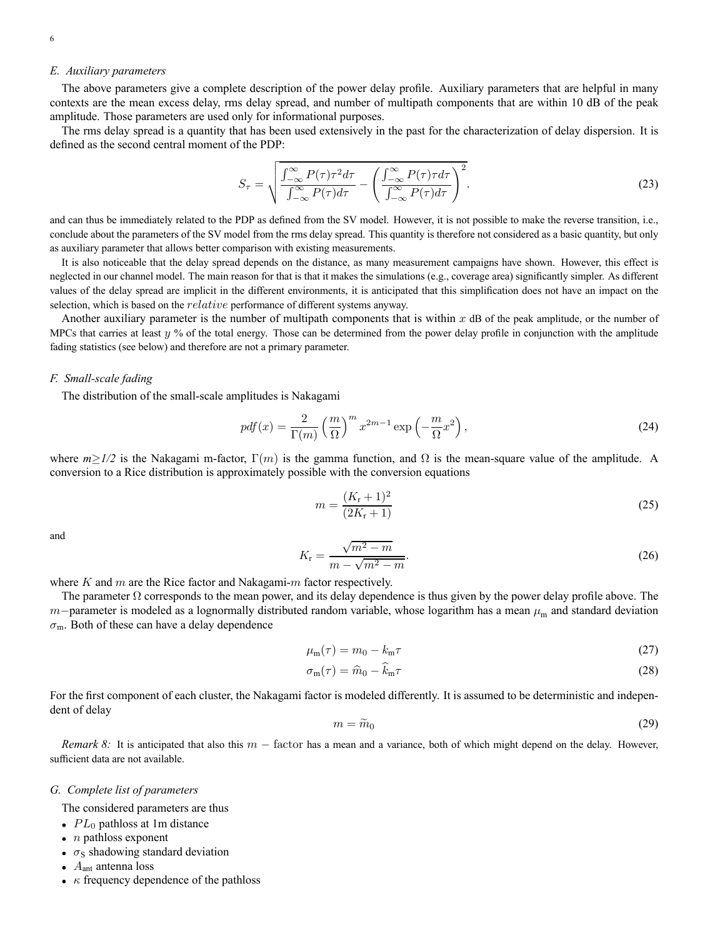### *E. Auxiliary parameters*

The above parameters give a complete description of the power delay profile. Auxiliary parameters that are helpful in many contexts are the mean excess delay, rms delay spread, and number of multipath components that are within 10 dB of the peak amplitude. Those parameters are used only for informational purposes.

The rms delay spread is a quantity that has been used extensively in the past for the characterization of delay dispersion. It is defined as the second central moment of the PDP:

$$
S_{\tau} = \sqrt{\frac{\int_{-\infty}^{\infty} P(\tau) \tau^2 d\tau}{\int_{-\infty}^{\infty} P(\tau) d\tau} - \left(\frac{\int_{-\infty}^{\infty} P(\tau) \tau d\tau}{\int_{-\infty}^{\infty} P(\tau) d\tau}\right)^2}.
$$
(23)

and can thus be immediately related to the PDP as defined from the SV model. However, it is not possible to make the reverse transition, i.e., conclude about the parameters of the SV model from the rms delay spread. This quantity is therefore not considered as a basic quantity, but only as auxiliary parameter that allows better comparison with existing measurements.

It is also noticeable that the delay spread depends on the distance, as many measurement campaigns have shown. However, this effect is neglected in our channel model. The main reason for that is that it makes the simulations (e.g., coverage area) significantly simpler. As different values of the delay spread are implicit in the different environments, it is anticipated that this simplification does not have an impact on the selection, which is based on the *relative* performance of different systems anyway.

Another auxiliary parameter is the number of multipath components that is within  $x$  dB of the peak amplitude, or the number of MPCs that carries at least  $y$  % of the total energy. Those can be determined from the power delay profile in conjunction with the amplitude fading statistics (see below) and therefore are not a primary parameter.

### *F. Small-scale fading*

The distribution of the small-scale amplitudes is Nakagami

$$
pdf(x) = \frac{2}{\Gamma(m)} \left(\frac{m}{\Omega}\right)^m x^{2m-1} \exp\left(-\frac{m}{\Omega}x^2\right),\tag{24}
$$

where  $m \geq 1/2$  is the Nakagami m-factor,  $\Gamma(m)$  is the gamma function, and  $\Omega$  is the mean-square value of the amplitude. A conversion to a Rice distribution is approximately possible with the conversion equations

$$
m = \frac{(K_{\rm r} + 1)^2}{(2K_{\rm r} + 1)}
$$
\n(25)

and

$$
K_{\rm r} = \frac{\sqrt{m^2 - m}}{m - \sqrt{m^2 - m}}.\tag{26}
$$

where  $K$  and  $m$  are the Rice factor and Nakagami- $m$  factor respectively.

The parameter  $\Omega$  corresponds to the mean power, and its delay dependence is thus given by the power delay profile above. The m−parameter is modeled as a lognormally distributed random variable, whose logarithm has a mean  $\mu_m$  and standard deviation  $\sigma_{\rm m}$ . Both of these can have a delay dependence

$$
\mu_{\rm m}(\tau) = m_0 - k_{\rm m}\tau \tag{27}
$$

$$
\sigma_{\rm m}(\tau) = \hat{m}_0 - \hat{k}_{\rm m}\tau \tag{28}
$$

For the first component of each cluster, the Nakagami factor is modeled differently. It is assumed to be deterministic and independent of delay

$$
m = \widetilde{m}_0 \tag{29}
$$

*Remark 8:* It is anticipated that also this m − factor has a mean and a variance, both of which might depend on the delay. However, sufficient data are not available.

#### *G. Complete list of parameters*

The considered parameters are thus

- $PL_0$  pathloss at 1m distance
- $n$  pathloss exponent
- $\sigma_s$  shadowing standard deviation
- $A<sub>ant</sub>$  antenna loss
- $\kappa$  frequency dependence of the pathloss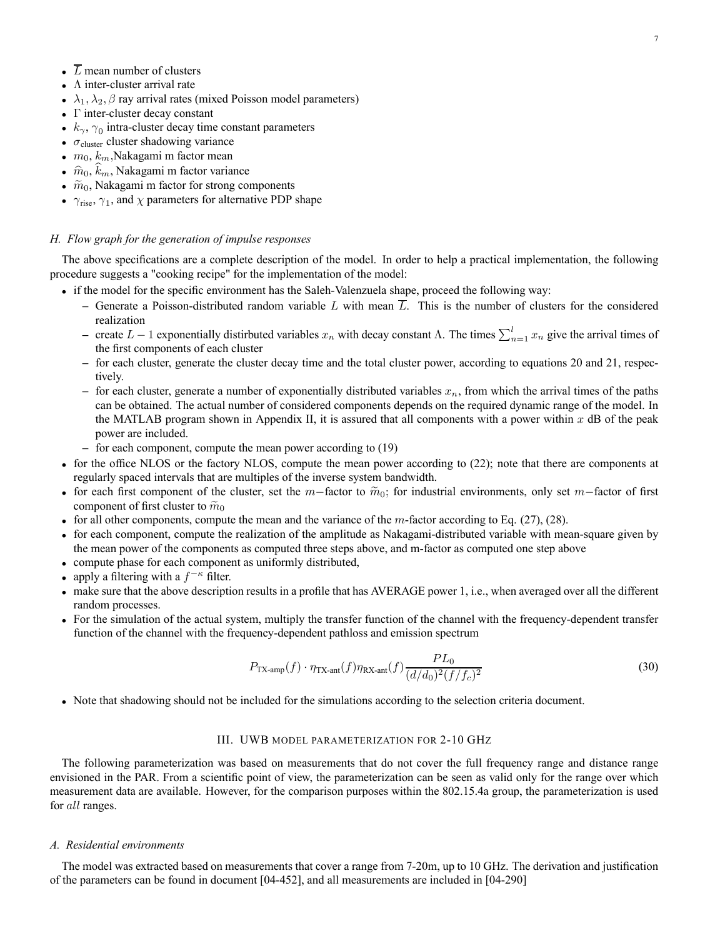- $\overline{L}$  mean number of clusters
- Λ inter-cluster arrival rate
- $\lambda_1, \lambda_2, \beta$  ray arrival rates (mixed Poisson model parameters)
- Γ inter-cluster decay constant
- $k_{\gamma}$ ,  $\gamma_0$  intra-cluster decay time constant parameters
- $\sigma_{\text{cluster}}$  cluster shadowing variance
- $m_0, k_m$ , Nakagami m factor mean
- $\hat{m}_0, k_m$ , Nakagami m factor variance
- $\widetilde{m}_0$ , Nakagami m factor for strong components
- $\gamma_{\text{rise}}$ ,  $\gamma_1$ , and  $\chi$  parameters for alternative PDP shape

### *H. Flow graph for the generation of impulse responses*

The above specifications are a complete description of the model. In order to help a practical implementation, the following procedure suggests a "cooking recipe" for the implementation of the model:

- if the model for the specific environment has the Saleh-Valenzuela shape, proceed the following way:
	- $-$  Generate a Poisson-distributed random variable L with mean  $\overline{L}$ . This is the number of clusters for the considered realization
	- $-$  create  $L 1$  exponentially distirbuted variables  $x_n$  with decay constant Λ. The times  $\sum_{n=1}^{l} x_n$  give the arrival times of the first components of each cluster
	- **–** for each cluster, generate the cluster decay time and the total cluster power, according to equations 20 and 21, respectively.
	- for each cluster, generate a number of exponentially distributed variables  $x_n$ , from which the arrival times of the paths can be obtained. The actual number of considered components depends on the required dynamic range of the model. In the MATLAB program shown in Appendix II, it is assured that all components with a power within  $x$  dB of the peak power are included.
	- **–** for each component, compute the mean power according to (19)
- for the office NLOS or the factory NLOS, compute the mean power according to (22); note that there are components at regularly spaced intervals that are multiples of the inverse system bandwidth.
- for each first component of the cluster, set the m−factor to  $\widetilde{m}_0$ ; for industrial environments, only set m−factor of first component of first cluster to  $\widetilde{m}_0$
- for all other components, compute the mean and the variance of the  $m$ -factor according to Eq. (27), (28).
- for each component, compute the realization of the amplitude as Nakagami-distributed variable with mean-square given by the mean power of the components as computed three steps above, and m-factor as computed one step above
- compute phase for each component as uniformly distributed,
- apply a filtering with a  $f^{-\kappa}$  filter.
- make sure that the above description results in a profile that has AVERAGE power 1, i.e., when averaged over all the different random processes.
- For the simulation of the actual system, multiply the transfer function of the channel with the frequency-dependent transfer function of the channel with the frequency-dependent pathloss and emission spectrum

$$
P_{\text{TX-amp}}(f) \cdot \eta_{\text{TX-ant}}(f) \eta_{\text{RX-ant}}(f) \frac{PL_0}{(d/d_0)^2 (f/f_c)^2}
$$
\n(30)

• Note that shadowing should not be included for the simulations according to the selection criteria document.

### III. UWB MODEL PARAMETERIZATION FOR 2-10 GHZ

The following parameterization was based on measurements that do not cover the full frequency range and distance range envisioned in the PAR. From a scientific point of view, the parameterization can be seen as valid only for the range over which measurement data are available. However, for the comparison purposes within the 802.15.4a group, the parameterization is used for *all* ranges.

### *A. Residential environments*

The model was extracted based on measurements that cover a range from 7-20m, up to 10 GHz. The derivation and justification of the parameters can be found in document [04-452], and all measurements are included in [04-290]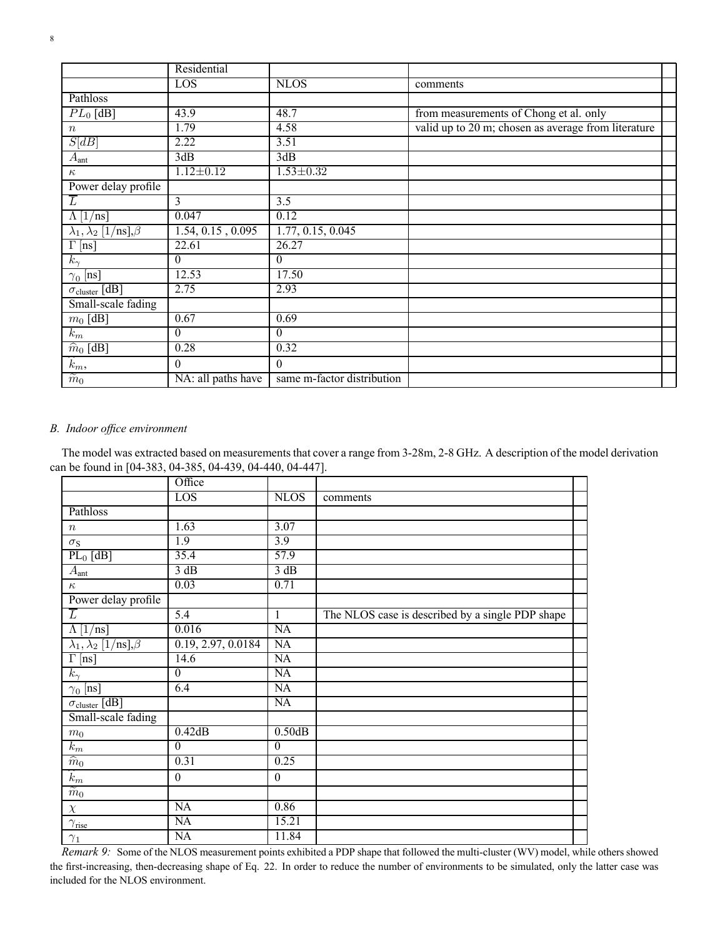| × | ï |  |
|---|---|--|

|                                        | Residential        |                            |                                                     |  |
|----------------------------------------|--------------------|----------------------------|-----------------------------------------------------|--|
|                                        | LOS                | <b>NLOS</b>                | comments                                            |  |
| Pathloss                               |                    |                            |                                                     |  |
| $PL_0$ [dB]                            | 43.9               | 48.7                       | from measurements of Chong et al. only              |  |
| $\boldsymbol{n}$                       | 1.79               | 4.58                       | valid up to 20 m; chosen as average from literature |  |
| S[dB]                                  | 2.22               | 3.51                       |                                                     |  |
| $\overline{A}_{\text{ant}}$            | 3dB                | 3dB                        |                                                     |  |
| $\kappa$                               | $1.12 \pm 0.12$    | $1.53 \pm 0.32$            |                                                     |  |
| Power delay profile                    |                    |                            |                                                     |  |
| $\overline{L}$                         | $\overline{3}$     | 3.5                        |                                                     |  |
| $\Lambda$ [1/ns]                       | 0.047              | 0.12                       |                                                     |  |
| $\lambda_1, \lambda_2$ [1/ns], $\beta$ | 1.54, 0.15, 0.095  | 1.77, 0.15, 0.045          |                                                     |  |
| $\Gamma$ [ns]                          | 22.61              | 26.27                      |                                                     |  |
| $k_{\gamma}$                           | $\Omega$           | $\theta$                   |                                                     |  |
| $\gamma_0$ [ns]                        | 12.53              | 17.50                      |                                                     |  |
| $\sigma_{cluster}$ [dB]                | 2.75               | 2.93                       |                                                     |  |
| Small-scale fading                     |                    |                            |                                                     |  |
| $m_0$ [dB]                             | 0.67               | 0.69                       |                                                     |  |
| $k_m$                                  | $\Omega$           | $\theta$                   |                                                     |  |
| $\widehat{m}_0$ [dB]                   | 0.28               | 0.32                       |                                                     |  |
| $\widehat{k}_m$ ,                      | $\theta$           | $\Omega$                   |                                                     |  |
| $\widetilde{m}_0$                      | NA: all paths have | same m-factor distribution |                                                     |  |

### *B. Indoor office environment*

The model was extracted based on measurements that cover a range from 3-28m, 2-8 GHz. A description of the model derivation can be found in [04-383, 04-385, 04-439, 04-440, 04-447].

|                                                  | Office             |                        |                                                  |  |
|--------------------------------------------------|--------------------|------------------------|--------------------------------------------------|--|
|                                                  | LOS                | <b>NLOS</b>            | comments                                         |  |
| Pathloss                                         |                    |                        |                                                  |  |
| $\, n$                                           | 1.63               | 3.07                   |                                                  |  |
| $\sigma_{\rm S}$                                 | 1.9                | $\overline{3.9}$       |                                                  |  |
| $PL_0$ [dB]                                      | 35.4               | 57.9                   |                                                  |  |
| $A_{\rm ant}$                                    | 3 dB               | 3 dB                   |                                                  |  |
| $\kappa$                                         | 0.03               | 0.71                   |                                                  |  |
| Power delay profile                              |                    |                        |                                                  |  |
| $\overline{L}$                                   | $\overline{5.4}$   | 1                      | The NLOS case is described by a single PDP shape |  |
| $\Lambda$ [1/ns]                                 | 0.016              | $\overline{NA}$        |                                                  |  |
| $\lambda_1, \overline{\lambda_2$ [1/ns], $\beta$ | 0.19, 2.97, 0.0184 | $\overline{NA}$        |                                                  |  |
| $\Gamma$ [ns]                                    | 14.6               | $\overline{\text{NA}}$ |                                                  |  |
| $k_{\gamma}$                                     | $\overline{0}$     | $\overline{NA}$        |                                                  |  |
| $\gamma_0$ [ns]                                  | 6.4                | $\overline{NA}$        |                                                  |  |
| $\sigma_{cluster}$ [dB]                          |                    | NA                     |                                                  |  |
| Small-scale fading                               |                    |                        |                                                  |  |
| m <sub>0</sub>                                   | 0.42dB             | 0.50dB                 |                                                  |  |
| $k_m$                                            | $\overline{0}$     | $\theta$               |                                                  |  |
| $\widehat{m}_0$                                  | 0.31               | 0.25                   |                                                  |  |
| $\widehat{k}_m$                                  | $\boldsymbol{0}$   | $\boldsymbol{0}$       |                                                  |  |
| $\widetilde m_0$                                 |                    |                        |                                                  |  |
| $\chi$                                           | NA                 | 0.86                   |                                                  |  |
| $\gamma_{\rm rise}$                              | NA                 | 15.21                  |                                                  |  |
| $\gamma_1$                                       | <b>NA</b>          | 11.84                  |                                                  |  |
|                                                  |                    |                        |                                                  |  |

*Remark 9:* Some of the NLOS measurement points exhibited a PDP shape that followed the multi-cluster (WV) model, while others showed the first-increasing, then-decreasing shape of Eq. 22. In order to reduce the number of environments to be simulated, only the latter case was included for the NLOS environment.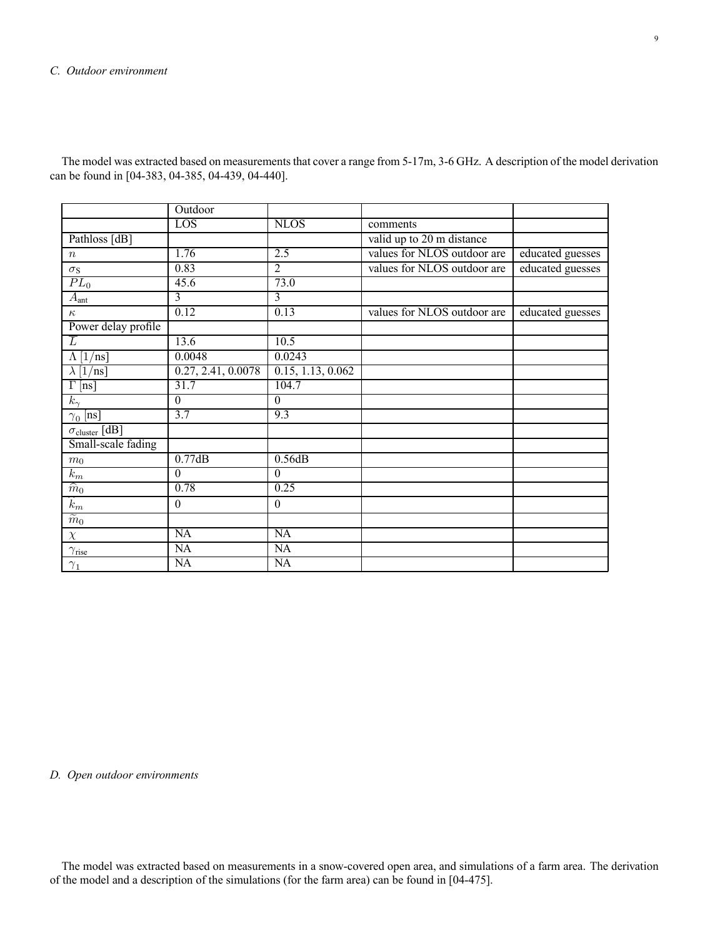### *C. Outdoor environment*

|                              | Outdoor                |                        |                             |                  |
|------------------------------|------------------------|------------------------|-----------------------------|------------------|
|                              | LOS                    | <b>NLOS</b>            | comments                    |                  |
| Pathloss [dB]                |                        |                        | valid up to 20 m distance   |                  |
| $\boldsymbol{n}$             | 1.76                   | 2.5                    | values for NLOS outdoor are | educated guesses |
| $\sigma_{\rm S}$             | 0.83                   | $\overline{2}$         | values for NLOS outdoor are | educated guesses |
| $PL_0$                       | 45.6                   | 73.0                   |                             |                  |
| $A_{\text{ant}}$             | 3                      | 3                      |                             |                  |
| $\kappa$                     | 0.12                   | 0.13                   | values for NLOS outdoor are | educated guesses |
| Power delay profile          |                        |                        |                             |                  |
| $\overline{L}$               | 13.6                   | 10.5                   |                             |                  |
| $\Lambda$ [1/ns]             | 0.0048                 | 0.0243                 |                             |                  |
| $\lambda$ [1/ns]             | 0.27, 2.41, 0.0078     | 0.15, 1.13, 0.062      |                             |                  |
| $\overline{\Gamma}$ [ns]     | 31.7                   | 104.7                  |                             |                  |
| $k_{\gamma}$                 | $\theta$               | $\theta$               |                             |                  |
| $\gamma_0$ [ns]              | $\overline{3.7}$       | 9.3                    |                             |                  |
| $\sigma_{cluster}$ [dB]      |                        |                        |                             |                  |
| Small-scale fading           |                        |                        |                             |                  |
| $\,m_0$                      | 0.77dB                 | 0.56dB                 |                             |                  |
| $\overline{k_{m}}$           | $\Omega$               | $\Omega$               |                             |                  |
| $\widehat{m}_0$              | 0.78                   | 0.25                   |                             |                  |
| $\widehat{k_m}$              | $\boldsymbol{0}$       | $\boldsymbol{0}$       |                             |                  |
| $\overline{\widetilde{m}_0}$ |                        |                        |                             |                  |
| $\chi$                       | $\overline{NA}$        | $\overline{NA}$        |                             |                  |
| $\gamma_{\rm rise}$          | $\overline{\text{NA}}$ | $\overline{\text{NA}}$ |                             |                  |
| $\gamma_1$                   | $\overline{NA}$        | $\overline{NA}$        |                             |                  |

The model was extracted based on measurements that cover a range from 5-17m, 3-6 GHz. A description of the model derivation can be found in [04-383, 04-385, 04-439, 04-440].

### *D. Open outdoor environments*

The model was extracted based on measurements in a snow-covered open area, and simulations of a farm area. The derivation of the model and a description of the simulations (for the farm area) can be found in [04-475].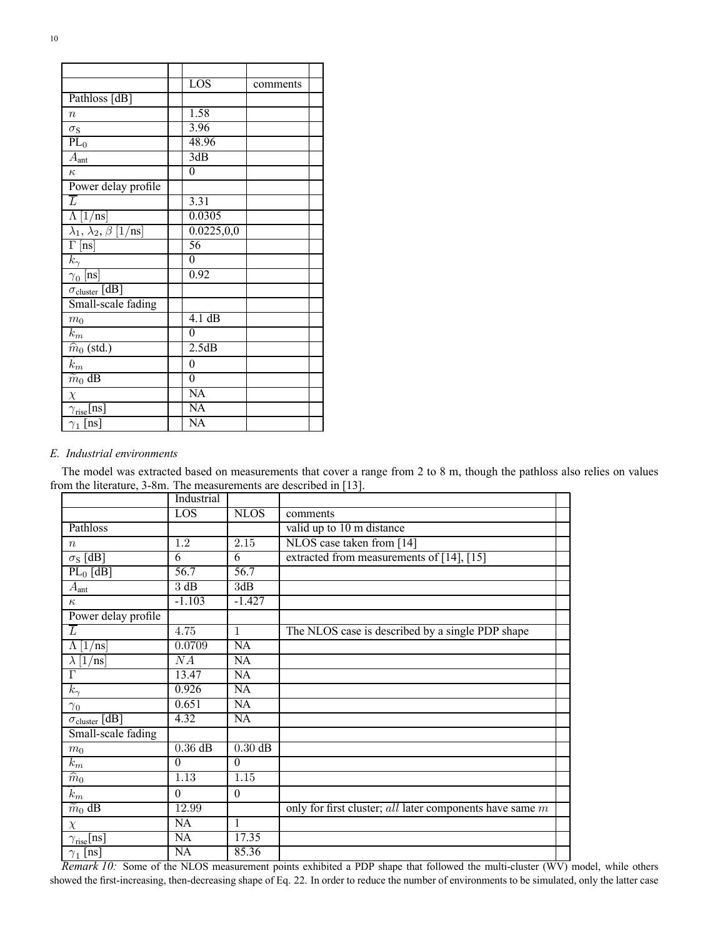|                                      | $\overline{LOS}$       | comments |  |
|--------------------------------------|------------------------|----------|--|
| Pathloss [dB]                        |                        |          |  |
| $\boldsymbol{n}$                     | 1.58                   |          |  |
| $\sigma_{\rm S}$                     | 3.96                   |          |  |
| $\overline{PL}_0$                    | 48.96                  |          |  |
| $\overline{A}_{\text{ant}}$          | 3dB                    |          |  |
| $\kappa$                             | $\boldsymbol{0}$       |          |  |
| Power delay profile                  |                        |          |  |
| $\overline{L}$                       | 3.31                   |          |  |
| $\overline{\Lambda}$ [1/ns]          | 0.0305                 |          |  |
| $\lambda_1, \lambda_2, \beta$ [1/ns] | 0.0225, 0.0            |          |  |
| $\overline{\Gamma}$ [ns]             | $\overline{56}$        |          |  |
| $k_\gamma$                           | $\boldsymbol{0}$       |          |  |
| $\gamma_0$ [ns]                      | 0.92                   |          |  |
| $\sigma_{\text{cluster}}$ [dB]       |                        |          |  |
| Small-scale fading                   |                        |          |  |
| $m_0$                                | $4.1 \text{ dB}$       |          |  |
| $k_{\mathfrak{m}}$                   | $\Omega$               |          |  |
| $\widehat{m}_0$ (std.)               | 2.5dB                  |          |  |
| $\overline{\hat{k}_m}$               | $\boldsymbol{0}$       |          |  |
| $\overline{\widetilde{m}_0}$ dB      | $\boldsymbol{0}$       |          |  |
| $\chi$                               | $\overline{NA}$        |          |  |
| $\gamma_{\rm rise}$ [ns]             | $\overline{\text{NA}}$ |          |  |
| $\gamma_1$ [ns]                      | $\overline{NA}$        |          |  |

### *E. Industrial environments*

The model was extracted based on measurements that cover a range from 2 to 8 m, though the pathloss also relies on values from the literature, 3-8m. The measurements are described in [13].

|                             | Industrial      |                   |                                                          |  |
|-----------------------------|-----------------|-------------------|----------------------------------------------------------|--|
|                             | LOS             | <b>NLOS</b>       | comments                                                 |  |
| Pathloss                    |                 |                   | valid up to 10 m distance                                |  |
| $\boldsymbol{n}$            | 1.2             | 2.15              | NLOS case taken from [14]                                |  |
| $\overline{\sigma_S$ [dB]   | 6               | 6                 | extracted from measurements of [14], [15]                |  |
| $PL_0$ [dB]                 | 56.7            | $\overline{56.7}$ |                                                          |  |
| $A_{\rm ant}$               | 3 dB            | 3dB               |                                                          |  |
| $\kappa$                    | $-1.103$        | $-1.427$          |                                                          |  |
| Power delay profile         |                 |                   |                                                          |  |
| $\overline{L}$              | 4.75            | $\mathbf{1}$      | The NLOS case is described by a single PDP shape         |  |
| [1/ns]<br>Λ                 | 0.0709          | NA                |                                                          |  |
| $\lambda$  1/ns]            | $\overline{NA}$ | NA                |                                                          |  |
| $\Gamma$                    | 13.47           | NA                |                                                          |  |
| $k_{\gamma}$                | 0.926           | NA                |                                                          |  |
| $\gamma_0$                  | 0.651           | NA                |                                                          |  |
| $\sigma_{cluster}$ [dB]     | 4.32            | NA                |                                                          |  |
| Small-scale fading          |                 |                   |                                                          |  |
| m <sub>0</sub>              | $0.36$ dB       | $0.30$ dB         |                                                          |  |
| $k_m$                       | $\theta$        | $\Omega$          |                                                          |  |
| $\widehat{m}_0$             | 1.13            | $\overline{1.15}$ |                                                          |  |
| $\widehat{k}_m$             | $\theta$        | $\theta$          |                                                          |  |
| $\widetilde{m}_0$ dB        | 12.99           |                   | only for first cluster; all later components have same m |  |
| $\chi$                      | NA              | 1                 |                                                          |  |
| $\gamma_{\text{rise}}$ [ns] | NA              | 17.35             |                                                          |  |
| $\gamma_1$ [ns]             | NA              | 85.36             |                                                          |  |

*Remark 10:* Some of the NLOS measurement points exhibited a PDP shape that followed the multi-cluster (WV) model, while others showed the first-increasing, then-decreasing shape of Eq. 22. In order to reduce the number of environments to be simulated, only the latter case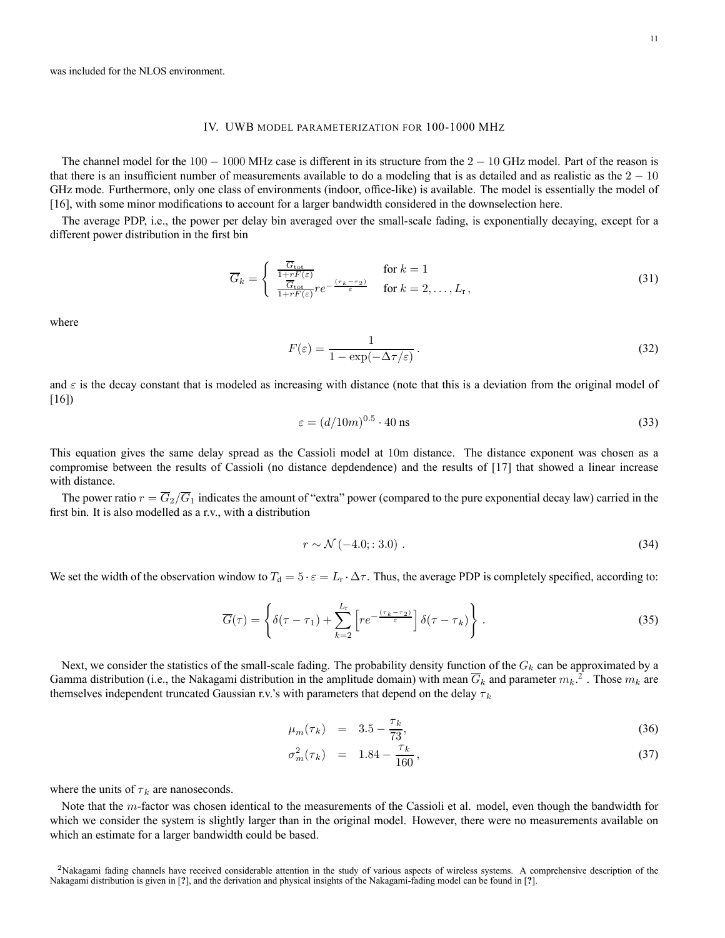#### IV. UWB MODEL PARAMETERIZATION FOR 100-1000 MHZ

The channel model for the  $100 - 1000$  MHz case is different in its structure from the  $2 - 10$  GHz model. Part of the reason is that there is an insufficient number of measurements available to do a modeling that is as detailed and as realistic as the  $2 - 10$ GHz mode. Furthermore, only one class of environments (indoor, office-like) is available. The model is essentially the model of [16], with some minor modifications to account for a larger bandwidth considered in the downselection here.

The average PDP, i.e., the power per delay bin averaged over the small-scale fading, is exponentially decaying, except for a different power distribution in the first bin

$$
\overline{G}_k = \begin{cases} \frac{\overline{G}_{\text{tot}}}{1 + rF(\varepsilon)} & \text{for } k = 1\\ \frac{\overline{G}_{\text{tot}}}{1 + rF(\varepsilon)} r e^{-\frac{(\tau_k - \tau_2)}{\varepsilon}} & \text{for } k = 2, \dots, L_r, \end{cases}
$$
(31)

where

$$
F(\varepsilon) = \frac{1}{1 - \exp(-\Delta \tau/\varepsilon)}.
$$
\n(32)

and  $\varepsilon$  is the decay constant that is modeled as increasing with distance (note that this is a deviation from the original model of [16])

$$
\varepsilon = (d/10m)^{0.5} \cdot 40 \text{ ns}
$$
 (33)

This equation gives the same delay spread as the Cassioli model at 10m distance. The distance exponent was chosen as a compromise between the results of Cassioli (no distance depdendence) and the results of [17] that showed a linear increase with distance.

The power ratio  $r = \overline{G}_2/\overline{G}_1$  indicates the amount of "extra" power (compared to the pure exponential decay law) carried in the first bin. It is also modelled as a r.v., with a distribution

$$
r \sim \mathcal{N}\left(-4.0; : 3.0\right). \tag{34}
$$

We set the width of the observation window to  $T_d = 5 \cdot \varepsilon = L_r \cdot \Delta \tau$ . Thus, the average PDP is completely specified, according to:

$$
\overline{G}(\tau) = \left\{ \delta(\tau - \tau_1) + \sum_{k=2}^{L_{\tau}} \left[ r e^{-\frac{(\tau_k - \tau_2)}{\varepsilon}} \right] \delta(\tau - \tau_k) \right\}.
$$
\n(35)

Next, we consider the statistics of the small-scale fading. The probability density function of the  $G_k$  can be approximated by a Gamma distribution (i.e., the Nakagami distribution in the amplitude domain) with mean  $\overline{G}_k$  and parameter  $m_k$ .<sup>2</sup>. Those  $m_k$  are themselves independent truncated Gaussian r.v.'s with parameters that depend on the delay  $\tau_k$ 

$$
\mu_m(\tau_k) = 3.5 - \frac{\tau_k}{73},\tag{36}
$$

$$
\sigma_m^2(\tau_k) = 1.84 - \frac{\tau_k}{160}, \qquad (37)
$$

where the units of  $\tau_k$  are nanoseconds.

Note that the *m*-factor was chosen identical to the measurements of the Cassioli et al. model, even though the bandwidth for which we consider the system is slightly larger than in the original model. However, there were no measurements available on which an estimate for a larger bandwidth could be based.

<sup>&</sup>lt;sup>2</sup>Nakagami fading channels have received considerable attention in the study of various aspects of wireless systems. A comprehensive description of the Nakagami distribution is given in [**?**], and the derivation and physical insights of the Nakagami-fading model can be found in [**?**].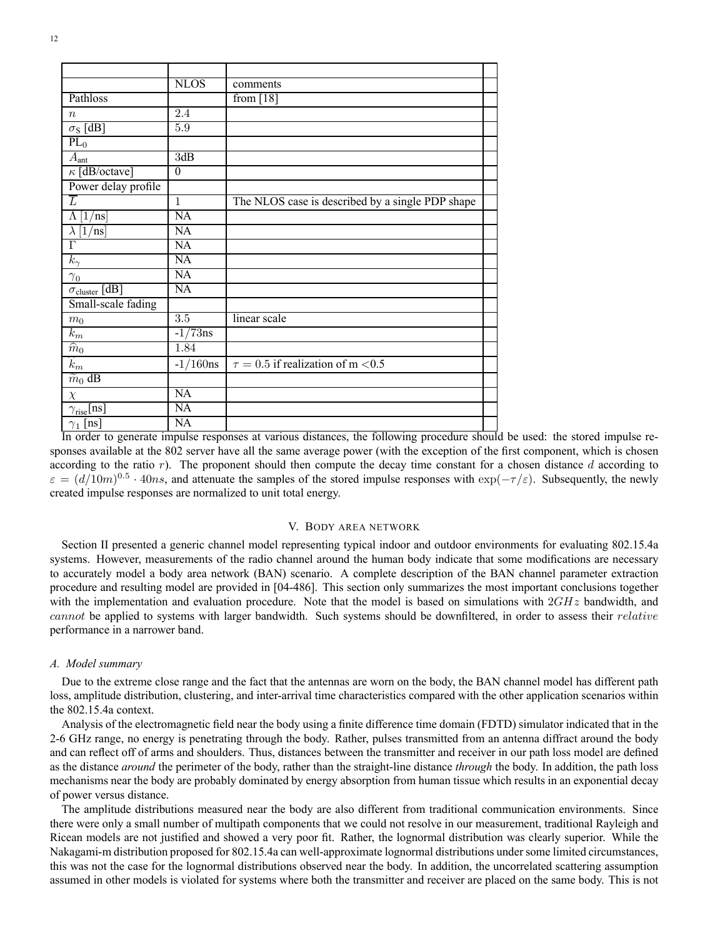|                                    | <b>NLOS</b>      | comments                                         |  |
|------------------------------------|------------------|--------------------------------------------------|--|
| Pathloss                           |                  | from $[18]$                                      |  |
| $\boldsymbol{n}$                   | 2.4              |                                                  |  |
| $\overline{\sigma_S$ [dB]          | 5.9              |                                                  |  |
| $PL_0$                             |                  |                                                  |  |
| $A_{\text{ant}}$                   | 3dB              |                                                  |  |
| $\kappa$ [dB/octave]               | $\theta$         |                                                  |  |
| Power delay profile                |                  |                                                  |  |
| T                                  | $\mathbf{1}$     | The NLOS case is described by a single PDP shape |  |
| 1<br>$/$ ns <br>Λ                  | $\overline{NA}$  |                                                  |  |
| $^{\prime}$ nsl<br>$\lambda$<br>11 | $\overline{NA}$  |                                                  |  |
| $\overline{\Gamma}$                | $\overline{NA}$  |                                                  |  |
| $k_{\gamma}$                       | NA               |                                                  |  |
| $\gamma_0$                         | NA               |                                                  |  |
| $\sigma_{cluster}$ [dB]            | NA               |                                                  |  |
| Small-scale fading                 |                  |                                                  |  |
| m <sub>0</sub>                     | $\overline{3.5}$ | linear scale                                     |  |
| $k_m$                              | $-1/73$ ns       |                                                  |  |
| $\overline{\hat{m}_0}$             | 1.84             |                                                  |  |
| $\widehat{k}_m$                    | $-1/160$ ns      | $\tau = 0.5$ if realization of m <0.5            |  |
| $\overline{\widetilde{m}_0}$ dB    |                  |                                                  |  |
| $\chi$                             | $\overline{NA}$  |                                                  |  |
| $\gamma_{\text{rise}}$ [ns]        | NA               |                                                  |  |
| $\gamma_1$ [ns]                    | NA               |                                                  |  |

In order to generate impulse responses at various distances, the following procedure should be used: the stored impulse responses available at the 802 server have all the same average power (with the exception of the first component, which is chosen according to the ratio  $r$ ). The proponent should then compute the decay time constant for a chosen distance  $d$  according to  $\varepsilon = (d/10m)^{0.5} \cdot 40ns$ , and attenuate the samples of the stored impulse responses with  $\exp(-\tau/\varepsilon)$ . Subsequently, the newly created impulse responses are normalized to unit total energy.

### V. BODY AREA NETWORK

Section II presented a generic channel model representing typical indoor and outdoor environments for evaluating 802.15.4a systems. However, measurements of the radio channel around the human body indicate that some modifications are necessary to accurately model a body area network (BAN) scenario. A complete description of the BAN channel parameter extraction procedure and resulting model are provided in [04-486]. This section only summarizes the most important conclusions together with the implementation and evaluation procedure. Note that the model is based on simulations with  $2GHz$  bandwidth, and cannot be applied to systems with larger bandwidth. Such systems should be downfiltered, in order to assess their relative performance in a narrower band.

### *A. Model summary*

Due to the extreme close range and the fact that the antennas are worn on the body, the BAN channel model has different path loss, amplitude distribution, clustering, and inter-arrival time characteristics compared with the other application scenarios within the 802.15.4a context.

Analysis of the electromagnetic field near the body using a finite difference time domain (FDTD) simulator indicated that in the 2-6 GHz range, no energy is penetrating through the body. Rather, pulses transmitted from an antenna diffract around the body and can reflect off of arms and shoulders. Thus, distances between the transmitter and receiver in our path loss model are defined as the distance *around* the perimeter of the body, rather than the straight-line distance *through* the body. In addition, the path loss mechanisms near the body are probably dominated by energy absorption from human tissue which results in an exponential decay of power versus distance.

The amplitude distributions measured near the body are also different from traditional communication environments. Since there were only a small number of multipath components that we could not resolve in our measurement, traditional Rayleigh and Ricean models are not justified and showed a very poor fit. Rather, the lognormal distribution was clearly superior. While the Nakagami-m distribution proposed for 802.15.4a can well-approximate lognormal distributions under some limited circumstances, this was not the case for the lognormal distributions observed near the body. In addition, the uncorrelated scattering assumption assumed in other models is violated for systems where both the transmitter and receiver are placed on the same body. This is not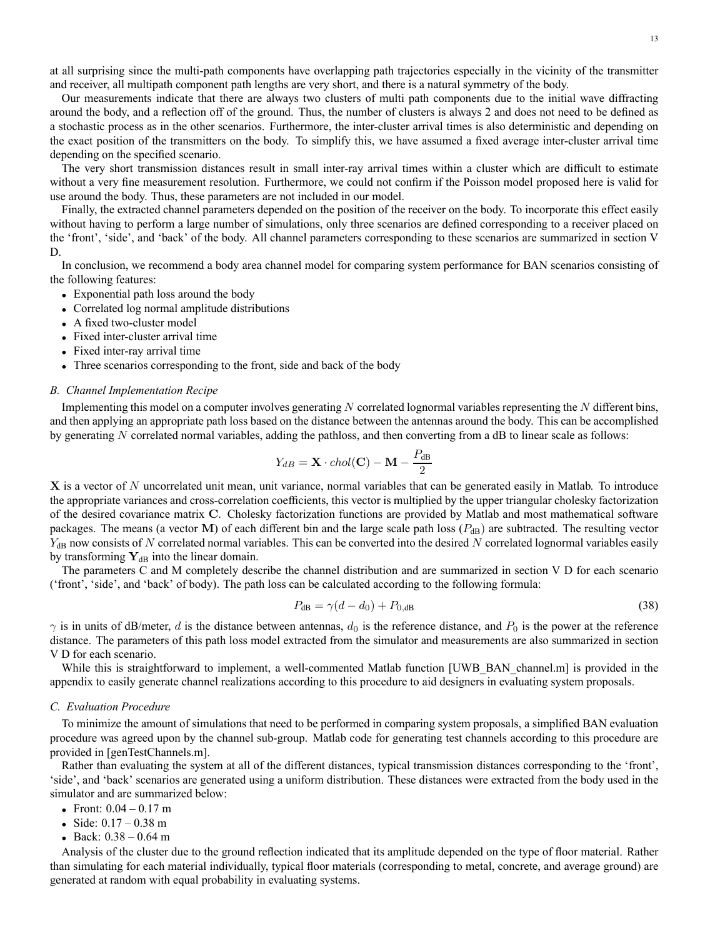at all surprising since the multi-path components have overlapping path trajectories especially in the vicinity of the transmitter and receiver, all multipath component path lengths are very short, and there is a natural symmetry of the body.

Our measurements indicate that there are always two clusters of multi path components due to the initial wave diffracting around the body, and a reflection off of the ground. Thus, the number of clusters is always 2 and does not need to be defined as a stochastic process as in the other scenarios. Furthermore, the inter-cluster arrival times is also deterministic and depending on the exact position of the transmitters on the body. To simplify this, we have assumed a fixed average inter-cluster arrival time depending on the specified scenario.

The very short transmission distances result in small inter-ray arrival times within a cluster which are difficult to estimate without a very fine measurement resolution. Furthermore, we could not confirm if the Poisson model proposed here is valid for use around the body. Thus, these parameters are not included in our model.

Finally, the extracted channel parameters depended on the position of the receiver on the body. To incorporate this effect easily without having to perform a large number of simulations, only three scenarios are defined corresponding to a receiver placed on the 'front', 'side', and 'back' of the body. All channel parameters corresponding to these scenarios are summarized in section V D.

In conclusion, we recommend a body area channel model for comparing system performance for BAN scenarios consisting of the following features:

- Exponential path loss around the body
- Correlated log normal amplitude distributions
- A fixed two-cluster model
- Fixed inter-cluster arrival time
- Fixed inter-ray arrival time
- Three scenarios corresponding to the front, side and back of the body

### *B. Channel Implementation Recipe*

Implementing this model on a computer involves generating  $N$  correlated lognormal variables representing the  $N$  different bins, and then applying an appropriate path loss based on the distance between the antennas around the body. This can be accomplished by generating N correlated normal variables, adding the pathloss, and then converting from a dB to linear scale as follows:

$$
Y_{dB} = \mathbf{X} \cdot \text{chol}(\mathbf{C}) - \mathbf{M} - \frac{P_{dB}}{2}
$$

X is a vector of N uncorrelated unit mean, unit variance, normal variables that can be generated easily in Matlab. To introduce the appropriate variances and cross-correlation coefficients, this vector is multiplied by the upper triangular cholesky factorization of the desired covariance matrix C. Cholesky factorization functions are provided by Matlab and most mathematical software packages. The means (a vector M) of each different bin and the large scale path loss  $(P_{dB})$  are subtracted. The resulting vector  $Y_{dB}$  now consists of N correlated normal variables. This can be converted into the desired N correlated lognormal variables easily by transforming  $Y_{dB}$  into the linear domain.

The parameters C and M completely describe the channel distribution and are summarized in section V D for each scenario ('front', 'side', and 'back' of body). The path loss can be calculated according to the following formula:

$$
P_{\rm dB} = \gamma (d - d_0) + P_{0,\rm dB} \tag{38}
$$

 $\gamma$  is in units of dB/meter, d is the distance between antennas,  $d_0$  is the reference distance, and  $P_0$  is the power at the reference distance. The parameters of this path loss model extracted from the simulator and measurements are also summarized in section V D for each scenario.

While this is straightforward to implement, a well-commented Matlab function [UWB\_BAN\_channel.m] is provided in the appendix to easily generate channel realizations according to this procedure to aid designers in evaluating system proposals.

### *C. Evaluation Procedure*

To minimize the amount of simulations that need to be performed in comparing system proposals, a simplified BAN evaluation procedure was agreed upon by the channel sub-group. Matlab code for generating test channels according to this procedure are provided in [genTestChannels.m].

Rather than evaluating the system at all of the different distances, typical transmission distances corresponding to the 'front', 'side', and 'back' scenarios are generated using a uniform distribution. These distances were extracted from the body used in the simulator and are summarized below:

- Front:  $0.04 0.17$  m
- Side:  $0.17 0.38$  m
- Back:  $0.38 0.64$  m

Analysis of the cluster due to the ground reflection indicated that its amplitude depended on the type of floor material. Rather than simulating for each material individually, typical floor materials (corresponding to metal, concrete, and average ground) are generated at random with equal probability in evaluating systems.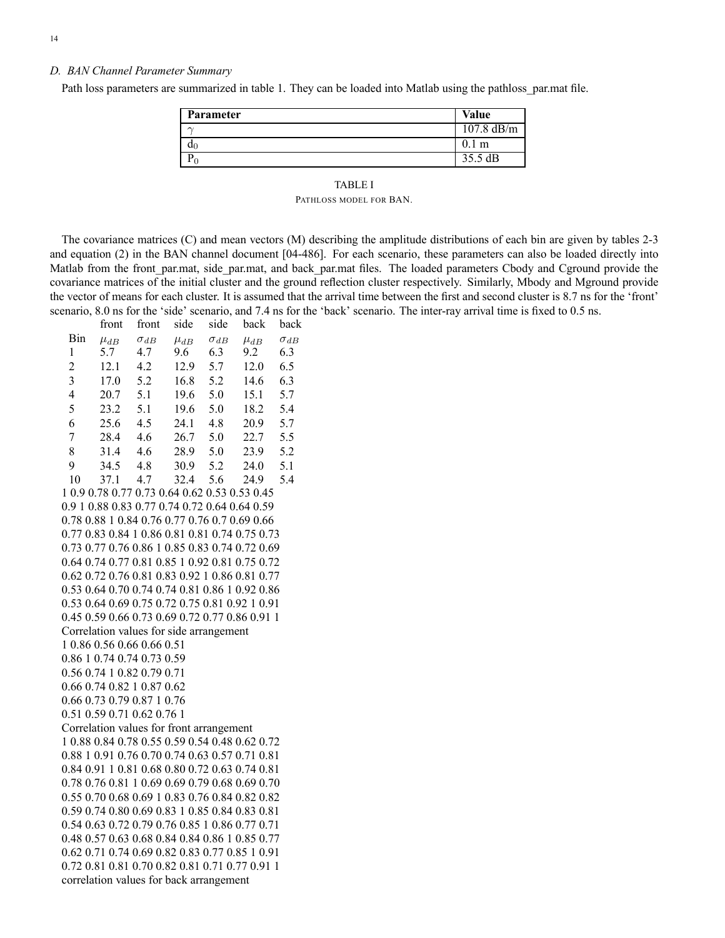### *D. BAN Channel Parameter Summary*

Path loss parameters are summarized in table 1. They can be loaded into Matlab using the pathloss\_par.mat file.

| Parameter      | Value             |
|----------------|-------------------|
| $\sim$         | 107.8 dB/m        |
| $\mathsf{u}_0$ | 0.1 <sub>m</sub>  |
| $\cup$         | $35.5 \text{ dB}$ |

### TABLE I

PATHLOSS MODEL FOR BAN.

The covariance matrices (C) and mean vectors (M) describing the amplitude distributions of each bin are given by tables 2-3 and equation (2) in the BAN channel document [04-486]. For each scenario, these parameters can also be loaded directly into Matlab from the front par.mat, side par.mat, and back par.mat files. The loaded parameters Cbody and Cground provide the covariance matrices of the initial cluster and the ground reflection cluster respectively. Similarly, Mbody and Mground provide the vector of means for each cluster. It is assumed that the arrival time between the first and second cluster is 8.7 ns for the 'front' scenario, 8.0 ns for the 'side' scenario, and 7.4 ns for the 'back' scenario. The inter-ray arrival time is fixed to 0.5 ns.

| $\sigma_{dB}$<br>$\mu_{dB}$<br>9.6<br>12.9<br>16.8<br>19.6<br>19.6<br>24.1<br>26.7<br>28.9<br>30.9<br>32.4<br>1 0.9 0.78 0.77 0.73 0.64 0.62 0.53 0.53 0.45<br>0.9 1 0.88 0.83 0.77 0.74 0.72 0.64 0.64 0.59 | $\sigma_{dB}$<br>6.3<br>5.7<br>5.2<br>5.0<br>5.0<br>4.8<br>5.0<br>5.0<br>5.2<br>5.6 | $\mu_{dB}$<br>9.2<br>12.0<br>14.6<br>15.1<br>18.2<br>20.9<br>22.7<br>23.9<br>24.0<br>24.9 | $\sigma_{dB}$<br>6.3<br>6.5<br>6.3<br>5.7<br>5.4<br>5.7<br>5.5<br>5.2<br>5.1<br>5.4                                                                                                                                                                                                                                                                                                                                                                                                                                                                                                                                                                                                                                                                                                                                                                                                                                                                                                                                                                      |
|--------------------------------------------------------------------------------------------------------------------------------------------------------------------------------------------------------------|-------------------------------------------------------------------------------------|-------------------------------------------------------------------------------------------|----------------------------------------------------------------------------------------------------------------------------------------------------------------------------------------------------------------------------------------------------------------------------------------------------------------------------------------------------------------------------------------------------------------------------------------------------------------------------------------------------------------------------------------------------------------------------------------------------------------------------------------------------------------------------------------------------------------------------------------------------------------------------------------------------------------------------------------------------------------------------------------------------------------------------------------------------------------------------------------------------------------------------------------------------------|
|                                                                                                                                                                                                              |                                                                                     |                                                                                           |                                                                                                                                                                                                                                                                                                                                                                                                                                                                                                                                                                                                                                                                                                                                                                                                                                                                                                                                                                                                                                                          |
|                                                                                                                                                                                                              |                                                                                     |                                                                                           |                                                                                                                                                                                                                                                                                                                                                                                                                                                                                                                                                                                                                                                                                                                                                                                                                                                                                                                                                                                                                                                          |
|                                                                                                                                                                                                              |                                                                                     |                                                                                           |                                                                                                                                                                                                                                                                                                                                                                                                                                                                                                                                                                                                                                                                                                                                                                                                                                                                                                                                                                                                                                                          |
|                                                                                                                                                                                                              |                                                                                     |                                                                                           |                                                                                                                                                                                                                                                                                                                                                                                                                                                                                                                                                                                                                                                                                                                                                                                                                                                                                                                                                                                                                                                          |
|                                                                                                                                                                                                              |                                                                                     |                                                                                           |                                                                                                                                                                                                                                                                                                                                                                                                                                                                                                                                                                                                                                                                                                                                                                                                                                                                                                                                                                                                                                                          |
|                                                                                                                                                                                                              |                                                                                     |                                                                                           |                                                                                                                                                                                                                                                                                                                                                                                                                                                                                                                                                                                                                                                                                                                                                                                                                                                                                                                                                                                                                                                          |
|                                                                                                                                                                                                              |                                                                                     |                                                                                           |                                                                                                                                                                                                                                                                                                                                                                                                                                                                                                                                                                                                                                                                                                                                                                                                                                                                                                                                                                                                                                                          |
|                                                                                                                                                                                                              |                                                                                     |                                                                                           |                                                                                                                                                                                                                                                                                                                                                                                                                                                                                                                                                                                                                                                                                                                                                                                                                                                                                                                                                                                                                                                          |
|                                                                                                                                                                                                              |                                                                                     |                                                                                           |                                                                                                                                                                                                                                                                                                                                                                                                                                                                                                                                                                                                                                                                                                                                                                                                                                                                                                                                                                                                                                                          |
|                                                                                                                                                                                                              |                                                                                     |                                                                                           |                                                                                                                                                                                                                                                                                                                                                                                                                                                                                                                                                                                                                                                                                                                                                                                                                                                                                                                                                                                                                                                          |
|                                                                                                                                                                                                              |                                                                                     |                                                                                           |                                                                                                                                                                                                                                                                                                                                                                                                                                                                                                                                                                                                                                                                                                                                                                                                                                                                                                                                                                                                                                                          |
|                                                                                                                                                                                                              |                                                                                     |                                                                                           |                                                                                                                                                                                                                                                                                                                                                                                                                                                                                                                                                                                                                                                                                                                                                                                                                                                                                                                                                                                                                                                          |
|                                                                                                                                                                                                              |                                                                                     |                                                                                           |                                                                                                                                                                                                                                                                                                                                                                                                                                                                                                                                                                                                                                                                                                                                                                                                                                                                                                                                                                                                                                                          |
|                                                                                                                                                                                                              |                                                                                     |                                                                                           |                                                                                                                                                                                                                                                                                                                                                                                                                                                                                                                                                                                                                                                                                                                                                                                                                                                                                                                                                                                                                                                          |
|                                                                                                                                                                                                              |                                                                                     |                                                                                           |                                                                                                                                                                                                                                                                                                                                                                                                                                                                                                                                                                                                                                                                                                                                                                                                                                                                                                                                                                                                                                                          |
|                                                                                                                                                                                                              |                                                                                     |                                                                                           |                                                                                                                                                                                                                                                                                                                                                                                                                                                                                                                                                                                                                                                                                                                                                                                                                                                                                                                                                                                                                                                          |
|                                                                                                                                                                                                              |                                                                                     |                                                                                           |                                                                                                                                                                                                                                                                                                                                                                                                                                                                                                                                                                                                                                                                                                                                                                                                                                                                                                                                                                                                                                                          |
|                                                                                                                                                                                                              |                                                                                     |                                                                                           |                                                                                                                                                                                                                                                                                                                                                                                                                                                                                                                                                                                                                                                                                                                                                                                                                                                                                                                                                                                                                                                          |
|                                                                                                                                                                                                              |                                                                                     |                                                                                           |                                                                                                                                                                                                                                                                                                                                                                                                                                                                                                                                                                                                                                                                                                                                                                                                                                                                                                                                                                                                                                                          |
|                                                                                                                                                                                                              |                                                                                     |                                                                                           |                                                                                                                                                                                                                                                                                                                                                                                                                                                                                                                                                                                                                                                                                                                                                                                                                                                                                                                                                                                                                                                          |
|                                                                                                                                                                                                              |                                                                                     |                                                                                           |                                                                                                                                                                                                                                                                                                                                                                                                                                                                                                                                                                                                                                                                                                                                                                                                                                                                                                                                                                                                                                                          |
|                                                                                                                                                                                                              |                                                                                     |                                                                                           |                                                                                                                                                                                                                                                                                                                                                                                                                                                                                                                                                                                                                                                                                                                                                                                                                                                                                                                                                                                                                                                          |
| 1 0.86 0.56 0.66 0.66 0.51                                                                                                                                                                                   |                                                                                     |                                                                                           |                                                                                                                                                                                                                                                                                                                                                                                                                                                                                                                                                                                                                                                                                                                                                                                                                                                                                                                                                                                                                                                          |
|                                                                                                                                                                                                              |                                                                                     |                                                                                           |                                                                                                                                                                                                                                                                                                                                                                                                                                                                                                                                                                                                                                                                                                                                                                                                                                                                                                                                                                                                                                                          |
| 0.56 0.74 1 0.82 0.79 0.71                                                                                                                                                                                   |                                                                                     |                                                                                           |                                                                                                                                                                                                                                                                                                                                                                                                                                                                                                                                                                                                                                                                                                                                                                                                                                                                                                                                                                                                                                                          |
| 0.66 0.74 0.82 1 0.87 0.62                                                                                                                                                                                   |                                                                                     |                                                                                           |                                                                                                                                                                                                                                                                                                                                                                                                                                                                                                                                                                                                                                                                                                                                                                                                                                                                                                                                                                                                                                                          |
| 0.66 0.73 0.79 0.87 1 0.76                                                                                                                                                                                   |                                                                                     |                                                                                           |                                                                                                                                                                                                                                                                                                                                                                                                                                                                                                                                                                                                                                                                                                                                                                                                                                                                                                                                                                                                                                                          |
|                                                                                                                                                                                                              |                                                                                     |                                                                                           |                                                                                                                                                                                                                                                                                                                                                                                                                                                                                                                                                                                                                                                                                                                                                                                                                                                                                                                                                                                                                                                          |
|                                                                                                                                                                                                              |                                                                                     |                                                                                           |                                                                                                                                                                                                                                                                                                                                                                                                                                                                                                                                                                                                                                                                                                                                                                                                                                                                                                                                                                                                                                                          |
|                                                                                                                                                                                                              |                                                                                     |                                                                                           |                                                                                                                                                                                                                                                                                                                                                                                                                                                                                                                                                                                                                                                                                                                                                                                                                                                                                                                                                                                                                                                          |
|                                                                                                                                                                                                              |                                                                                     |                                                                                           |                                                                                                                                                                                                                                                                                                                                                                                                                                                                                                                                                                                                                                                                                                                                                                                                                                                                                                                                                                                                                                                          |
|                                                                                                                                                                                                              |                                                                                     |                                                                                           |                                                                                                                                                                                                                                                                                                                                                                                                                                                                                                                                                                                                                                                                                                                                                                                                                                                                                                                                                                                                                                                          |
|                                                                                                                                                                                                              |                                                                                     |                                                                                           |                                                                                                                                                                                                                                                                                                                                                                                                                                                                                                                                                                                                                                                                                                                                                                                                                                                                                                                                                                                                                                                          |
|                                                                                                                                                                                                              |                                                                                     |                                                                                           |                                                                                                                                                                                                                                                                                                                                                                                                                                                                                                                                                                                                                                                                                                                                                                                                                                                                                                                                                                                                                                                          |
|                                                                                                                                                                                                              |                                                                                     |                                                                                           |                                                                                                                                                                                                                                                                                                                                                                                                                                                                                                                                                                                                                                                                                                                                                                                                                                                                                                                                                                                                                                                          |
|                                                                                                                                                                                                              |                                                                                     |                                                                                           |                                                                                                                                                                                                                                                                                                                                                                                                                                                                                                                                                                                                                                                                                                                                                                                                                                                                                                                                                                                                                                                          |
|                                                                                                                                                                                                              |                                                                                     |                                                                                           |                                                                                                                                                                                                                                                                                                                                                                                                                                                                                                                                                                                                                                                                                                                                                                                                                                                                                                                                                                                                                                                          |
|                                                                                                                                                                                                              |                                                                                     |                                                                                           |                                                                                                                                                                                                                                                                                                                                                                                                                                                                                                                                                                                                                                                                                                                                                                                                                                                                                                                                                                                                                                                          |
|                                                                                                                                                                                                              |                                                                                     |                                                                                           |                                                                                                                                                                                                                                                                                                                                                                                                                                                                                                                                                                                                                                                                                                                                                                                                                                                                                                                                                                                                                                                          |
|                                                                                                                                                                                                              |                                                                                     |                                                                                           |                                                                                                                                                                                                                                                                                                                                                                                                                                                                                                                                                                                                                                                                                                                                                                                                                                                                                                                                                                                                                                                          |
|                                                                                                                                                                                                              | 0.86 1 0.74 0.74 0.73 0.59<br>0.51 0.59 0.71 0.62 0.76 1                            |                                                                                           | 0.78 0.88 1 0.84 0.76 0.77 0.76 0.7 0.69 0.66<br>0.77 0.83 0.84 1 0.86 0.81 0.81 0.74 0.75 0.73<br>0.73 0.77 0.76 0.86 1 0.85 0.83 0.74 0.72 0.69<br>0.64 0.74 0.77 0.81 0.85 1 0.92 0.81 0.75 0.72<br>0.62 0.72 0.76 0.81 0.83 0.92 1 0.86 0.81 0.77<br>0.53 0.64 0.70 0.74 0.74 0.81 0.86 1 0.92 0.86<br>0.53 0.64 0.69 0.75 0.72 0.75 0.81 0.92 1 0.91<br>0.45 0.59 0.66 0.73 0.69 0.72 0.77 0.86 0.91 1<br>Correlation values for side arrangement<br>Correlation values for front arrangement<br>10.880.840.780.550.590.540.480.620.72<br>0.88 1 0.91 0.76 0.70 0.74 0.63 0.57 0.71 0.81<br>0.84 0.91 1 0.81 0.68 0.80 0.72 0.63 0.74 0.81<br>0.78 0.76 0.81 1 0.69 0.69 0.79 0.68 0.69 0.70<br>0.55 0.70 0.68 0.69 1 0.83 0.76 0.84 0.82 0.82<br>0.59 0.74 0.80 0.69 0.83 1 0.85 0.84 0.83 0.81<br>0.54 0.63 0.72 0.79 0.76 0.85 1 0.86 0.77 0.71<br>0.48 0.57 0.63 0.68 0.84 0.84 0.86 1 0.85 0.77<br>0.62 0.71 0.74 0.69 0.82 0.83 0.77 0.85 1 0.91<br>0.72 0.81 0.81 0.70 0.82 0.81 0.71 0.77 0.91 1<br>correlation values for back arrangement |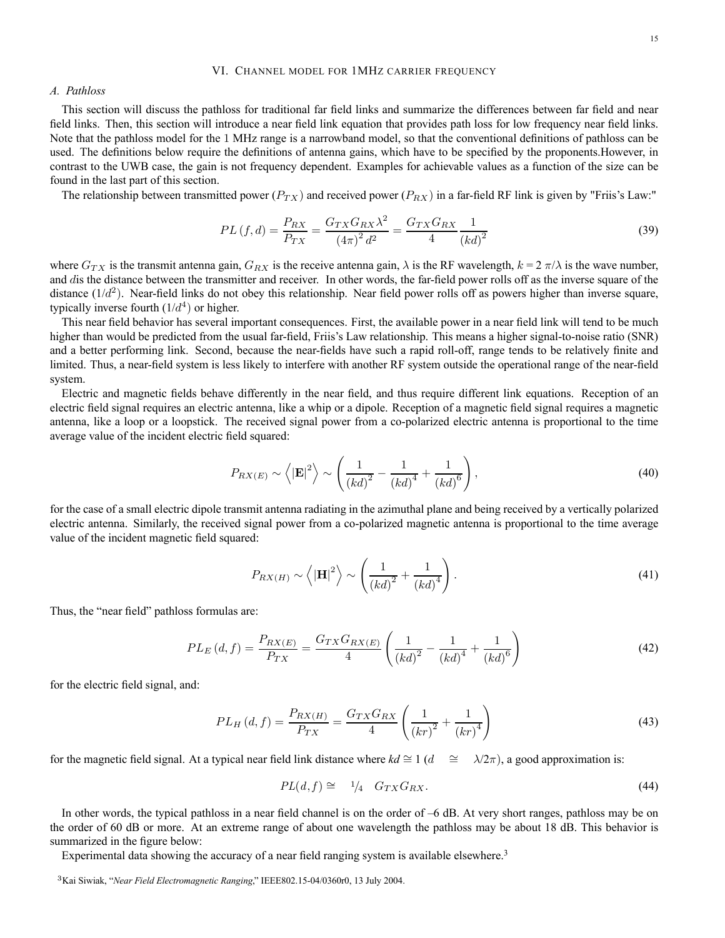#### VI. CHANNEL MODEL FOR 1MHZ CARRIER FREQUENCY

### *A. Pathloss*

This section will discuss the pathloss for traditional far field links and summarize the differences between far field and near field links. Then, this section will introduce a near field link equation that provides path loss for low frequency near field links. Note that the pathloss model for the 1 MHz range is a narrowband model, so that the conventional definitions of pathloss can be used. The definitions below require the definitions of antenna gains, which have to be specified by the proponents.However, in contrast to the UWB case, the gain is not frequency dependent. Examples for achievable values as a function of the size can be found in the last part of this section.

The relationship between transmitted power ( $P_{TX}$ ) and received power ( $P_{RX}$ ) in a far-field RF link is given by "Friis's Law:"

$$
PL(f,d) = \frac{P_{RX}}{P_{TX}} = \frac{G_{TX}G_{RX}\lambda^2}{(4\pi)^2 d^2} = \frac{G_{TX}G_{RX}}{4} \frac{1}{(kd)^2}
$$
(39)

where  $G_{TX}$  is the transmit antenna gain,  $G_{RX}$  is the receive antenna gain,  $\lambda$  is the RF wavelength,  $k = 2 \pi/\lambda$  is the wave number, and dis the distance between the transmitter and receiver. In other words, the far-field power rolls off as the inverse square of the distance  $(1/d^2)$ . Near-field links do not obey this relationship. Near field power rolls off as powers higher than inverse square, typically inverse fourth  $(1/d<sup>4</sup>)$  or higher.

This near field behavior has several important consequences. First, the available power in a near field link will tend to be much higher than would be predicted from the usual far-field, Friis's Law relationship. This means a higher signal-to-noise ratio (SNR) and a better performing link. Second, because the near-fields have such a rapid roll-off, range tends to be relatively finite and limited. Thus, a near-field system is less likely to interfere with another RF system outside the operational range of the near-field system.

Electric and magnetic fields behave differently in the near field, and thus require different link equations. Reception of an electric field signal requires an electric antenna, like a whip or a dipole. Reception of a magnetic field signal requires a magnetic antenna, like a loop or a loopstick. The received signal power from a co-polarized electric antenna is proportional to the time average value of the incident electric field squared:

$$
P_{RX(E)} \sim \left\langle |\mathbf{E}|^2 \right\rangle \sim \left( \frac{1}{\left(kd\right)^2} - \frac{1}{\left(kd\right)^4} + \frac{1}{\left(kd\right)^6} \right),\tag{40}
$$

for the case of a small electric dipole transmit antenna radiating in the azimuthal plane and being received by a vertically polarized electric antenna. Similarly, the received signal power from a co-polarized magnetic antenna is proportional to the time average value of the incident magnetic field squared:

$$
P_{RX(H)} \sim \left\langle |\mathbf{H}|^2 \right\rangle \sim \left(\frac{1}{\left(kd\right)^2} + \frac{1}{\left(kd\right)^4}\right). \tag{41}
$$

Thus, the "near field" pathloss formulas are:

$$
PL_E(d, f) = \frac{P_{RX(E)}}{P_{TX}} = \frac{G_{TX}G_{RX(E)}}{4} \left(\frac{1}{(kd)^2} - \frac{1}{(kd)^4} + \frac{1}{(kd)^6}\right)
$$
(42)

for the electric field signal, and:

$$
PL_H(d, f) = \frac{P_{RX(H)}}{P_{TX}} = \frac{G_{TX}G_{RX}}{4} \left(\frac{1}{(kr)^2} + \frac{1}{(kr)^4}\right)
$$
(43)

for the magnetic field signal. At a typical near field link distance where  $kd \cong 1$  ( $d \cong \lambda/2\pi$ ), a good approximation is:

$$
PL(d, f) \cong \quad \frac{1}{4} \quad G_{TX} G_{RX} \tag{44}
$$

In other words, the typical pathloss in a near field channel is on the order of –6 dB. At very short ranges, pathloss may be on the order of 60 dB or more. At an extreme range of about one wavelength the pathloss may be about 18 dB. This behavior is summarized in the figure below:

Experimental data showing the accuracy of a near field ranging system is available elsewhere.<sup>3</sup>

<sup>3</sup>Kai Siwiak, "*Near Field Electromagnetic Ranging*," IEEE802.15-04/0360r0, 13 July 2004.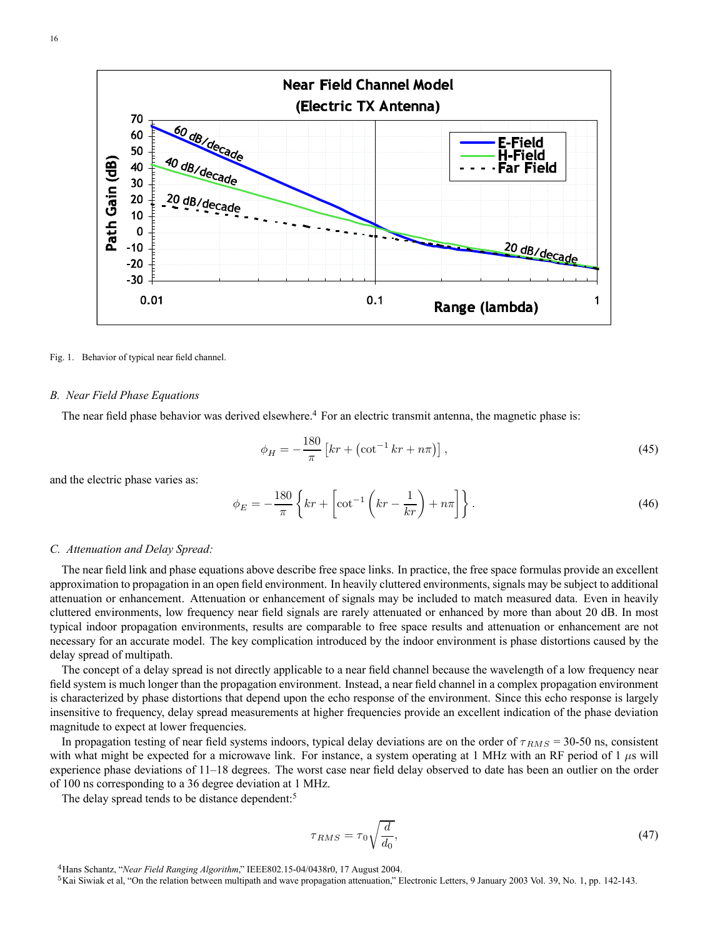

Fig. 1. Behavior of typical near field channel.

### *B. Near Field Phase Equations*

The near field phase behavior was derived elsewhere.<sup>4</sup> For an electric transmit antenna, the magnetic phase is:

$$
\phi_H = -\frac{180}{\pi} \left[ kr + \left( \cot^{-1} kr + n\pi \right) \right],
$$
\n(45)

and the electric phase varies as:

$$
\phi_E = -\frac{180}{\pi} \left\{ kr + \left[ \cot^{-1} \left( kr - \frac{1}{kr} \right) + n\pi \right] \right\}.
$$
\n(46)

#### *C. Attenuation and Delay Spread:*

The near field link and phase equations above describe free space links. In practice, the free space formulas provide an excellent approximation to propagation in an open field environment. In heavily cluttered environments, signals may be subject to additional attenuation or enhancement. Attenuation or enhancement of signals may be included to match measured data. Even in heavily cluttered environments, low frequency near field signals are rarely attenuated or enhanced by more than about 20 dB. In most typical indoor propagation environments, results are comparable to free space results and attenuation or enhancement are not necessary for an accurate model. The key complication introduced by the indoor environment is phase distortions caused by the delay spread of multipath.

The concept of a delay spread is not directly applicable to a near field channel because the wavelength of a low frequency near field system is much longer than the propagation environment. Instead, a near field channel in a complex propagation environment is characterized by phase distortions that depend upon the echo response of the environment. Since this echo response is largely insensitive to frequency, delay spread measurements at higher frequencies provide an excellent indication of the phase deviation magnitude to expect at lower frequencies.

In propagation testing of near field systems indoors, typical delay deviations are on the order of  $\tau_{RMS}$  = 30-50 ns, consistent with what might be expected for a microwave link. For instance, a system operating at 1 MHz with an RF period of 1  $\mu$ s will experience phase deviations of 11–18 degrees. The worst case near field delay observed to date has been an outlier on the order of 100 ns corresponding to a 36 degree deviation at 1 MHz.

The delay spread tends to be distance dependent:<sup>5</sup>

$$
\tau_{RMS} = \tau_0 \sqrt{\frac{d}{d_0}},\tag{47}
$$

<sup>4</sup>Hans Schantz, "*Near Field Ranging Algorithm*," IEEE802.15-04/0438r0, 17 August 2004.

<sup>5</sup>Kai Siwiak et al, "On the relation between multipath and wave propagation attenuation," Electronic Letters, 9 January 2003 Vol. 39, No. 1, pp. 142-143.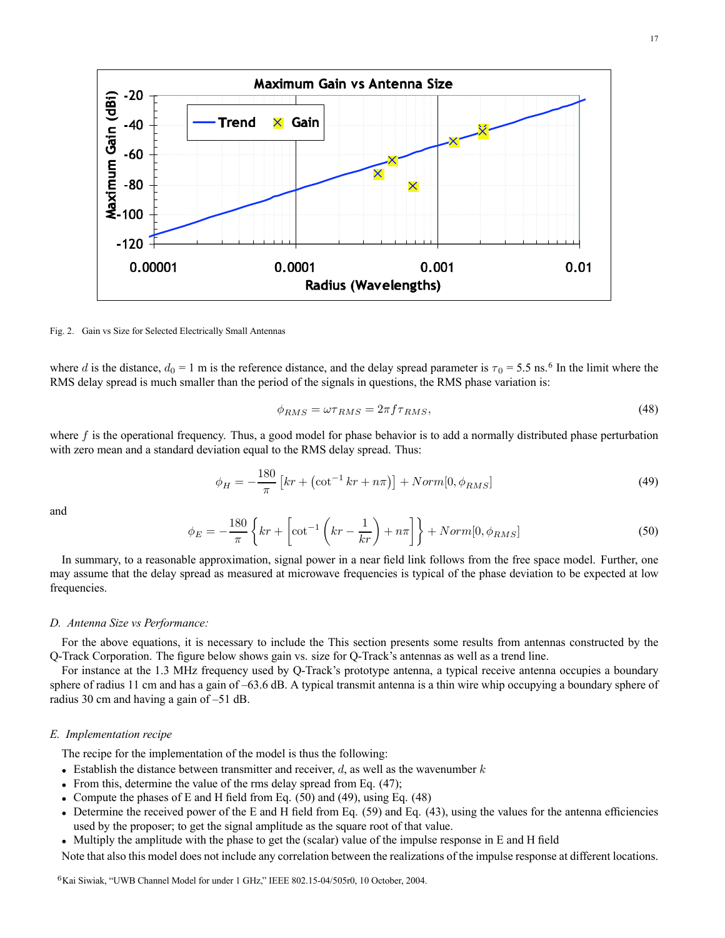

Fig. 2. Gain vs Size for Selected Electrically Small Antennas

where d is the distance,  $d_0 = 1$  m is the reference distance, and the delay spread parameter is  $\tau_0 = 5.5$  ns.<sup>6</sup> In the limit where the RMS delay spread is much smaller than the period of the signals in questions, the RMS phase variation is:

$$
\phi_{RMS} = \omega \tau_{RMS} = 2\pi f \tau_{RMS},\tag{48}
$$

where  $f$  is the operational frequency. Thus, a good model for phase behavior is to add a normally distributed phase perturbation with zero mean and a standard deviation equal to the RMS delay spread. Thus:

$$
\phi_H = -\frac{180}{\pi} \left[ kr + \left( \cot^{-1} kr + n\pi \right) \right] + Norm[0, \phi_{RMS}] \tag{49}
$$

and

$$
\phi_E = -\frac{180}{\pi} \left\{ kr + \left[ \cot^{-1} \left( kr - \frac{1}{kr} \right) + n\pi \right] \right\} + Norm[0, \phi_{RMS}] \tag{50}
$$

In summary, to a reasonable approximation, signal power in a near field link follows from the free space model. Further, one may assume that the delay spread as measured at microwave frequencies is typical of the phase deviation to be expected at low frequencies.

### *D. Antenna Size vs Performance:*

For the above equations, it is necessary to include the This section presents some results from antennas constructed by the Q-Track Corporation. The figure below shows gain vs. size for Q-Track's antennas as well as a trend line.

For instance at the 1.3 MHz frequency used by Q-Track's prototype antenna, a typical receive antenna occupies a boundary sphere of radius 11 cm and has a gain of –63.6 dB. A typical transmit antenna is a thin wire whip occupying a boundary sphere of radius 30 cm and having a gain of –51 dB.

### *E. Implementation recipe*

The recipe for the implementation of the model is thus the following:

- Establish the distance between transmitter and receiver,  $d$ , as well as the wavenumber  $k$
- From this, determine the value of the rms delay spread from Eq. (47);
- Compute the phases of E and H field from Eq.  $(50)$  and  $(49)$ , using Eq.  $(48)$
- Determine the received power of the E and H field from Eq.  $(59)$  and Eq.  $(43)$ , using the values for the antenna efficiencies used by the proposer; to get the signal amplitude as the square root of that value.
- Multiply the amplitude with the phase to get the (scalar) value of the impulse response in E and H field

Note that also this model does not include any correlation between the realizations of the impulse response at different locations.

<sup>6</sup>Kai Siwiak, "UWB Channel Model for under 1 GHz," IEEE 802.15-04/505r0, 10 October, 2004.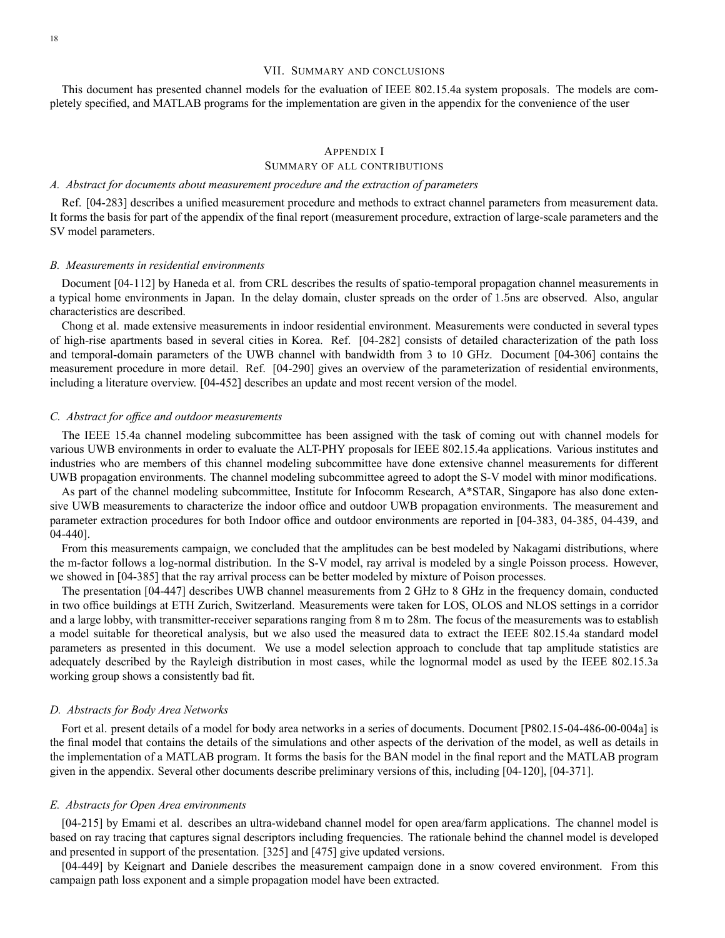### VII. SUMMARY AND CONCLUSIONS

This document has presented channel models for the evaluation of IEEE 802.15.4a system proposals. The models are completely specified, and MATLAB programs for the implementation are given in the appendix for the convenience of the user

### APPENDIX I

### SUMMARY OF ALL CONTRIBUTIONS

### *A. Abstract for documents about measurement procedure and the extraction of parameters*

Ref. [04-283] describes a unified measurement procedure and methods to extract channel parameters from measurement data. It forms the basis for part of the appendix of the final report (measurement procedure, extraction of large-scale parameters and the SV model parameters.

#### *B. Measurements in residential environments*

Document [04-112] by Haneda et al. from CRL describes the results of spatio-temporal propagation channel measurements in a typical home environments in Japan. In the delay domain, cluster spreads on the order of 1.5ns are observed. Also, angular characteristics are described.

Chong et al. made extensive measurements in indoor residential environment. Measurements were conducted in several types of high-rise apartments based in several cities in Korea. Ref. [04-282] consists of detailed characterization of the path loss and temporal-domain parameters of the UWB channel with bandwidth from 3 to 10 GHz. Document [04-306] contains the measurement procedure in more detail. Ref. [04-290] gives an overview of the parameterization of residential environments, including a literature overview. [04-452] describes an update and most recent version of the model.

### *C. Abstract for office and outdoor measurements*

The IEEE 15.4a channel modeling subcommittee has been assigned with the task of coming out with channel models for various UWB environments in order to evaluate the ALT-PHY proposals for IEEE 802.15.4a applications. Various institutes and industries who are members of this channel modeling subcommittee have done extensive channel measurements for different UWB propagation environments. The channel modeling subcommittee agreed to adopt the S-V model with minor modifications.

As part of the channel modeling subcommittee, Institute for Infocomm Research, A\*STAR, Singapore has also done extensive UWB measurements to characterize the indoor office and outdoor UWB propagation environments. The measurement and parameter extraction procedures for both Indoor office and outdoor environments are reported in [04-383, 04-385, 04-439, and 04-440].

From this measurements campaign, we concluded that the amplitudes can be best modeled by Nakagami distributions, where the m-factor follows a log-normal distribution. In the S-V model, ray arrival is modeled by a single Poisson process. However, we showed in [04-385] that the ray arrival process can be better modeled by mixture of Poison processes.

The presentation [04-447] describes UWB channel measurements from 2 GHz to 8 GHz in the frequency domain, conducted in two office buildings at ETH Zurich, Switzerland. Measurements were taken for LOS, OLOS and NLOS settings in a corridor and a large lobby, with transmitter-receiver separations ranging from 8 m to 28m. The focus of the measurements was to establish a model suitable for theoretical analysis, but we also used the measured data to extract the IEEE 802.15.4a standard model parameters as presented in this document. We use a model selection approach to conclude that tap amplitude statistics are adequately described by the Rayleigh distribution in most cases, while the lognormal model as used by the IEEE 802.15.3a working group shows a consistently bad fit.

#### *D. Abstracts for Body Area Networks*

Fort et al. present details of a model for body area networks in a series of documents. Document [P802.15-04-486-00-004a] is the final model that contains the details of the simulations and other aspects of the derivation of the model, as well as details in the implementation of a MATLAB program. It forms the basis for the BAN model in the final report and the MATLAB program given in the appendix. Several other documents describe preliminary versions of this, including [04-120], [04-371].

#### *E. Abstracts for Open Area environments*

[04-215] by Emami et al. describes an ultra-wideband channel model for open area/farm applications. The channel model is based on ray tracing that captures signal descriptors including frequencies. The rationale behind the channel model is developed and presented in support of the presentation. [325] and [475] give updated versions.

[04-449] by Keignart and Daniele describes the measurement campaign done in a snow covered environment. From this campaign path loss exponent and a simple propagation model have been extracted.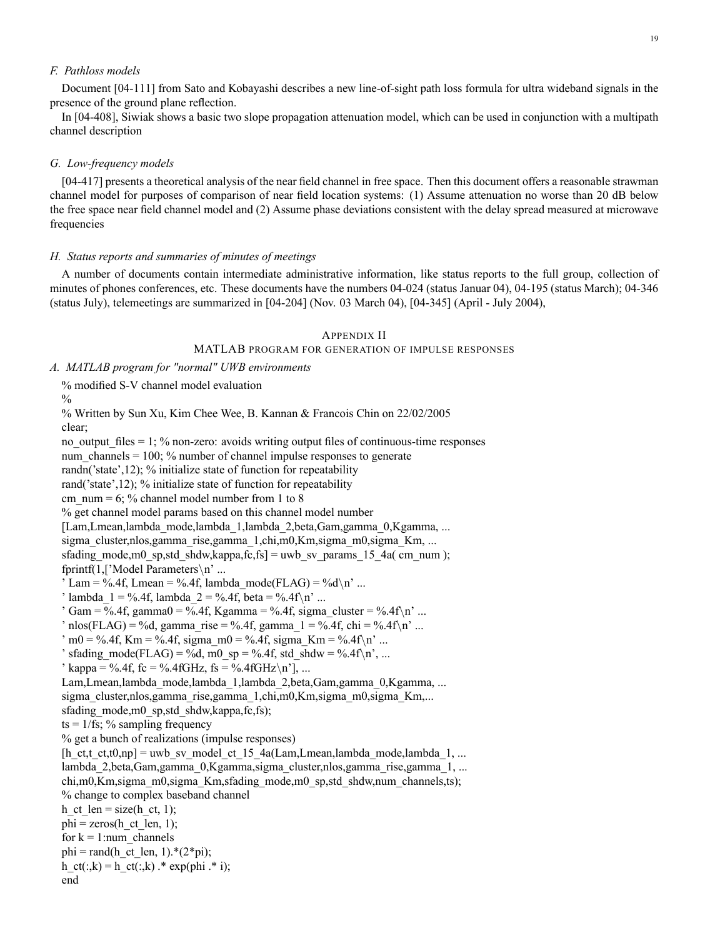### *F. Pathloss models*

Document [04-111] from Sato and Kobayashi describes a new line-of-sight path loss formula for ultra wideband signals in the presence of the ground plane reflection.

In [04-408], Siwiak shows a basic two slope propagation attenuation model, which can be used in conjunction with a multipath channel description

#### *G. Low-frequency models*

[04-417] presents a theoretical analysis of the near field channel in free space. Then this document offers a reasonable strawman channel model for purposes of comparison of near field location systems: (1) Assume attenuation no worse than 20 dB below the free space near field channel model and (2) Assume phase deviations consistent with the delay spread measured at microwave frequencies

### *H. Status reports and summaries of minutes of meetings*

A number of documents contain intermediate administrative information, like status reports to the full group, collection of minutes of phones conferences, etc. These documents have the numbers 04-024 (status Januar 04), 04-195 (status March); 04-346 (status July), telemeetings are summarized in [04-204] (Nov. 03 March 04), [04-345] (April - July 2004),

### APPENDIX II

### MATLAB PROGRAM FOR GENERATION OF IMPULSE RESPONSES

*A. MATLAB program for "normal" UWB environments*

% modified S-V channel model evaluation

 $\frac{0}{0}$ 

% Written by Sun Xu, Kim Chee Wee, B. Kannan & Francois Chin on 22/02/2005 clear; no\_output\_files = 1; % non-zero: avoids writing output files of continuous-time responses num channels  $= 100$ ; % number of channel impulse responses to generate randn('state',12); % initialize state of function for repeatability rand('state',12); % initialize state of function for repeatability cm  $num = 6$ ; % channel model number from 1 to 8 % get channel model params based on this channel model number [Lam,Lmean,lambda mode,lambda 1,lambda 2,beta,Gam,gamma 0,Kgamma, ...

sigma cluster,nlos,gamma rise,gamma 1,chi,m0,Km,sigma m0,sigma Km, ... sfading mode,m0 sp,std shdw,kappa,fc,fs] = uwb sv params 15 4a( cm num );

fprintf(1,['Model Parameters\n' ...

' Lam = %.4f, Lmean = %.4f, lambda mode(FLAG) = %d\n' ...

' lambda  $1 = \%$ .4f, lambda  $2 = \%$ .4f, beta = %.4f\n' ...

```
\text{Gamma} = \% .4 \text{ f, gamma} = \% .4 \text{ f, Kgamma} = \% .4 \text{ f, sigma\_cluster} = \% .4 \text{ f} \cdot \text{m}
```
 $'$  nlos(FLAG) = %d, gamma\_rise = %.4f, gamma\_1 = %.4f, chi = %.4f\n' ...

```
\gamma m0 = %.4f, Km = %.4f, sigma m0 = %.4f, sigma Km = %.4f\n' ...
```

```
' sfading mode(FLAG) = %d, m0_sp = %.4f, std_shdw = %.4f\n', ...
```

```
' kappa = %.4f, fc = %.4fGHz, fs = %.4fGHz\n'], ...
```
Lam,Lmean,lambda\_mode,lambda\_1,lambda\_2,beta,Gam,gamma\_0,Kgamma, ...

sigma cluster,nlos,gamma rise,gamma 1,chi,m0,Km,sigma m0,sigma Km,...

sfading\_mode,m0\_sp,std\_shdw,kappa,fc,fs);

 $ts = 1/fs$ ; % sampling frequency

% get a bunch of realizations (impulse responses)

```
[h_ct,t_ct,t0,np] = uwb_sv_model_ct_15_4a(Lam,Lmean,lambda_mode,lambda_1, ...
lambda_2,beta,Gam,gamma_0,Kgamma,sigma_cluster,nlos,gamma_rise,gamma_1, ...
chi,m0,Km,sigma_m0,sigma_Km,sfading_mode,m0_sp,std_shdw,num_channels,ts);
% change to complex baseband channel
```
h\_ct\_len = size(h\_ct, 1);

phi = zeros(h\_ct\_len, 1);

for  $k = 1$ :num channels

phi = rand(h ct len, 1).\*(2\*pi);

 $h_{ct}(:,k) = h_{ct}(:,k)$  .\* exp(phi .\* i);

end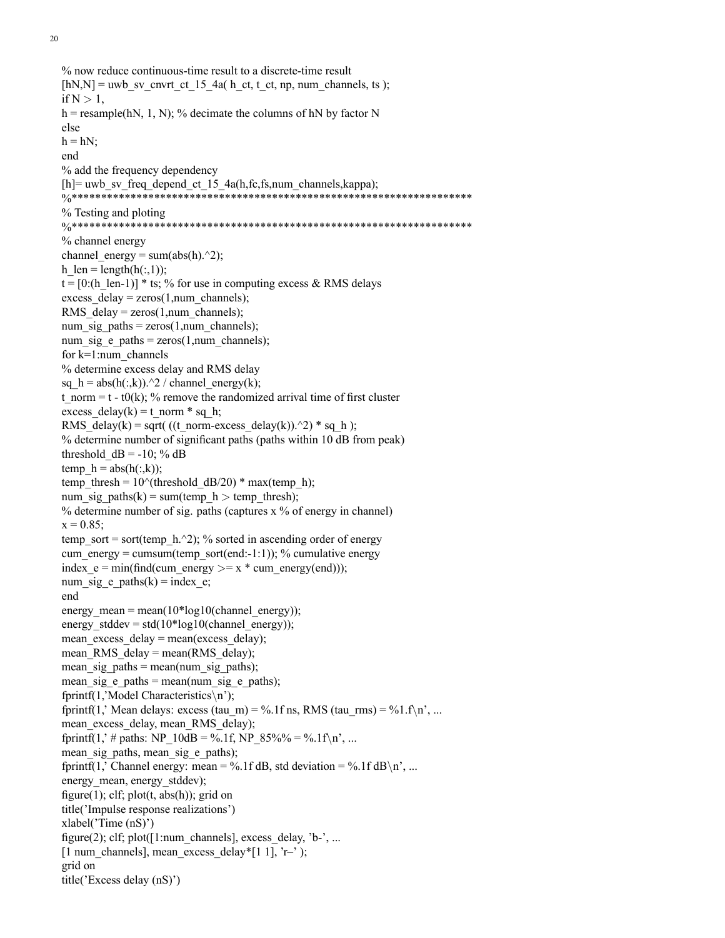```
% now reduce continuous-time result to a discrete-time result
[hN,N] =uwb sv_cnvrt_ct_15_4a( h_ct, t_ct, np, num_channels, ts );
if N > 1,
h = resample(hN, 1, N); % decimate the columns of hN by factor N
else
h = hN:
end
% add the frequency dependency
[h]= uwb_sv_freq_depend_ct_15_4a(h,fc,fs,num_channels,kappa);
                        *********************************
% Testing and ploting
%********************************************************************
% channel energy
channel energy = sum(abs(h).^2);
h len = length(h(:,1));t = [0:(h \text{ len}-1)] * ts; % for use in computing excess & RMS delays
excess delay = zeros(1, num channels);RMS delay = zeros(1, num channels);num_sig_paths = zeros(1, num\_channels);num sig e paths = zeros(1,num channels);
for k=1:num_channels
% determine excess delay and RMS delay
sq_h = abs(h(:,k)).^2 / channel\_energy(k);t_norm = t - t0(k); % remove the randomized arrival time of first cluster
excess delay(k) = t_norm * sq_h;
RMS_delay(k) = sqrt( ((t_norm-excess_delay(k)).^2) * sq_h );
% determine number of significant paths (paths within 10 dB from peak)
threshold_dB = -10; % dB
temp h = abs(h(:,k));temp_thresh = 10^{\circ}(threshold_dB/20) * max(temp_h);
num_sig_paths(k) = sum(temp_h > temp_thresh);
% determine number of sig. paths (captures x % of energy in channel)
x = 0.85;
temp_sort = sort(temp_h.^2); % sorted in ascending order of energy
cum_energy = cumsum(temp_sort(end:-1:1)); % cumulative energy
index e = min(find(cum energy <math>) = x</math> * cum energy(end)));
num sig e paths(k) = index e;
end
energy mean = mean(10*log10(channel energy));
energy stddev = std(10*log10(channel energy));mean excess delay = mean(excess delay);
mean RMS delay = mean(RMS delay);
mean sig paths = mean(num_sig_paths);
mean sig e paths = mean(num_sig_e_paths);
fprintf(1,'Model Characteristics\n');
fprintf(1,' Mean delays: excess (tau_m) = %.1f ns, RMS (tau_rms) = %1.f\n', ...
mean_excess_delay, mean_RMS_delay);
fprintf(1,' # paths: NP_10dB = %.1f, NP_85%% = %.1f\n', ...
mean sig paths, mean sig e paths);
fprintf(1,' Channel energy: mean = %.1f dB, std deviation = %.1f dB\n', ...
energy mean, energy stddev);
figure(1); clf; plot(t, abs(h)); grid on
title('Impulse response realizations')
xlabel('Time (nS)')
figure(2); clf; plot([1:num channels], excess delay, 'b-', ...
[1 num_channels], mean_excess_delay*[1 1], 'r–' );
grid on
title('Excess delay (nS)')
```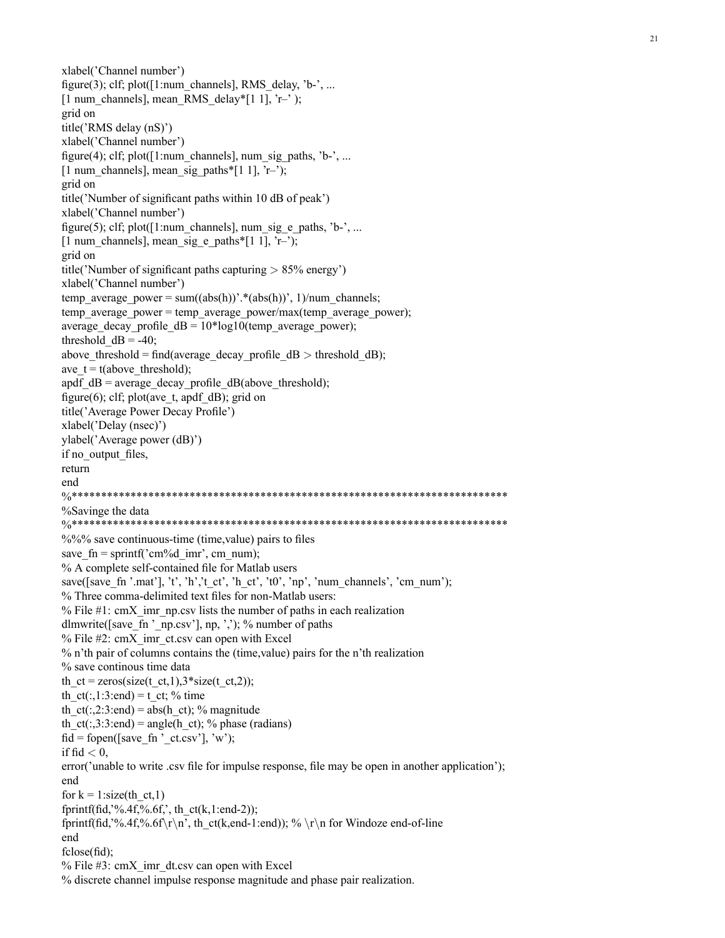xlabel('Channel number') figure(3); clf; plot( $[1:num$  channels], RMS delay, 'b-', ... [1 num\_channels], mean\_RMS\_delay\*[1 1], 'r–' ); grid on title('RMS delay (nS)') xlabel('Channel number') figure(4); clf; plot( $[1:num$  channels], num\_sig\_paths, 'b-', ... [1 num\_channels], mean\_sig\_paths\*[1 1], 'r–'); grid on title('Number of significant paths within 10 dB of peak') xlabel('Channel number') figure(5); clf; plot( $[1:num$  channels], num\_sig\_e\_paths, 'b-', ... [1 num\_channels], mean\_sig\_e\_paths\*[1 1], 'r–'); grid on title('Number of significant paths capturing  $> 85\%$  energy') xlabel('Channel number') temp\_average\_power = sum((abs(h))'.\*(abs(h))', 1)/num\_channels; temp average power = temp average power/max(temp average power); average\_decay\_profile\_dB =  $10*log10$ (temp\_average\_power); threshold  $dB = -40$ ; above\_threshold = find(average\_decay\_profile\_dB > threshold\_dB); ave  $t = t$ (above threshold); apdf\_dB = average\_decay\_profile\_dB(above\_threshold); figure(6); clf; plot(ave\_t, apdf\_dB); grid on title('Average Power Decay Profile') xlabel('Delay (nsec)') ylabel('Average power (dB)') if no\_output\_files, return end %\*\*\*\*\*\*\*\*\*\*\*\*\*\*\*\*\*\*\*\*\*\*\*\*\*\*\*\*\*\*\*\*\*\*\*\*\*\*\*\*\*\*\*\*\*\*\*\*\*\*\*\*\*\*\*\*\*\*\*\*\*\*\*\*\*\*\*\*\*\*\*\*\*\* %Savinge the data %\*\*\*\*\*\*\*\*\*\*\*\*\*\*\*\*\*\*\*\*\*\*\*\*\*\*\*\*\*\*\*\*\*\*\*\*\*\*\*\*\*\*\*\*\*\*\*\*\*\*\*\*\*\*\*\*\*\*\*\*\*\*\*\*\*\*\*\*\*\*\*\*\*\*  $\frac{6}{6}$ %% save continuous-time (time, value) pairs to files save\_fn = sprintf('cm%d\_imr', cm\_num); % A complete self-contained file for Matlab users save([save\_fn '.mat'], 't', 'h','t\_ct', 'h\_ct', 't0', 'np', 'num\_channels', 'cm\_num'); % Three comma-delimited text files for non-Matlab users: % File  $\#1$ : cmX imr\_np.csv lists the number of paths in each realization dlmwrite([save\_fn '\_np.csv'], np, ','); % number of paths % File #2: cmX imr ct.csv can open with Excel % n'th pair of columns contains the (time,value) pairs for the n'th realization % save continous time data th  $ct = zeros(size(t, ct, 1), 3*size(t, ct, 2))$ ; th  $ct(:,1:3:end) = t$  ct; % time th  $ct(.2:3:end) = abs(h ct);$  % magnitude th  $ct(:,3:3:end) = angle(h ct);$  % phase (radians)  $fid = fopen([save~fn'~ct.csv'], 'w');$ if fid  $< 0$ , error('unable to write .csv file for impulse response, file may be open in another application'); end for  $k = 1$ :size(th\_ct,1) fprintf(fid, $\frac{3}{2}$ ,4f, $\frac{9}{2}$ ,6f, $\frac{1}{2}$ , th\_ct(k,1:end-2)); fprintf(fid,'%.4f,%.6f\r\n', th\_ct(k,end-1:end)); % \r\n for Windoze end-of-line end fclose(fid); % File  $#3$ : cmX imr\_dt.csv can open with Excel % discrete channel impulse response magnitude and phase pair realization.

21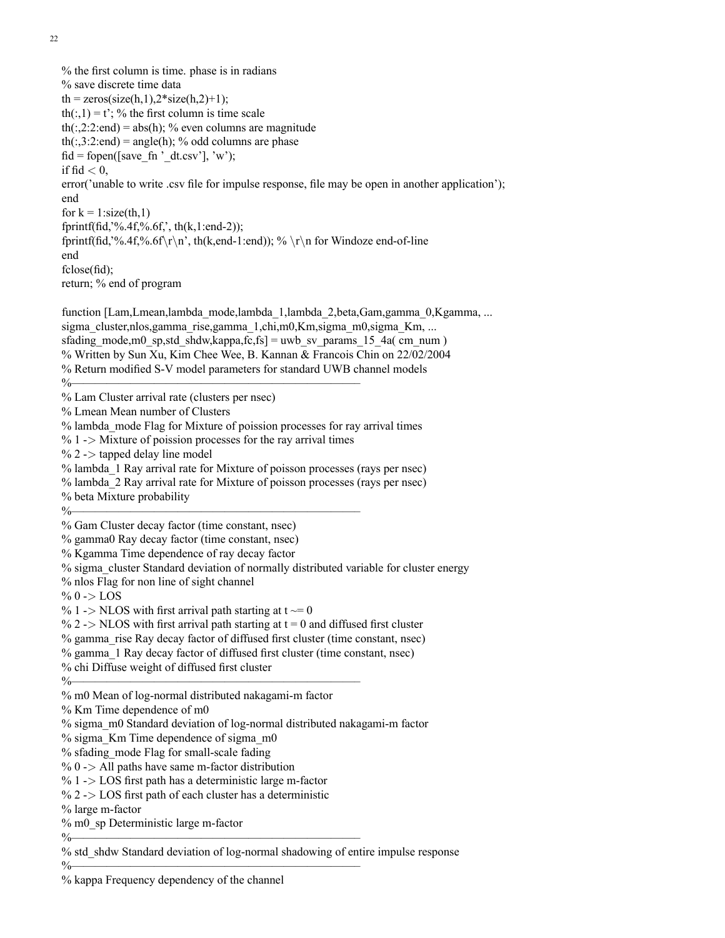22

% the first column is time. phase is in radians % save discrete time data  $th = zeros(size(h,1), 2*size(h,2)+1);$ th(:,1) = t'; % the first column is time scale th(:,2:2:end) = abs(h); % even columns are magnitude th(:,3:2:end) = angle(h); % odd columns are phase fid = fopen([save\_fn '\_dt.csv'], 'w'); if  $\text{fid} < 0$ , error('unable to write .csv file for impulse response, file may be open in another application'); end for  $k = 1$ : size(th, 1) fprintf(fid,'%.4f,%.6f,', th(k,1:end-2)); fprintf(fid,'%.4f,%.6f\r\n', th(k,end-1:end)); % \r\n for Windoze end-of-line end fclose(fid); return; % end of program function [Lam,Lmean,lambda\_mode,lambda\_1,lambda\_2,beta,Gam,gamma\_0,Kgamma, ... sigma cluster,nlos,gamma rise,gamma 1,chi,m0,Km,sigma m0,sigma Km, ... sfading mode,m0 sp,std shdw,kappa,fc,fs] = uwb sv params 15 4a( cm\_num ) % Written by Sun Xu, Kim Chee Wee, B. Kannan & Francois Chin on 22/02/2004 % Return modified S-V model parameters for standard UWB channel models  $\%$ % Lam Cluster arrival rate (clusters per nsec) % Lmean Mean number of Clusters % lambda\_mode Flag for Mixture of poission processes for ray arrival times  $% 1$  - $>$  Mixture of poission processes for the ray arrival times  $\%$  2 -> tapped delay line model % lambda\_1 Ray arrival rate for Mixture of poisson processes (rays per nsec) % lambda\_2 Ray arrival rate for Mixture of poisson processes (rays per nsec) % beta Mixture probability  $\%$ % Gam Cluster decay factor (time constant, nsec) % gamma0 Ray decay factor (time constant, nsec) % Kgamma Time dependence of ray decay factor % sigma\_cluster Standard deviation of normally distributed variable for cluster energy % nlos Flag for non line of sight channel %  $0 \rightarrow$  LOS  $\%$  1 -> NLOS with first arrival path starting at t  $\sim=0$ % 2 -> NLOS with first arrival path starting at  $t = 0$  and diffused first cluster % gamma\_rise Ray decay factor of diffused first cluster (time constant, nsec) % gamma\_1 Ray decay factor of diffused first cluster (time constant, nsec) % chi Diffuse weight of diffused first cluster  $\%$ % m0 Mean of log-normal distributed nakagami-m factor % Km Time dependence of m0 % sigma\_m0 Standard deviation of log-normal distributed nakagami-m factor  $%$  sigma Km Time dependence of sigma  $m<sup>0</sup>$ % sfading\_mode Flag for small-scale fading  $% 0$  -> All paths have same m-factor distribution  $\%$  1 -> LOS first path has a deterministic large m-factor  $\%$  2 -> LOS first path of each cluster has a deterministic % large m-factor % m0\_sp Deterministic large m-factor  $\%$ % std\_shdw Standard deviation of log-normal shadowing of entire impulse response

 $\%$ 

% kappa Frequency dependency of the channel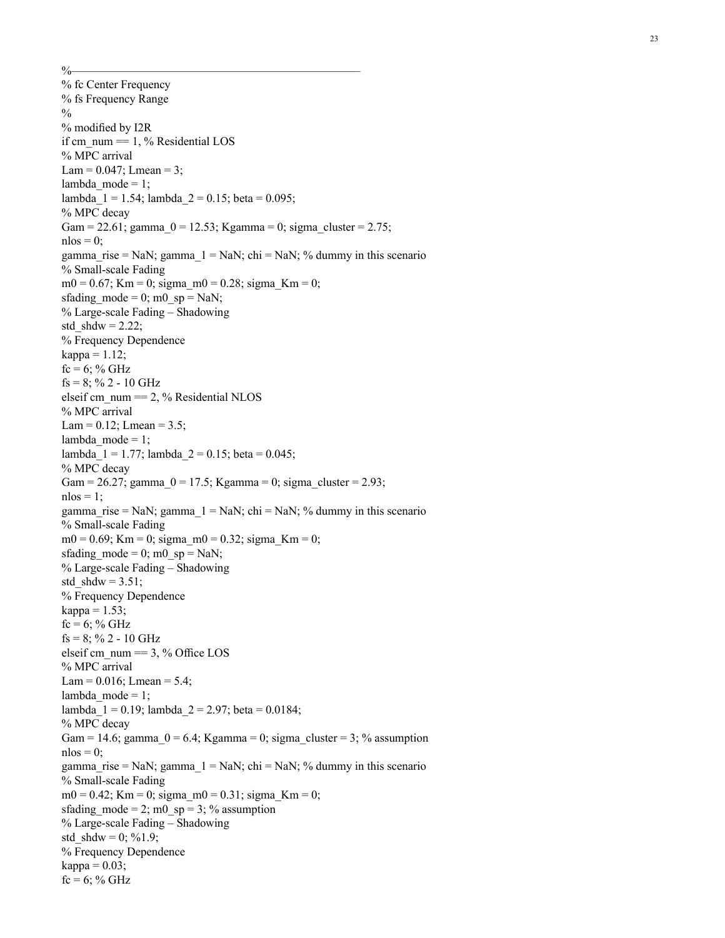$\%$ 

% fc Center Frequency % fs Frequency Range  $\frac{0}{0}$ % modi fied by I2R if cm\_num  $=$  1, % Residential LOS % MPC arrival Lam =  $0.047$ ; Lmean = 3; lambda  $mode = 1$ ; lambda  $1 = 1.54$ ; lambda  $2 = 0.15$ ; beta = 0.095; % MPC decay Gam = 22.61; gamma  $0 = 12.53$ ; Kgamma = 0; sigma cluster = 2.75;  $n\log = 0$ ; gamma rise = NaN; gamma  $1 =$  NaN; chi = NaN; % dummy in this scenario % Small-scale Fading  $m0 = 0.67$ ; Km = 0; sigma  $m0 = 0.28$ ; sigma Km = 0; sfading mode = 0; m0\_sp = NaN; % Large-scale Fading – Shadowing std\_shdw =  $2.22$ ; % Frequency Dependence  $kappa = 1.12$ ;  $fc = 6$ ; % GHz  $fs = 8$ ; % 2 - 10 GHz elseif cm\_num == 2, % Residential NLOS % MPC arrival Lam =  $0.12$ ; Lmean =  $3.5$ ; lambda mode  $= 1$ ; lambda\_1 = 1.77; lambda\_2 = 0.15; beta = 0.045; % MPC decay Gam = 26.27; gamma  $0 = 17.5$ ; Kgamma = 0; sigma cluster = 2.93;  $nlos = 1$ ; gamma\_rise = NaN; gamma\_1 = NaN; chi = NaN; % dummy in this scenario % Small-scale Fading  $m0 = 0.69$ ; Km = 0; sigma\_m0 = 0.32; sigma\_Km = 0; sfading\_mode =  $0$ ; m $0$ \_sp = NaN; % Large-scale Fading – Shadowing std  $shdw = 3.51$ ; % Frequency Dependence kappa  $= 1.53$ ;  $fc = 6$ ; % GHz  $fs = 8$ ; % 2 - 10 GHz elseif cm\_num  $== 3, \%$  Office LOS % MPC arrival Lam =  $0.016$ ; Lmean =  $5.4$ ; lambda mode =  $1$ ; lambda  $1 = 0.19$ ; lambda  $2 = 2.97$ ; beta = 0.0184; % MPC decay Gam = 14.6; gamma  $0 = 6.4$ ; Kgamma = 0; sigma cluster = 3; % assumption  $n\log = 0$ ; gamma rise = NaN; gamma  $1 =$  NaN; chi = NaN; % dummy in this scenario % Small-scale Fading  $m0 = 0.42$ ; Km = 0; sigma  $m0 = 0.31$ ; sigma Km = 0; sfading mode = 2; m0\_sp = 3; % assumption % Large-scale Fading – Shadowing std shdw = 0; %1.9; % Frequency Dependence kappa =  $0.03$ ;  $fc = 6$ ; % GHz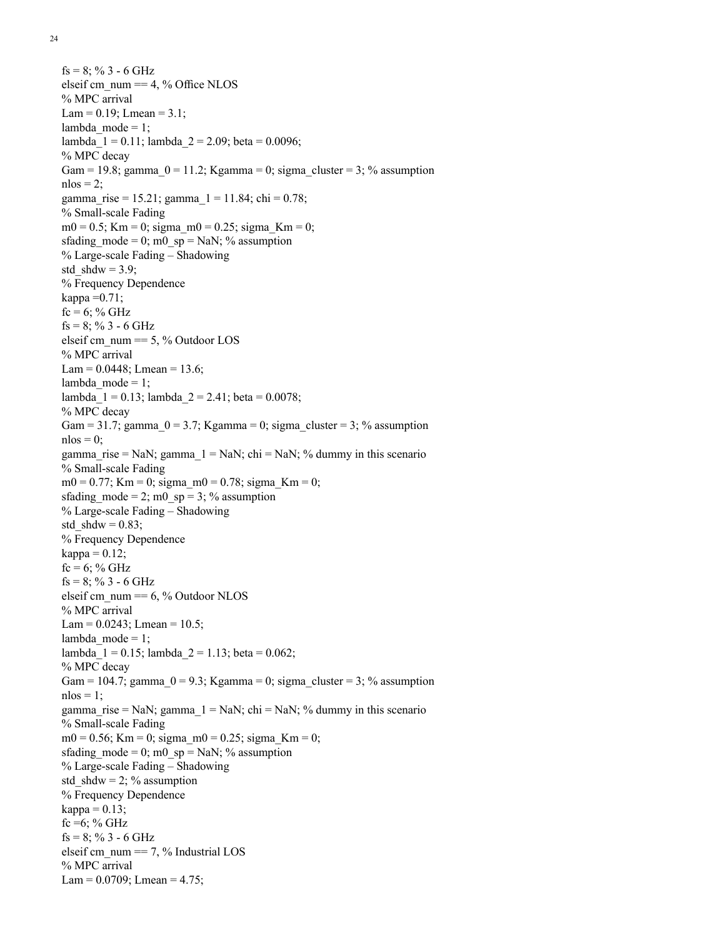24

```
fs = 8; % 3 - 6 GHz
elseif cm_num == 4, % Office NLOS
% MPC arrival
Lam = 0.19; Lmean = 3.1;
lambda mode = 1;
lambda 1 = 0.11; lambda 2 = 2.09; beta = 0.0096;
% MPC decay
Gam = 19.8; gamma 0 = 11.2; Kgamma = 0; sigma cluster = 3; % assumption
n\log = 2;
gamma rise = 15.21; gamma 1 = 11.84; chi = 0.78;
% Small-scale Fading
m0 = 0.5; Km = 0; sigma m0 = 0.25; sigma Km = 0;
sfading mode = 0; m0_sp = NaN; % assumption
% Large-scale Fading – Shadowing
std shdw = 3.9;
% Frequency Dependence
kappa =0.71;
fc = 6; % GHz
fs = 8; % 3 - 6 GHz
elseif cm_num == 5, \% Outdoor LOS
% MPC arrival
Lam = 0.0448; Lmean = 13.6;
lambda_model = 1;lambda_1 = 0.13; lambda_2 = 2.41; beta = 0.0078;
% MPC decay
Gam = 31.7; gamma 0 = 3.7; Kgamma = 0; sigma cluster = 3; % assumption
n\log = 0;
gamma_rise = NaN; gamma_1 = NaN; chi = NaN; % dummy in this scenario
% Small-scale Fading
m0 = 0.77; Km = 0; sigma m0 = 0.78; sigma Km = 0;
sfading mode = 2; m0_sp = 3; % assumption
% Large-scale Fading – Shadowing
std shdw = 0.83;
% Frequency Dependence
kappa = 0.12;
fc = 6; % GHz
fs = 8; % 3 - 6 GHz
elseif cm_num = 6, \% Outdoor NLOS
% MPC arrival
Lam = 0.0243; Lmean = 10.5;
lambda mode = 1;
lambda 1 = 0.15; lambda 2 = 1.13; beta = 0.062;
% MPC decay
Gam = 104.7; gamma 0 = 9.3; Kgamma = 0; sigma cluster = 3; % assumption
nlos = 1;
gamma rise = NaN; gamma 1 = NaN; chi = NaN; % dummy in this scenario
% Small-scale Fading
m0 = 0.56; Km = 0; sigma m0 = 0.25; sigma Km = 0;
sfading mode = 0; m0_sp = NaN; % assumption
% Large-scale Fading – Shadowing
std shdw = 2; % assumption
% Frequency Dependence
kappa = 0.13;
fc =6; % GHz
fs = 8; % 3 - 6 GHz
elseif cm_num == 7, \% Industrial LOS
% MPC arrival
Lam = 0.0709; Lmean = 4.75;
```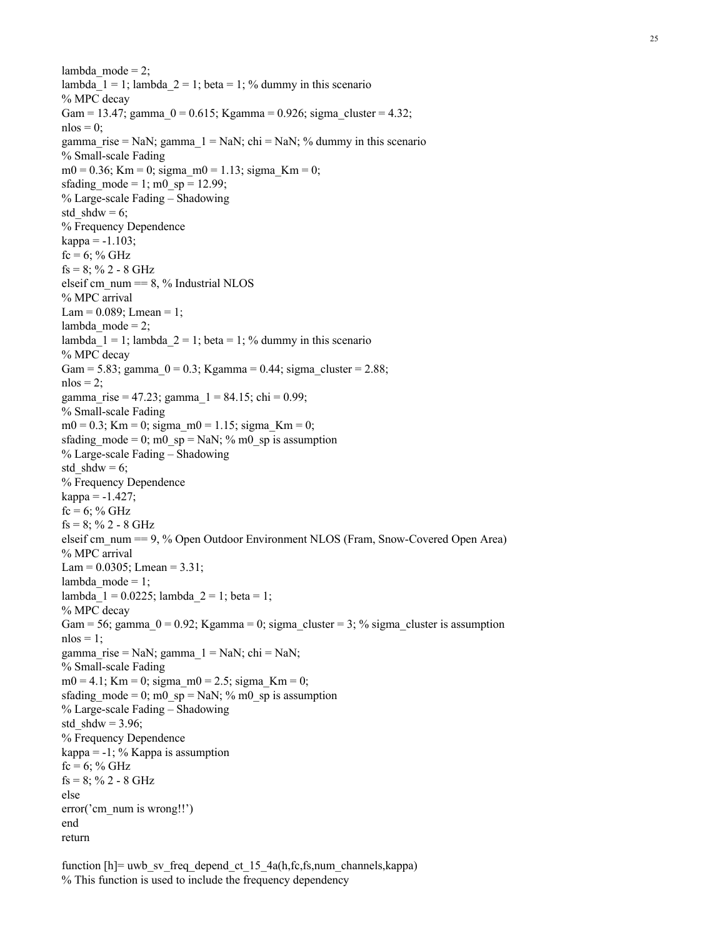lambda  $mode = 2$ ; lambda  $1 = 1$ ; lambda  $2 = 1$ ; beta = 1; % dummy in this scenario % MPC decay Gam = 13.47; gamma  $0 = 0.615$ ; Kgamma = 0.926; sigma cluster = 4.32;  $n\log = 0$ : gamma rise = NaN; gamma  $1 =$  NaN; chi = NaN; % dummy in this scenario % Small-scale Fading  $m0 = 0.36$ ; Km = 0; sigma  $m0 = 1.13$ ; sigma Km = 0; sfading mode = 1; m0  $sp = 12.99$ ; % Large-scale Fading – Shadowing std  $shdw = 6$ ; % Frequency Dependence  $kappa = -1.103$ ;  $fc = 6$ ; % GHz  $fs = 8$ ; % 2 - 8 GHz elseif cm\_num  $== 8, \%$  Industrial NLOS % MPC arrival  $Lam = 0.089$ ;  $Lmean = 1$ ;  $lambda_model = 2;$ lambda  $1 = 1$ ; lambda  $2 = 1$ ; beta = 1; % dummy in this scenario % MPC decay Gam = 5.83; gamma\_0 = 0.3; Kgamma = 0.44; sigma\_cluster = 2.88;  $nlos = 2$ ; gamma\_rise = 47.23; gamma\_1 = 84.15; chi = 0.99; % Small-scale Fading  $m0 = 0.3$ ; Km = 0; sigma  $m0 = 1.15$ ; sigma Km = 0; sfading mode = 0; m0\_sp = NaN; % m0\_sp is assumption % Large-scale Fading – Shadowing std  $shdw = 6$ ; % Frequency Dependence  $kappa = -1.427$ ;  $fc = 6$ ; % GHz  $fs = 8$ ; % 2 - 8 GHz elseif cm\_num == 9, % Open Outdoor Environment NLOS (Fram, Snow-Covered Open Area) % MPC arrival Lam =  $0.0305$ ; Lmean =  $3.31$ ; lambda mode = 1; lambda  $1 = 0.0225$ ; lambda  $2 = 1$ ; beta = 1; % MPC decay Gam = 56; gamma  $0 = 0.92$ ; Kgamma = 0; sigma cluster = 3; % sigma cluster is assumption  $nlos = 1$ ; gamma rise = NaN; gamma  $1 =$  NaN; chi = NaN; % Small-scale Fading  $m0 = 4.1$ ; Km = 0; sigma  $m0 = 2.5$ ; sigma Km = 0; sfading mode = 0; m0\_sp = NaN; % m0\_sp is assumption % Large-scale Fading – Shadowing std  $shdw = 3.96$ ; % Frequency Dependence kappa =  $-1$ ; % Kappa is assumption  $fc = 6$ ; % GHz  $fs = 8$ ; % 2 - 8 GHz else error('cm\_num is wrong!!') end return

function  $[h]$ = uwb sv freq depend ct 15 4a(h,fc,fs,num channels,kappa) % This function is used to include the frequency dependency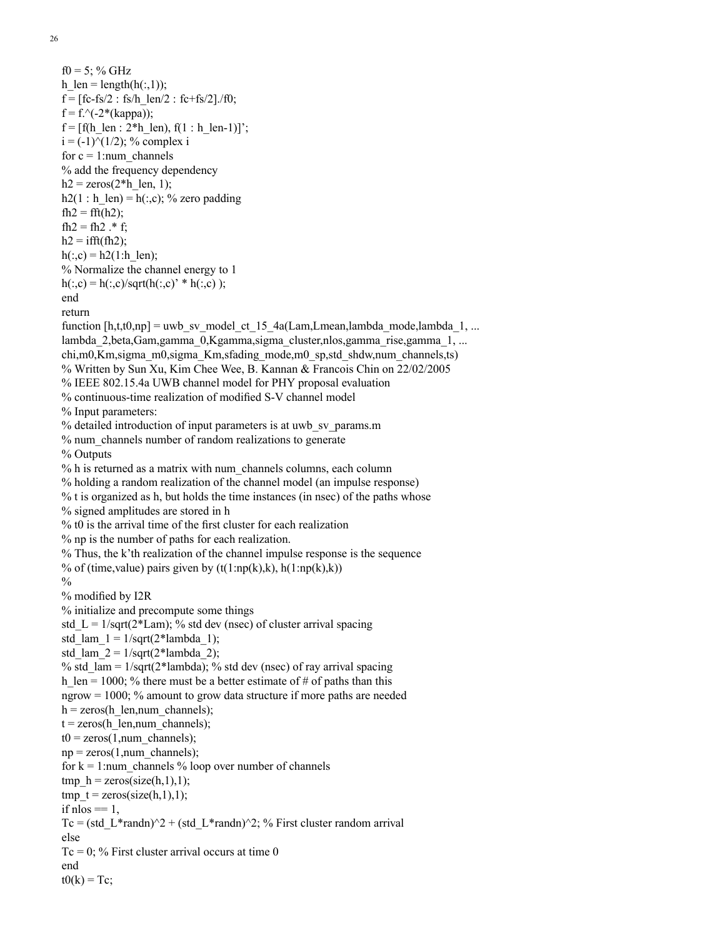$f0 = 5$ ; % GHz h  $len = length(h(:,1));$  $f = [fc-fs/2 : fs/h \text{ len}/2 : fc+fs/2]/f0;$  $f = f^{-}($ -2\*(kappa));  $f = [f(h \text{ len} : 2*h \text{ len}), f(1 : h \text{ len-1})]';$  $i = (-1)^{n}(1/2)$ ; % complex i for  $c = 1$ :num\_channels % add the frequency dependency  $h2 = \text{zeros}(2 \cdot h \text{ len}, 1);$  $h2(1 : h len) = h(:,c); %$  zero padding  $fh2 = fft(h2)$ ; fh2 = fh2  $.*$  f;  $h2 = ifft(fh2);$  $h(:,c) = h2(1:h$  len); % Normalize the channel energy to 1  $h(:,c) = h(:,c)/sqrt(h(:,c) * h(:,c))$ ; end return function  $[h, t, t0, np] = uwb$  sv\_model\_ct\_15\_4a(Lam,Lmean,lambda\_mode,lambda\_1, ... lambda 2,beta,Gam,gamma 0,Kgamma,sigma cluster,nlos,gamma rise,gamma 1, ... chi,m0,Km,sigma\_m0,sigma\_Km,sfading\_mode,m0\_sp,std\_shdw,num\_channels,ts) % Written by Sun Xu, Kim Chee Wee, B. Kannan & Francois Chin on 22/02/2005 % IEEE 802.15.4a UWB channel model for PHY proposal evaluation % continuous-time realization of modified S-V channel model % Input parameters: % detailed introduction of input parameters is at uwb sv\_params.m % num\_channels number of random realizations to generate % Outputs % h is returned as a matrix with num\_channels columns, each column % holding a random realization of the channel model (an impulse response) % t is organized as h, but holds the time instances (in nsec) of the paths whose % signed amplitudes are stored in h % t0 is the arrival time of the first cluster for each realization % np is the number of paths for each realization. % Thus, the k'th realization of the channel impulse response is the sequence % of (time, value) pairs given by  $(t(1:np(k),k), h(1:np(k),k))$  $\frac{0}{0}$ % modified by I2R % initialize and precompute some things std L =  $1/\sqrt{2*Lam}$ ; % std dev (nsec) of cluster arrival spacing std\_lam\_1 =  $1/\sqrt{sqrt(2*lambda_1)}$ ; std\_lam\_2 =  $1/\text{sqrt}(2*\text{lambda}2)$ ; % std  $lam = 1/sqrt(2*lambda); %$  std dev (nsec) of ray arrival spacing h len = 1000; % there must be a better estimate of # of paths than this ngrow = 1000; % amount to grow data structure if more paths are needed  $h = zeros(h$  len,num channels);  $t = zeros(h \text{ len}, num \text{ channels});$  $t0 =$ zeros(1,num channels);  $np = zeros(1, num$  channels); for  $k = 1$ :num channels % loop over number of channels tmp\_h = zeros(size(h,1),1); tmp  $t = zeros(size(h,1),1);$ if  $n\log \frac{m}{n} = 1$ , Tc = (std L\*randn)^2 + (std L\*randn)^2; % First cluster random arrival else  $Tc = 0$ ; % First cluster arrival occurs at time 0 end  $t0(k) = Tc$ ;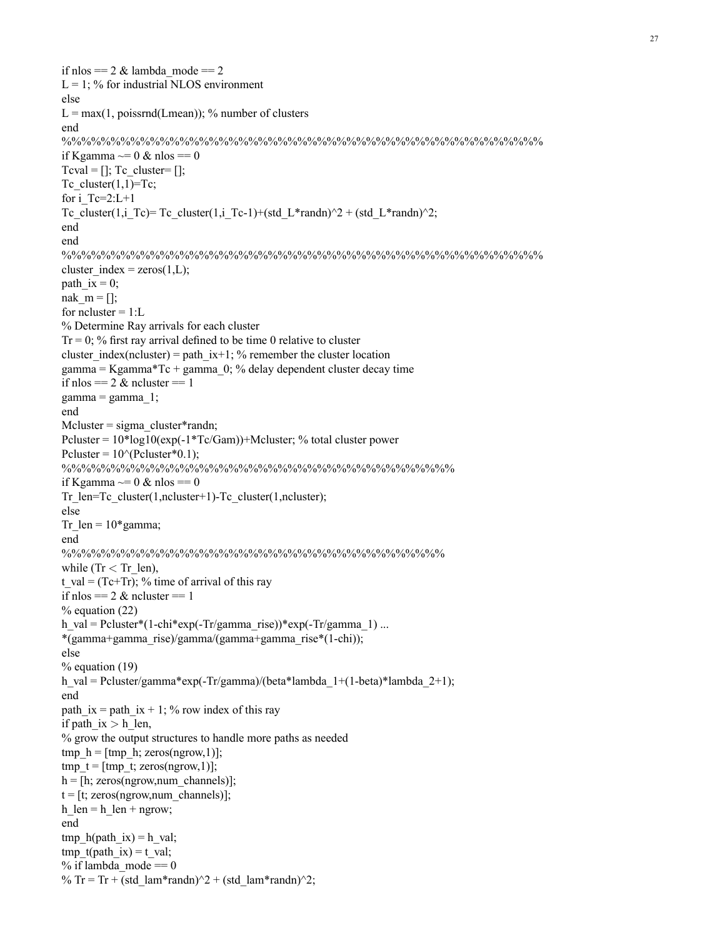if nlos =  $2 \&$  lambda mode =  $2$  $L = 1$ ; % for industrial NLOS environment else  $L = max(1, poissrnd(Lmean))$ ; % number of clusters end %%%%%%%%%%%%%%%%%%%%%%%%%%%%%%%%%%%%%%%%%%%%%%%%% if Kgamma  $\sim= 0 \&$  nlos  $= = 0$ Tcval =  $[]$ ; Tc\_cluster=  $[]$ ; Tc cluster $(1,1)=Tc$ ; for  $i$  Tc=2:L+1 Tc\_cluster(1,i\_Tc)= Tc\_cluster(1,i\_Tc-1)+(std\_L\*randn)^2 + (std\_L\*randn)^2; end end %%%%%%%%%%%%%%%%%%%%%%%%%%%%%%%%%%%%%%%%%%%%%%%%% cluster index = zeros $(1,L)$ ; path ix  $= 0$ ; nak  $m = []$ ; for ncluster  $= 1: L$ % Determine Ray arrivals for each cluster  $Tr = 0$ ; % first ray arrival defined to be time 0 relative to cluster cluster\_index(ncluster) = path\_ix+1; % remember the cluster location gamma = Kgamma\*Tc + gamma\_0; % delay dependent cluster decay time if nlos  $= 2 \&$  ncluster  $= 1$  $gamma = gamma_1;$ end Mcluster = sigma\_cluster\*randn; Pcluster = 10\*log10(exp(-1\*Tc/Gam))+Mcluster; % total cluster power Pcluster =  $10^{o}$ (Pcluster\*0.1); %%%%%%%%%%%%%%%%%%%%%%%%%%%%%%%%%%%%%%%% if Kgamma  $\sim= 0 \&$  nlos  $= = 0$ Tr\_len=Tc\_cluster(1,ncluster+1)-Tc\_cluster(1,ncluster); else Tr\_len =  $10*$ gamma; end %%%%%%%%%%%%%%%%%%%%%%%%%%%%%%%%%%%%%%% while (Tr  $<$  Tr len), t\_val =  $(Tc+Tr)$ ; % time of arrival of this ray if nlos  $== 2 &$  ncluster  $== 1$ % equation (22) h\_val = Pcluster\*(1-chi\*exp(-Tr/gamma\_rise))\*exp(-Tr/gamma\_1) ... \*(gamma+gamma\_rise)/gamma/(gamma+gamma\_rise\*(1-chi)); else % equation (19) h\_val = Pcluster/gamma\*exp(-Tr/gamma)/(beta\*lambda\_1+(1-beta)\*lambda\_2+1); end path ix = path ix + 1; % row index of this ray if path ix  $>$  h len, % grow the output structures to handle more paths as needed tmp\_h =  $[tmp h; zeros(ngrow,1)];$ tmp\_t =  $[tmp t; zeros(ngrow,1)];$  $h = [h; zeros(ngrow, num channels)]$ ;  $t = [t; zeros(ngrow, num channels)]$ ; h  $len = h$  len + ngrow; end tmp\_h(path\_ix) = h\_val; tmp  $t(path ix) = t val;$ % if lambda mode  $== 0$ % Tr = Tr + (std\_lam\*randn)^2 + (std\_lam\*randn)^2;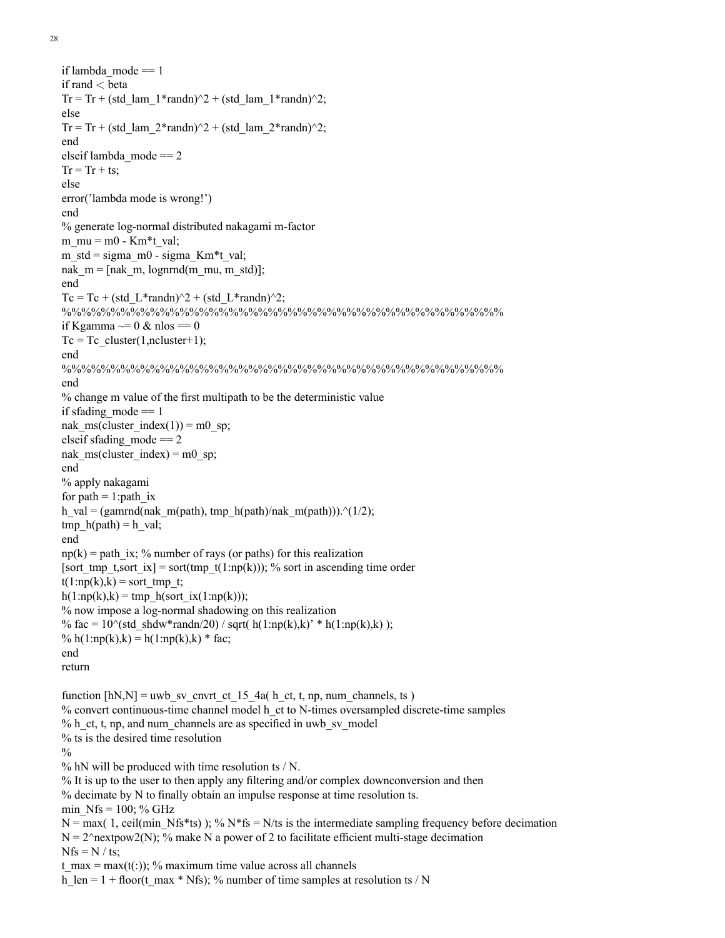28

```
if lambda mode == 1if rand < beta
Tr = Tr + (std_lam_1*randn)^2 + (std_lam_1*randn)^2;
else
Tr = Tr + (std_lam_2*randn)^2 + (std_lam_2*randn)^2;
end
elseif lambda_mode == 2
Tr = Tr + ts;
else
error('lambda mode is wrong!')
end
% generate log-normal distributed nakagami m-factor
m_mu = m0 - Km*t_val;
m_std = sigma_m0 - sigma_Km*t_val;
nak m = [nak \, m, \, lognrrnd(m \, mu, m \, std)];
end
Tc = Tc + (std L*randn)^2 + (std L*randn)^2;
%%%%%%%%%%%%%%%%%%%%%%%%%%%%%%%%%%%%%%%%%%%%%
if Kgamma \sim= 0 \& nlos == 0
Tc = Tc cluster(1,ncluster+1);
end
%%%%%%%%%%%%%%%%%%%%%%%%%%%%%%%%%%%%%%%%%%%%%
end
% change m value of the first multipath to be the deterministic value
if sfading mode == 1nak_ms(cluster_index(1)) = m0_sp;
elseif sfading mode == 2nak_ms(cluster_index) = m0_sp;
end
% apply nakagami
for path = 1: path ix
h_val = (gamrnd(nak_m(path), tmp_h(path)/nak_m(path))).^(1/2);
tmp_h(path) = h_val;
end
np(k) = path ix; % number of rays (or paths) for this realization
[sort_tmp_t,sort_ix] = sort(tmp_t(1:np(k))); % sort in ascending time order
t(1:np(k),k) = sort tmp_t;
h(1:np(k),k) = tmp_h(sort(x(1:np(k)));
% now impose a log-normal shadowing on this realization
% fac = 10^{\circ}(std_shdw*randn/20) / sqrt( h(1:np(k),k)' * h(1:np(k),k) );
% h(1:np(k),k) = h(1:np(k),k) * fac;
end
return
function [hN,N] = uwb sv cnvrt ct 15 4a( h ct, t, np, num_channels, ts )
% convert continuous-time channel model h_ct to N-times oversampled discrete-time samples
% h_ct, t, np, and num_channels are as specified in uwb_sv_model
% ts is the desired time resolution
0/6% hN will be produced with time resolution ts / N.
% It is up to the user to then apply any filtering and/or complex downconversion and then
% decimate by N to finally obtain an impulse response at time resolution ts.
min Nfs = 100; % GHz
N = \max(1, \text{ceil}(\text{min} Nfs*ts)); % N*fs = N/fs is the intermediate sampling frequency before decimation
N = 2^{\text{th}} make N a power of 2 to facilitate efficient multi-stage decimation
Nfs = N / ts;t_max = max(t(:)); % maximum time value across all channels
h len = 1 + floor(t max * Nfs); % number of time samples at resolution ts / N
```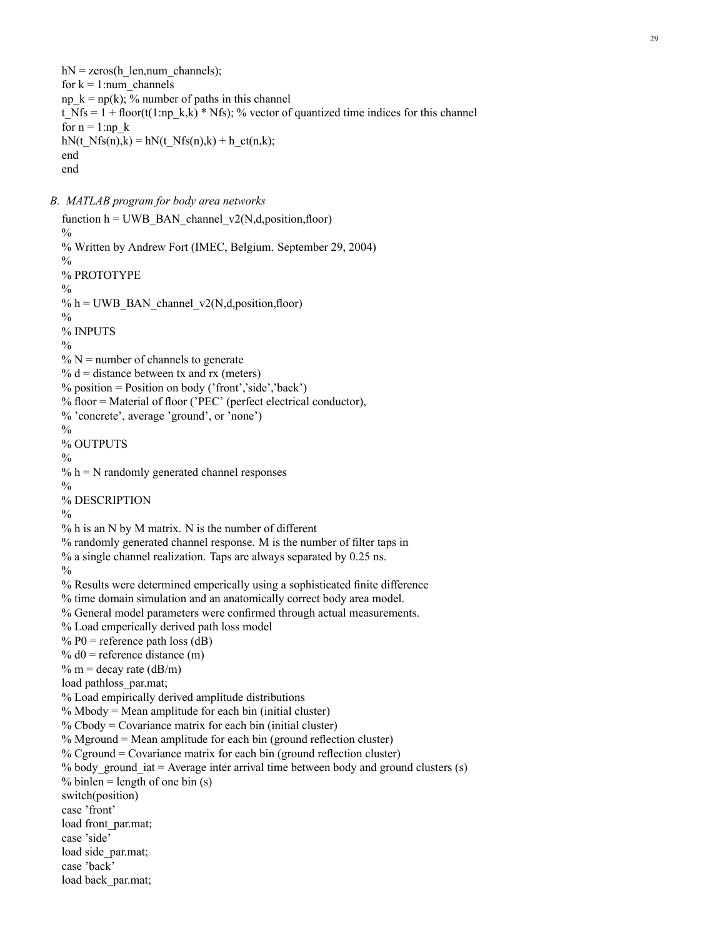*B. MATLAB program for body area networks*

```
function h = UWB BAN channel v2(N,d,position,floor)\frac{0}{0}% Written by Andrew Fort (IMEC, Belgium. September 29, 2004)
\frac{0}{0}% PROTOTYPE
\frac{0}{0}% h = UWB_BAN_channel_v2(N,d,position,floor)
\frac{0}{0}% INPUTS
\frac{0}{0}\% N = number of channels to generate
% d = distance between tx and rx (meters)% position = Position on body ('front','side','back')
% floor = Material of floor ('PEC' (perfect electrical conductor),
% 'concrete', average 'ground', or 'none')
\frac{0}{0}% OUTPUTS
\frac{0}{0}% h = N randomly generated channel responses
\frac{0}{0}% DESCRIPTION
0/2% h is an N by M matrix. N is the number of different
% randomly generated channel response. M is the number of filter taps in
% a single channel realization. Taps are always separated by 0.25 ns.
\frac{0}{0}% Results were determined emperically using a sophisticated finite difference
% time domain simulation and an anatomically correct body area model.
% General model parameters were confirmed through actual measurements.
% Load emperically derived path loss model
% P0 = reference path loss (dB)
% d0 = reference distance (m)
% m = decay rate (dB/m)
load pathloss par.mat;
% Load empirically derived amplitude distributions
% Mbody = Mean amplitude for each bin (initial cluster)
% Cbody = Covariance matrix for each bin (initial cluster)
% Mground = Mean amplitude for each bin (ground reflection cluster)
% Cground = Covariance matrix for each bin (ground reflection cluster)
% body ground iat = Average inter arrival time between body and ground clusters (s)
% binlen = length of one bin (s)
switch(position)
case 'front'
load front_par.mat;
case 'side'
load side_par.mat;
case 'back'
load back par.mat;
```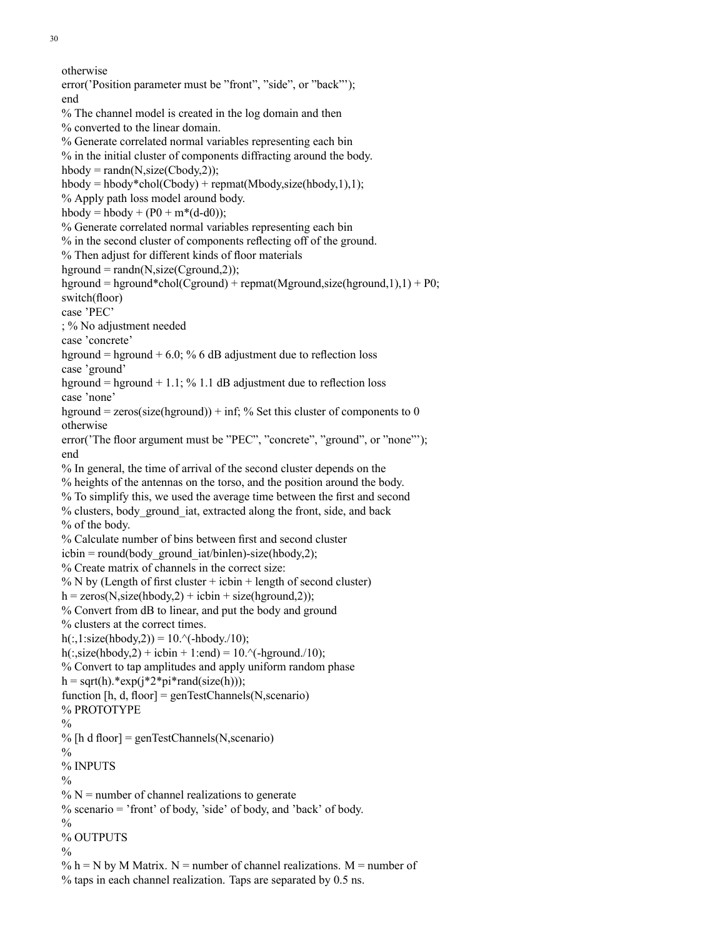30

```
otherwise
error('Position parameter must be "front", "side", or "back"');
end
% The channel model is created in the log domain and then
% converted to the linear domain.
% Generate correlated normal variables representing each bin
% in the initial cluster of components diffracting around the body.
hbody = randn(N, size(Cbody, 2));
hbody = hbody * chol(Cbody) + remat(Mbody, size(hbody,1),1);% Apply path loss model around body.
hbody = hbody + (P0 + m*(d-d0));
% Generate correlated normal variables representing each bin
% in the second cluster of components reflecting off of the ground.
% Then adjust for different kinds of floor materials
hground = randn(N, size(Cground, 2));
hground = hground*chol(Cground) + repmat(Mground,size(hground,1),1) + P0;
switch(floor)
case 'PEC'
; % No adjustment needed
case 'concrete'
hground = hground + 6.0; % 6 dB adjustment due to reflection loss
case 'ground'
hground = hground + 1.1; % 1.1 dB adjustment due to reflection loss
case 'none'
hground = zeros(size(hground)) + inf; % Set this cluster of components to 0
otherwise
error('The floor argument must be "PEC", "concrete", "ground", or "none"');
end
% In general, the time of arrival of the second cluster depends on the
% heights of the antennas on the torso, and the position around the body.
% To simplify this, we used the average time between the first and second
% clusters, body_ground_iat, extracted along the front, side, and back
% of the body.
% Calculate number of bins between first and second cluster
icbin = round(body ground iat/binlen) - size(hbody, 2);
% Create matrix of channels in the correct size:
% N by (Length of first cluster + icbin + length of second cluster)
h = zeros(N, size(hbody, 2) + icbin + size(hground, 2));% Convert from dB to linear, and put the body and ground
% clusters at the correct times.
h(:,1:size(hbody,2)) = 10.^(-hbody,10);h(:,size(hbody,2) + icbin + 1:end) = 10.^(-hground./10);
% Convert to tap amplitudes and apply uniform random phase
h = sqrt(h).*exp(i * 2 * pi * rand(size(h)));
function [h, d, floor] = genTestChannels(N, scenario)% PROTOTYPE
\frac{0}{0}% [h d floor] = genTestChannels(N, scenario)
\frac{0}{0}% INPUTS
\frac{0}{0}\% N = number of channel realizations to generate
% scenario = 'front' of body, 'side' of body, and 'back' of body.
\frac{0}{0}% OUTPUTS
\frac{0}{0}% h = N by M Matrix. N = number of channel realizations. M = number of
% taps in each channel realization. Taps are separated by 0.5 ns.
```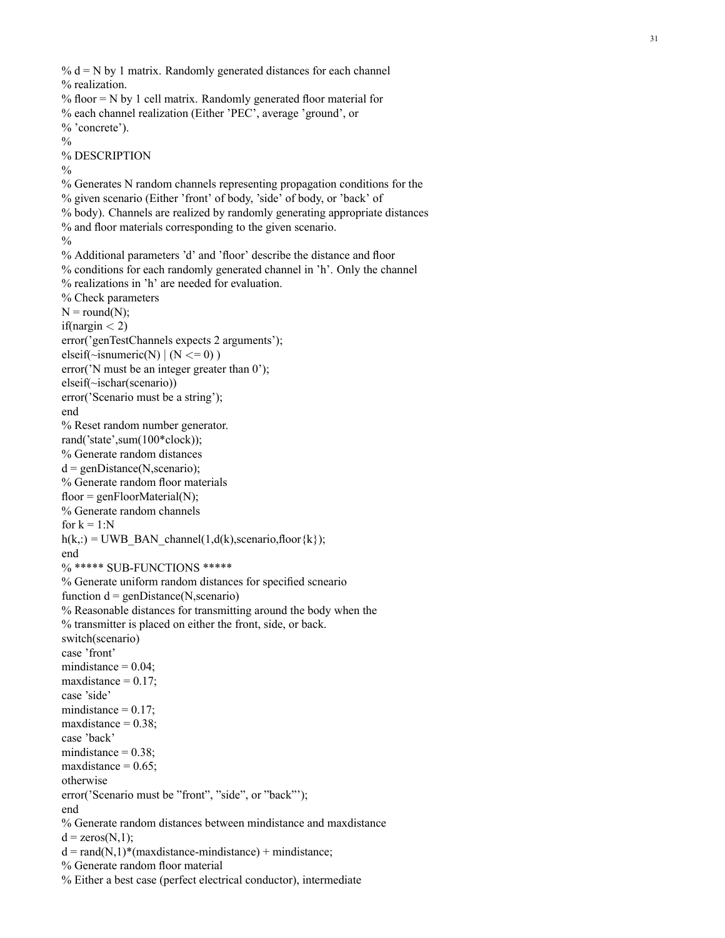%  $d = N$  by 1 matrix. Randomly generated distances for each channel % realization. % floor = N by 1 cell matrix. Randomly generated floor material for % each channel realization (Either 'PEC', average 'ground', or % 'concrete').  $\frac{0}{0}$ % DESCRIPTION  $\frac{0}{0}$ % Generates N random channels representing propagation conditions for the % given scenario (Either 'front' of body, 'side' of body, or 'back' of % body). Channels are realized by randomly generating appropriate distances % and floor materials corresponding to the given scenario.  $\frac{0}{0}$ % Additional parameters 'd' and ' floor' describe the distance and floor % conditions for each randomly generated channel in 'h'. Only the channel % realizations in 'h' are needed for evaluation. % Check parameters  $N = round(N);$ if(nargin  $<$  2) error('genTestChannels expects 2 arguments');  $\text{elseif}(\text{--isnumeric}(N) \mid (N \leq 0))$ error('N must be an integer greater than 0'); elseif(~ischar(scenario)) error('Scenario must be a string'); end % Reset random number generator. rand('state',sum(100\*clock)); % Generate random distances  $d = genDistance(N, scenario);$ % Generate random floor materials  $floor = genFloorMaterial(N);$ % Generate random channels for  $k = 1:N$  $h(k,:) = UWB$ \_BAN\_channel(1,d(k),scenario,floor{k}); end % \*\*\*\*\* SUB-FUNCTIONS \*\*\*\*\* % Generate uniform random distances for speci fied scneario function  $d = genDistance(N, scenario)$ % Reasonable distances for transmitting around the body when the % transmitter is placed on either the front, side, or back. switch(scenario) case 'front' mindistance  $= 0.04$ ; maxdistance  $= 0.17$ ; case 'side' mindistance  $= 0.17$ ; maxdistance  $= 0.38$ ; case 'back' mindistance  $= 0.38$ ; maxdistance  $= 0.65$ : otherwise error('Scenario must be "front", "side", or "back"'); end % Generate random distances between mindistance and maxdistance  $d = zeros(N,1)$ ;  $d = rand(N,1)*(maxdistance-mindistance) + mindistance;$ % Generate random floor material % Either a best case (perfect electrical conductor), intermediate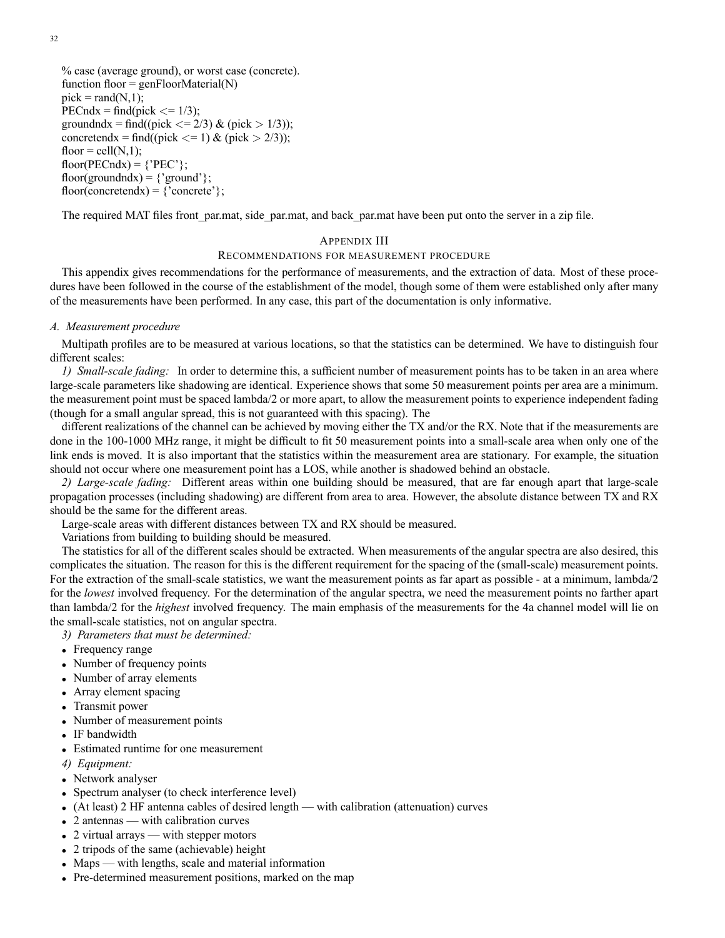32

```
% case (average ground), or worst case (concrete).
function floor = genFloorMaterial(N)pick = rand(N,1);PECndx = find(pick \leq 1/3);groundndx = find((pick \langle 2/3 \rangle \& (pick > 1/3));
concretendx = find((pick \langle = 1) & (pick > 2/3));
floor = cell(N,1);
floor(PECndx) = {^P}PEC'};
floor(groundndx) = \{'ground'\};
floor(concretendx) = \{'concrete'};
```
The required MAT files front\_par.mat, side\_par.mat, and back\_par.mat have been put onto the server in a zip file.

### APPENDIX III

### RECOMMENDATIONS FOR MEASUREMENT PROCEDURE

This appendix gives recommendations for the performance of measurements, and the extraction of data. Most of these procedures have been followed in the course of the establishment of the model, though some of them were established only after many of the measurements have been performed. In any case, this part of the documentation is only informative.

### *A. Measurement procedure*

Multipath profiles are to be measured at various locations, so that the statistics can be determined. We have to distinguish four different scales:

*1) Small-scale fading:* In order to determine this, a sufficient number of measurement points has to be taken in an area where large-scale parameters like shadowing are identical. Experience shows that some 50 measurement points per area are a minimum. the measurement point must be spaced lambda/2 or more apart, to allow the measurement points to experience independent fading (though for a small angular spread, this is not guaranteed with this spacing). The

different realizations of the channel can be achieved by moving either the TX and/or the RX. Note that if the measurements are done in the 100-1000 MHz range, it might be difficult to fit 50 measurement points into a small-scale area when only one of the link ends is moved. It is also important that the statistics within the measurement area are stationary. For example, the situation should not occur where one measurement point has a LOS, while another is shadowed behind an obstacle.

*2) Large-scale fading:* Different areas within one building should be measured, that are far enough apart that large-scale propagation processes (including shadowing) are different from area to area. However, the absolute distance between TX and RX should be the same for the different areas.

Large-scale areas with different distances between TX and RX should be measured.

Variations from building to building should be measured.

The statistics for all of the different scales should be extracted. When measurements of the angular spectra are also desired, this complicates the situation. The reason for this is the different requirement for the spacing of the (small-scale) measurement points. For the extraction of the small-scale statistics, we want the measurement points as far apart as possible - at a minimum, lambda/2 for the *lowest* involved frequency. For the determination of the angular spectra, we need the measurement points no farther apart than lambda/2 for the *highest* involved frequency. The main emphasis of the measurements for the 4a channel model will lie on the small-scale statistics, not on angular spectra.

*3) Parameters that must be determined:*

- Frequency range
- Number of frequency points
- Number of array elements
- Array element spacing
- Transmit power
- Number of measurement points
- IF bandwidth
- Estimated runtime for one measurement
- *4) Equipment:*
- Network analyser
- Spectrum analyser (to check interference level)
- (At least) 2 HF antenna cables of desired length with calibration (attenuation) curves
- 2 antennas with calibration curves
- 2 virtual arrays with stepper motors
- 2 tripods of the same (achievable) height
- Maps with lengths, scale and material information
- Pre-determined measurement positions, marked on the map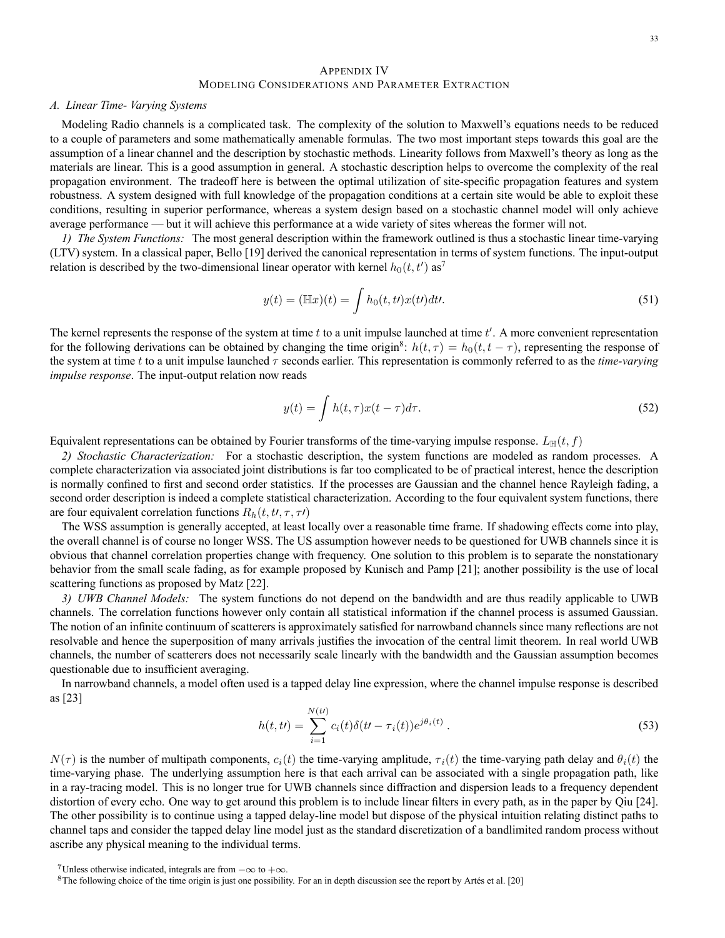### APPENDIX IV MODELING CONSIDERATIONS AND PARAMETER EXTRACTION

#### *A. Linear Time- Varying Systems*

Modeling Radio channels is a complicated task. The complexity of the solution to Maxwell's equations needs to be reduced to a couple of parameters and some mathematically amenable formulas. The two most important steps towards this goal are the assumption of a linear channel and the description by stochastic methods. Linearity follows from Maxwell's theory as long as the materials are linear. This is a good assumption in general. A stochastic description helps to overcome the complexity of the real propagation environment. The tradeoff here is between the optimal utilization of site-specific propagation features and system robustness. A system designed with full knowledge of the propagation conditions at a certain site would be able to exploit these conditions, resulting in superior performance, whereas a system design based on a stochastic channel model will only achieve average performance — but it will achieve this performance at a wide variety of sites whereas the former will not.

*1) The System Functions:* The most general description within the framework outlined is thus a stochastic linear time-varying (LTV) system. In a classical paper, Bello [19] derived the canonical representation in terms of system functions. The input-output relation is described by the two-dimensional linear operator with kernel  $h_0(t, t')$  as<sup>7</sup>

$$
y(t) = (\mathbb{H}x)(t) = \int h_0(t, t) x(t) dt.
$$
\n(51)

The kernel represents the response of the system at time  $t$  to a unit impulse launched at time  $t'$ . A more convenient representation for the following derivations can be obtained by changing the time origin<sup>8</sup>:  $h(t, \tau) = h_0(t, t - \tau)$ , representing the response of the system at time t to a unit impulse launched τ seconds earlier. This representation is commonly referred to as the *time-varying impulse response*. The input-output relation now reads

$$
y(t) = \int h(t,\tau)x(t-\tau)d\tau.
$$
 (52)

Equivalent representations can be obtained by Fourier transforms of the time-varying impulse response.  $L_{\mathbb{H}}(t, f)$ 

*2) Stochastic Characterization:* For a stochastic description, the system functions are modeled as random processes. A complete characterization via associated joint distributions is far too complicated to be of practical interest, hence the description is normally confined to first and second order statistics. If the processes are Gaussian and the channel hence Rayleigh fading, a second order description is indeed a complete statistical characterization. According to the four equivalent system functions, there are four equivalent correlation functions  $R_h(t, t, \tau, \tau)$ 

The WSS assumption is generally accepted, at least locally over a reasonable time frame. If shadowing effects come into play, the overall channel is of course no longer WSS. The US assumption however needs to be questioned for UWB channels since it is obvious that channel correlation properties change with frequency. One solution to this problem is to separate the nonstationary behavior from the small scale fading, as for example proposed by Kunisch and Pamp [21]; another possibility is the use of local scattering functions as proposed by Matz [22].

*3) UWB Channel Models:* The system functions do not depend on the bandwidth and are thus readily applicable to UWB channels. The correlation functions however only contain all statistical information if the channel process is assumed Gaussian. The notion of an infinite continuum of scatterers is approximately satisfied for narrowband channels since many reflections are not resolvable and hence the superposition of many arrivals justifies the invocation of the central limit theorem. In real world UWB channels, the number of scatterers does not necessarily scale linearly with the bandwidth and the Gaussian assumption becomes questionable due to insufficient averaging.

In narrowband channels, a model often used is a tapped delay line expression, where the channel impulse response is described as [23]

$$
h(t, t) = \sum_{i=1}^{N(t)} c_i(t) \delta(t - \tau_i(t)) e^{j\theta_i(t)}.
$$
\n(53)

 $N(\tau)$  is the number of multipath components,  $c_i(t)$  the time-varying amplitude,  $\tau_i(t)$  the time-varying path delay and  $\theta_i(t)$  the time-varying phase. The underlying assumption here is that each arrival can be associated with a single propagation path, like in a ray-tracing model. This is no longer true for UWB channels since diffraction and dispersion leads to a frequency dependent distortion of every echo. One way to get around this problem is to include linear filters in every path, as in the paper by Qiu [24]. The other possibility is to continue using a tapped delay-line model but dispose of the physical intuition relating distinct paths to channel taps and consider the tapped delay line model just as the standard discretization of a bandlimited random process without ascribe any physical meaning to the individual terms.

 $7$ Unless otherwise indicated, integrals are from  $-\infty$  to  $+\infty$ .<br><sup>8</sup>The following choice of the time origin is just one possibility. For an in depth discussion see the report by Artés et al. [20]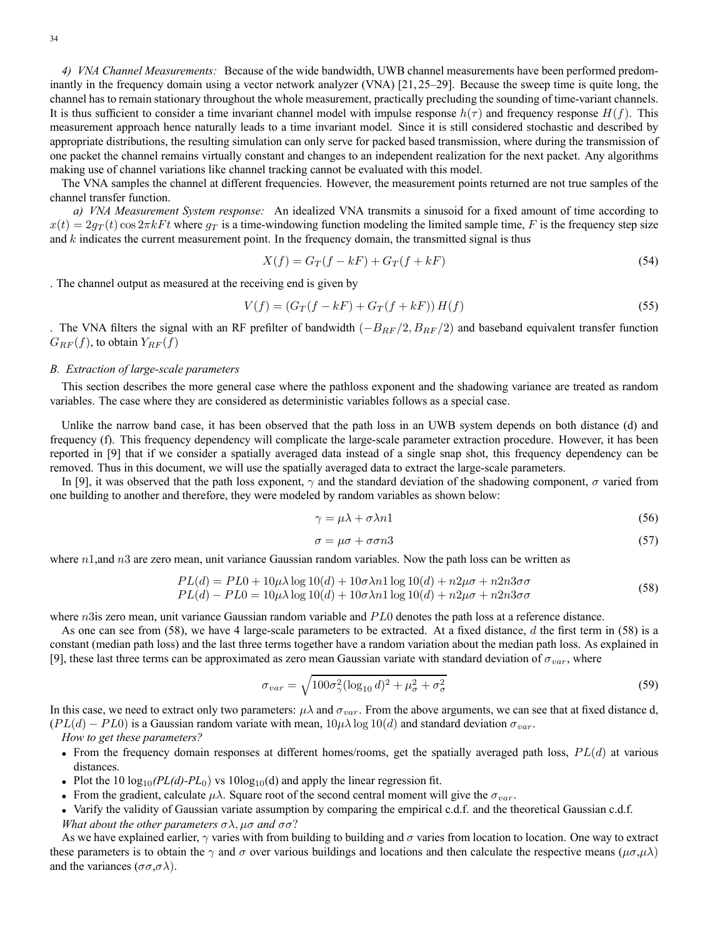*4) VNA Channel Measurements:* Because of the wide bandwidth, UWB channel measurements have been performed predominantly in the frequency domain using a vector network analyzer (VNA) [21, 25–29]. Because the sweep time is quite long, the channel has to remain stationary throughout the whole measurement, practically precluding the sounding of time-variant channels. It is thus sufficient to consider a time invariant channel model with impulse response  $h(\tau)$  and frequency response  $H(f)$ . This measurement approach hence naturally leads to a time invariant model. Since it is still considered stochastic and described by appropriate distributions, the resulting simulation can only serve for packed based transmission, where during the transmission of one packet the channel remains virtually constant and changes to an independent realization for the next packet. Any algorithms making use of channel variations like channel tracking cannot be evaluated with this model.

The VNA samples the channel at different frequencies. However, the measurement points returned are not true samples of the channel transfer function.

*a) VNA Measurement System response:* An idealized VNA transmits a sinusoid for a fixed amount of time according to  $x(t)=2g_T (t) \cos 2\pi kF t$  where  $g_T$  is a time-windowing function modeling the limited sample time, F is the frequency step size and  $k$  indicates the current measurement point. In the frequency domain, the transmitted signal is thus

$$
X(f) = G_T(f - kF) + G_T(f + kF) \tag{54}
$$

. The channel output as measured at the receiving end is given by

$$
V(f) = (G_T(f - kF) + G_T(f + kF))H(f)
$$
\n(55)

. The VNA filters the signal with an RF prefilter of bandwidth  $(-B_{RF}/2, B_{RF}/2)$  and baseband equivalent transfer function  $G_{RF}(f)$ , to obtain  $Y_{RF}(f)$ 

### *B. Extraction of large-scale parameters*

This section describes the more general case where the pathloss exponent and the shadowing variance are treated as random variables. The case where they are considered as deterministic variables follows as a special case.

Unlike the narrow band case, it has been observed that the path loss in an UWB system depends on both distance (d) and frequency (f). This frequency dependency will complicate the large-scale parameter extraction procedure. However, it has been reported in [9] that if we consider a spatially averaged data instead of a single snap shot, this frequency dependency can be removed. Thus in this document, we will use the spatially averaged data to extract the large-scale parameters.

In [9], it was observed that the path loss exponent,  $\gamma$  and the standard deviation of the shadowing component,  $\sigma$  varied from one building to another and therefore, they were modeled by random variables as shown below:

$$
\gamma = \mu \lambda + \sigma \lambda n1 \tag{56}
$$

$$
\sigma = \mu \sigma + \sigma \sigma n 3 \tag{57}
$$

where  $n1$ , and  $n3$  are zero mean, unit variance Gaussian random variables. Now the path loss can be written as

$$
PL(d) = PL0 + 10\mu\lambda \log 10(d) + 10\sigma\lambda n1 \log 10(d) + n2\mu\sigma + n2n3\sigma\sigma
$$
  
\n
$$
PL(d) - PL0 = 10\mu\lambda \log 10(d) + 10\sigma\lambda n1 \log 10(d) + n2\mu\sigma + n2n3\sigma\sigma
$$
\n(58)

where n3is zero mean, unit variance Gaussian random variable and PL0 denotes the path loss at a reference distance.

As one can see from  $(58)$ , we have 4 large-scale parameters to be extracted. At a fixed distance, d the first term in  $(58)$  is a constant (median path loss) and the last three terms together have a random variation about the median path loss. As explained in [9], these last three terms can be approximated as zero mean Gaussian variate with standard deviation of  $\sigma_{var}$ , where

$$
\sigma_{var} = \sqrt{100\sigma_{\gamma}^2 (\log_{10} d)^2 + \mu_{\sigma}^2 + \sigma_{\sigma}^2}
$$
\n(59)

In this case, we need to extract only two parameters:  $\mu\lambda$  and  $\sigma_{var}$ . From the above arguments, we can see that at fixed distance d,  $(PL(d) - PL0)$  is a Gaussian random variate with mean,  $10\mu\lambda \log 10(d)$  and standard deviation  $\sigma_{var}$ .

*How to get these parameters?*

- From the frequency domain responses at different homes/rooms, get the spatially averaged path loss,  $PL(d)$  at various distances.
- Plot the 10  $log_{10}(PL(d)-PL_0)$  vs  $10log_{10}(d)$  and apply the linear regression fit.
- From the gradient, calculate  $\mu\lambda$ . Square root of the second central moment will give the  $\sigma_{var}$ .
- Varify the validity of Gaussian variate assumption by comparing the empirical c.d.f. and the theoretical Gaussian c.d.f. *What about the other parameters*  $\sigma \lambda$ ,  $\mu \sigma$  *and*  $\sigma \sigma$ ?

As we have explained earlier,  $\gamma$  varies with from building to building and  $\sigma$  varies from location to location. One way to extract these parameters is to obtain the  $\gamma$  and  $\sigma$  over various buildings and locations and then calculate the respective means ( $\mu\sigma,\mu\lambda$ ) and the variances ( $\sigma\sigma$ , $\sigma\lambda$ ).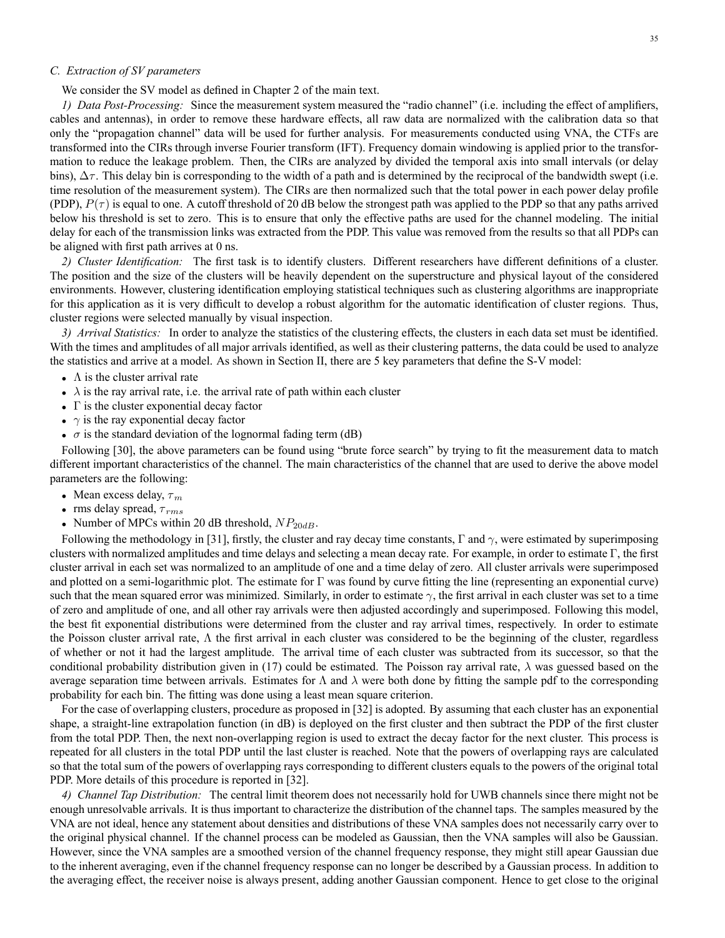### *C. Extraction of SV parameters*

We consider the SV model as defined in Chapter 2 of the main text.

*1) Data Post-Processing:* Since the measurement system measured the "radio channel" (i.e. including the effect of amplifiers, cables and antennas), in order to remove these hardware effects, all raw data are normalized with the calibration data so that only the "propagation channel" data will be used for further analysis. For measurements conducted using VNA, the CTFs are transformed into the CIRs through inverse Fourier transform (IFT). Frequency domain windowing is applied prior to the transformation to reduce the leakage problem. Then, the CIRs are analyzed by divided the temporal axis into small intervals (or delay bins),  $\Delta \tau$ . This delay bin is corresponding to the width of a path and is determined by the reciprocal of the bandwidth swept (i.e. time resolution of the measurement system). The CIRs are then normalized such that the total power in each power delay profile (PDP),  $P(\tau)$  is equal to one. A cutoff threshold of 20 dB below the strongest path was applied to the PDP so that any paths arrived below his threshold is set to zero. This is to ensure that only the effective paths are used for the channel modeling. The initial delay for each of the transmission links was extracted from the PDP. This value was removed from the results so that all PDPs can be aligned with first path arrives at 0 ns.

*2) Cluster Identification:* The first task is to identify clusters. Different researchers have different definitions of a cluster. The position and the size of the clusters will be heavily dependent on the superstructure and physical layout of the considered environments. However, clustering identification employing statistical techniques such as clustering algorithms are inappropriate for this application as it is very difficult to develop a robust algorithm for the automatic identification of cluster regions. Thus, cluster regions were selected manually by visual inspection.

*3) Arrival Statistics:* In order to analyze the statistics of the clustering effects, the clusters in each data set must be identified. With the times and amplitudes of all major arrivals identified, as well as their clustering patterns, the data could be used to analyze the statistics and arrive at a model. As shown in Section II, there are 5 key parameters that define the S-V model:

- $\Lambda$  is the cluster arrival rate
- $\lambda$  is the ray arrival rate, i.e. the arrival rate of path within each cluster
- $\Gamma$  is the cluster exponential decay factor
- $\gamma$  is the ray exponential decay factor
- $\sigma$  is the standard deviation of the lognormal fading term (dB)

Following [30], the above parameters can be found using "brute force search" by trying to fit the measurement data to match different important characteristics of the channel. The main characteristics of the channel that are used to derive the above model parameters are the following:

- Mean excess delay,  $\tau_m$
- rms delay spread,  $\tau_{rms}$
- Number of MPCs within 20 dB threshold,  $NP_{20dB}$ .

Following the methodology in [31], firstly, the cluster and ray decay time constants, Γ and  $\gamma$ , were estimated by superimposing clusters with normalized amplitudes and time delays and selecting a mean decay rate. For example, in order to estimate  $\Gamma$ , the first cluster arrival in each set was normalized to an amplitude of one and a time delay of zero. All cluster arrivals were superimposed and plotted on a semi-logarithmic plot. The estimate for  $\Gamma$  was found by curve fitting the line (representing an exponential curve) such that the mean squared error was minimized. Similarly, in order to estimate  $\gamma$ , the first arrival in each cluster was set to a time of zero and amplitude of one, and all other ray arrivals were then adjusted accordingly and superimposed. Following this model, the best fit exponential distributions were determined from the cluster and ray arrival times, respectively. In order to estimate the Poisson cluster arrival rate,  $\Lambda$  the first arrival in each cluster was considered to be the beginning of the cluster, regardless of whether or not it had the largest amplitude. The arrival time of each cluster was subtracted from its successor, so that the conditional probability distribution given in (17) could be estimated. The Poisson ray arrival rate,  $\lambda$  was guessed based on the average separation time between arrivals. Estimates for  $\Lambda$  and  $\lambda$  were both done by fitting the sample pdf to the corresponding probability for each bin. The fitting was done using a least mean square criterion.

For the case of overlapping clusters, procedure as proposed in [32] is adopted. By assuming that each cluster has an exponential shape, a straight-line extrapolation function (in dB) is deployed on the first cluster and then subtract the PDP of the first cluster from the total PDP. Then, the next non-overlapping region is used to extract the decay factor for the next cluster. This process is repeated for all clusters in the total PDP until the last cluster is reached. Note that the powers of overlapping rays are calculated so that the total sum of the powers of overlapping rays corresponding to different clusters equals to the powers of the original total PDP. More details of this procedure is reported in [32].

*4) Channel Tap Distribution:* The central limit theorem does not necessarily hold for UWB channels since there might not be enough unresolvable arrivals. It is thus important to characterize the distribution of the channel taps. The samples measured by the VNA are not ideal, hence any statement about densities and distributions of these VNA samples does not necessarily carry over to the original physical channel. If the channel process can be modeled as Gaussian, then the VNA samples will also be Gaussian. However, since the VNA samples are a smoothed version of the channel frequency response, they might still apear Gaussian due to the inherent averaging, even if the channel frequency response can no longer be described by a Gaussian process. In addition to the averaging effect, the receiver noise is always present, adding another Gaussian component. Hence to get close to the original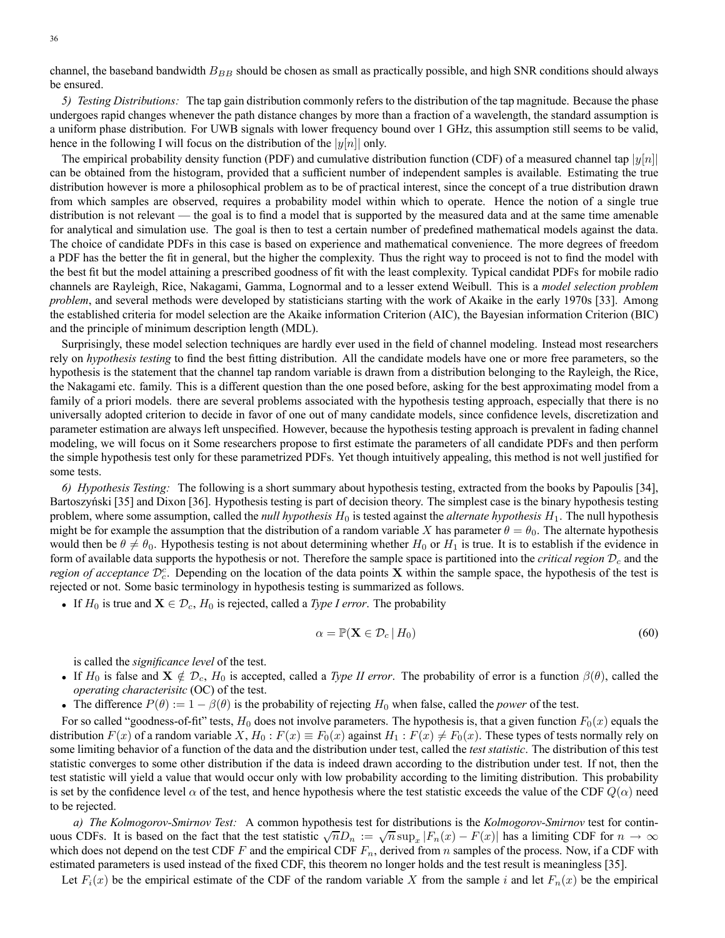36

channel, the baseband bandwidth  $B_{BB}$  should be chosen as small as practically possible, and high SNR conditions should always be ensured.

*5) Testing Distributions:* The tap gain distribution commonly refers to the distribution of the tap magnitude. Because the phase undergoes rapid changes whenever the path distance changes by more than a fraction of a wavelength, the standard assumption is a uniform phase distribution. For UWB signals with lower frequency bound over 1 GHz, this assumption still seems to be valid, hence in the following I will focus on the distribution of the  $|y[n]|$  only.

The empirical probability density function (PDF) and cumulative distribution function (CDF) of a measured channel tap  $|y[n]|$ can be obtained from the histogram, provided that a sufficient number of independent samples is available. Estimating the true distribution however is more a philosophical problem as to be of practical interest, since the concept of a true distribution drawn from which samples are observed, requires a probability model within which to operate. Hence the notion of a single true distribution is not relevant — the goal is to find a model that is supported by the measured data and at the same time amenable for analytical and simulation use. The goal is then to test a certain number of predefined mathematical models against the data. The choice of candidate PDFs in this case is based on experience and mathematical convenience. The more degrees of freedom a PDF has the better the fit in general, but the higher the complexity. Thus the right way to proceed is not to find the model with the best fit but the model attaining a prescribed goodness of fit with the least complexity. Typical candidat PDFs for mobile radio channels are Rayleigh, Rice, Nakagami, Gamma, Lognormal and to a lesser extend Weibull. This is a *model selection problem problem*, and several methods were developed by statisticians starting with the work of Akaike in the early 1970s [33]. Among the established criteria for model selection are the Akaike information Criterion (AIC), the Bayesian information Criterion (BIC) and the principle of minimum description length (MDL).

Surprisingly, these model selection techniques are hardly ever used in the field of channel modeling. Instead most researchers rely on *hypothesis testing* to find the best fitting distribution. All the candidate models have one or more free parameters, so the hypothesis is the statement that the channel tap random variable is drawn from a distribution belonging to the Rayleigh, the Rice, the Nakagami etc. family. This is a different question than the one posed before, asking for the best approximating model from a family of a priori models. there are several problems associated with the hypothesis testing approach, especially that there is no universally adopted criterion to decide in favor of one out of many candidate models, since confidence levels, discretization and parameter estimation are always left unspecified. However, because the hypothesis testing approach is prevalent in fading channel modeling, we will focus on it Some researchers propose to first estimate the parameters of all candidate PDFs and then perform the simple hypothesis test only for these parametrized PDFs. Yet though intuitively appealing, this method is not well justified for some tests.

*6) Hypothesis Testing:* The following is a short summary about hypothesis testing, extracted from the books by Papoulis [34], Bartoszyński [35] and Dixon [36]. Hypothesis testing is part of decision theory. The simplest case is the binary hypothesis testing problem, where some assumption, called the *null hypothesis*  $H_0$  is tested against the *alternate hypothesis*  $H_1$ . The null hypothesis might be for example the assumption that the distribution of a random variable X has parameter  $\theta = \theta_0$ . The alternate hypothesis would then be  $\theta \neq \theta_0$ . Hypothesis testing is not about determining whether  $H_0$  or  $H_1$  is true. It is to establish if the evidence in form of available data supports the hypothesis or not. Therefore the sample space is partitioned into the *critical region*  $\mathcal{D}_c$  and the *region of acceptance*  $\mathcal{D}_c^c$ . Depending on the location of the data points **X** within the sample space, the hypothesis of the test is rejected or not. Some basic terminology in hypothesis testing is summarized as follows.

• If  $H_0$  is true and  $X \in \mathcal{D}_c$ ,  $H_0$  is rejected, called a *Type I error*. The probability

$$
\alpha = \mathbb{P}(\mathbf{X} \in \mathcal{D}_c | H_0) \tag{60}
$$

is called the *significance level* of the test.

- If  $H_0$  is false and  $\mathbf{X} \notin \mathcal{D}_c$ ,  $H_0$  is accepted, called a *Type II error*. The probability of error is a function  $\beta(\theta)$ , called the *operating characterisitc* (OC) of the test.
- The difference  $P(\theta) := 1 \beta(\theta)$  is the probability of rejecting  $H_0$  when false, called the *power* of the test.

For so called "goodness-of-fit" tests,  $H_0$  does not involve parameters. The hypothesis is, that a given function  $F_0(x)$  equals the distribution  $F(x)$  of a random variable X,  $H_0$ :  $F(x) \equiv F_0(x)$  against  $H_1$ :  $F(x) \neq F_0(x)$ . These types of tests normally rely on some limiting behavior of a function of the data and the distribution under test, called the *test statistic*. The distribution of this test statistic converges to some other distribution if the data is indeed drawn according to the distribution under test. If not, then the test statistic will yield a value that would occur only with low probability according to the limiting distribution. This probability is set by the confidence level  $\alpha$  of the test, and hence hypothesis where the test statistic exceeds the value of the CDF  $Q(\alpha)$  need to be rejected.

*a) The Kolmogorov-Smirnov Test:* A common hypothesis test for distributions is the *Kolmogorov-Smirnov* test for continuous CDFs. It is based on the fact that the test statistic  $\sqrt{n}D_n := \sqrt{n} \sup_x |F_n(x) - F(x)|$  has a limiting CDF for  $n \to \infty$ which does not depend on the test CDF F and the empirical CDF  $F_n$ , derived from n samples of the process. Now, if a CDF with estimated parameters is used instead of the fixed CDF, this theorem no longer holds and the test result is meaningless [35].

Let  $F_i(x)$  be the empirical estimate of the CDF of the random variable X from the sample i and let  $F_n(x)$  be the empirical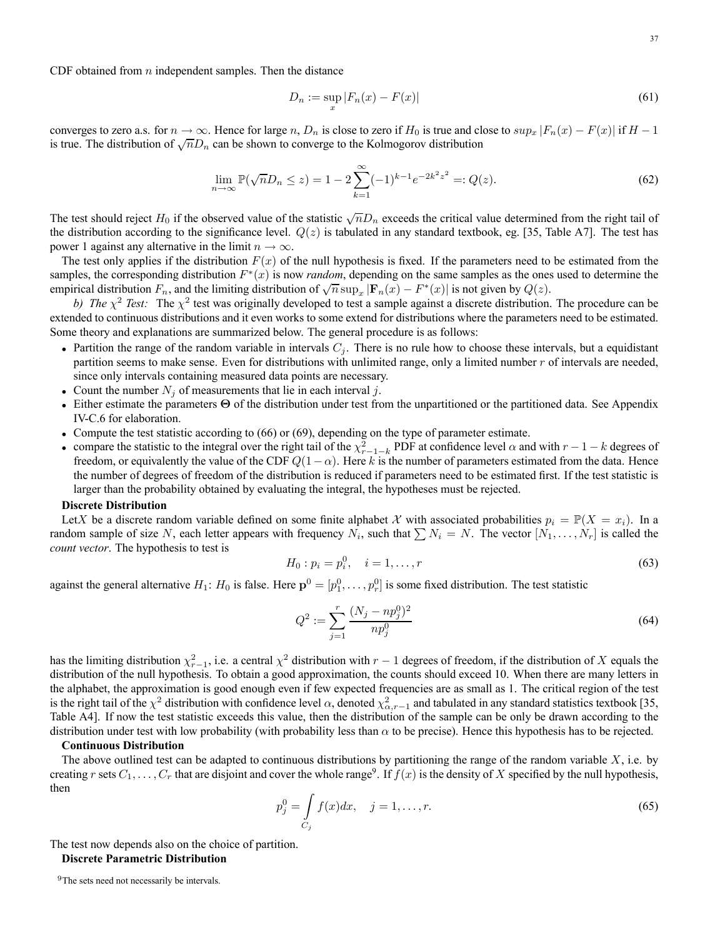CDF obtained from  $n$  independent samples. Then the distance

$$
D_n := \sup_x |F_n(x) - F(x)| \tag{61}
$$

converges to zero a.s. for  $n \to \infty$ . Hence for large n,  $D_n$  is close to zero if  $H_0$  is true and close to  $sup_x |F_n(x) - F(x)|$  if  $H - 1$ is true. The distribution of  $\sqrt{n}D_n$  can be shown to converge to the Kolmogorov distribution

$$
\lim_{n \to \infty} \mathbb{P}(\sqrt{n}D_n \le z) = 1 - 2 \sum_{k=1}^{\infty} (-1)^{k-1} e^{-2k^2 z^2} =: Q(z).
$$
 (62)

The test should reject  $H_0$  if the observed value of the statistic  $\sqrt{n}D_n$  exceeds the critical value determined from the right tail of the distribution according to the significance level.  $Q(z)$  is tabulated in any standard textbook, eg. [35, Table A7]. The test has power 1 against any alternative in the limit  $n \to \infty$ .

The test only applies if the distribution  $F(x)$  of the null hypothesis is fixed. If the parameters need to be estimated from the samples, the corresponding distribution  $F^*(x)$  is now *random*, depending on the same samples as the ones used to determine the empirical distribution  $F_n$ , and the limiting distribution of  $\sqrt{n} \sup_x |\mathbf{F}_n(x) - F^*(x)|$  is not given by  $Q(z)$ .

*b)* The  $\chi^2$  Test: The  $\chi^2$  test was originally developed to test a sample against a discrete distribution. The procedure can be extended to continuous distributions and it even works to some extend for distributions where the parameters need to be estimated. Some theory and explanations are summarized below. The general procedure is as follows:

- Partition the range of the random variable in intervals  $C_j$ . There is no rule how to choose these intervals, but a equidistant partition seems to make sense. Even for distributions with unlimited range, only a limited number  $r$  of intervals are needed, since only intervals containing measured data points are necessary.
- Count the number  $N_i$  of measurements that lie in each interval j.
- Either estimate the parameters Θ of the distribution under test from the unpartitioned or the partitioned data. See Appendix IV-C.6 for elaboration.
- Compute the test statistic according to (66) or (69), depending on the type of parameter estimate.
- compare the statistic to the integral over the right tail of the  $\chi^2_{r-1-k}$  PDF at confidence level  $\alpha$  and with  $r-1-k$  degrees of freedom, or equivalently the value of the CDF  $Q(1-\alpha)$ . Here k is the number of parameters estimated from the data. Hence the number of degrees of freedom of the distribution is reduced if parameters need to be estimated first. If the test statistic is larger than the probability obtained by evaluating the integral, the hypotheses must be rejected.

#### **Discrete Distribution**

LetX be a discrete random variable defined on some finite alphabet X with associated probabilities  $p_i = \mathbb{P}(X = x_i)$ . In a random sample of size N, each letter appears with frequency  $N_i$ , such that  $\sum N_i = N$ . The vector  $[N_1,\ldots,N_r]$  is called the *count vector*. The hypothesis to test is

$$
H_0: p_i = p_i^0, \quad i = 1, \dots, r \tag{63}
$$

against the general alternative  $H_1$ :  $H_0$  is false. Here  $\mathbf{p}^0 = [p_1^0, \dots, p_r^0]$  is some fixed distribution. The test statistic

$$
Q^2 := \sum_{j=1}^r \frac{(N_j - np_j^0)^2}{np_j^0} \tag{64}
$$

has the limiting distribution  $\chi^2_{r-1}$ , i.e. a central  $\chi^2$  distribution with  $r-1$  degrees of freedom, if the distribution of X equals the distribution of the null hypothesis. To obtain a good approximation, the counts should exceed 10. When there are many letters in the alphabet, the approximation is good enough even if few expected frequencies are as small as 1. The critical region of the test is the right tail of the  $\chi^2$  distribution with confidence level  $\alpha$ , denoted  $\chi^2_{\alpha,r-1}$  and tabulated in any standard statistics textbook [35, Table A4]. If now the test statistic exceeds this value, then the distribution of the sample can be only be drawn according to the distribution under test with low probability (with probability less than  $\alpha$  to be precise). Hence this hypothesis has to be rejected.

#### **Continuous Distribution**

The above outlined test can be adapted to continuous distributions by partitioning the range of the random variable  $X$ , i.e. by creating r sets  $C_1, \ldots, C_r$  that are disjoint and cover the whole range<sup>9</sup>. If  $f(x)$  is the density of X specified by the null hypothesis, then

$$
p_j^0 = \int_{C_j} f(x)dx, \quad j = 1, \dots, r.
$$
 (65)

The test now depends also on the choice of partition. **Discrete Parametric Distribution**

<sup>&</sup>lt;sup>9</sup>The sets need not necessarily be intervals.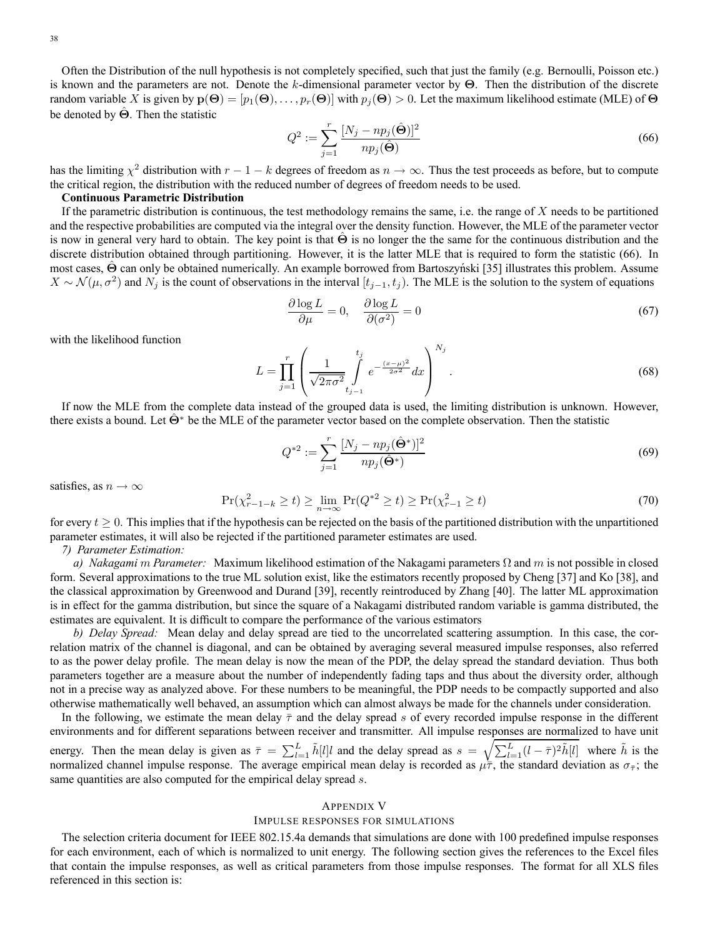Often the Distribution of the null hypothesis is not completely specified, such that just the family (e.g. Bernoulli, Poisson etc.) is known and the parameters are not. Denote the k-dimensional parameter vector by  $\Theta$ . Then the distribution of the discrete random variable X is given by  $p(\Theta)=[p_1(\Theta),...,p_r(\Theta)]$  with  $p_i(\Theta) > 0$ . Let the maximum likelihood estimate (MLE) of  $\Theta$ be denoted by  $\Theta$ . Then the statistic

$$
Q^2 := \sum_{j=1}^r \frac{[N_j - np_j(\hat{\Theta})]^2}{np_j(\hat{\Theta})}
$$
(66)

has the limiting  $\chi^2$  distribution with  $r - 1 - k$  degrees of freedom as  $n \to \infty$ . Thus the test proceeds as before, but to compute the critical region, the distribution with the reduced number of degrees of freedom needs to be used.

### **Continuous Parametric Distribution**

If the parametric distribution is continuous, the test methodology remains the same, i.e. the range of  $X$  needs to be partitioned and the respective probabilities are computed via the integral over the density function. However, the MLE of the parameter vector is now in general very hard to obtain. The key point is that  $\Theta$  is no longer the the same for the continuous distribution and the discrete distribution obtained through partitioning. However, it is the latter MLE that is required to form the statistic (66). In most cases, Θ can only be obtained numerically. An example borrowed from Bartoszyński [35] illustrates this problem. Assume  $X \sim \mathcal{N}(\mu, \sigma^2)$  and  $N_j$  is the count of observations in the interval  $[t_{j-1}, t_j)$ . The MLE is the solution to the system of equations

$$
\frac{\partial \log L}{\partial \mu} = 0, \quad \frac{\partial \log L}{\partial (\sigma^2)} = 0 \tag{67}
$$

with the likelihood function

$$
L = \prod_{j=1}^{r} \left( \frac{1}{\sqrt{2\pi\sigma^2}} \int_{t_{j-1}}^{t_j} e^{-\frac{(x-\mu)^2}{2\sigma^2}} dx \right)^{N_j}.
$$
 (68)

If now the MLE from the complete data instead of the grouped data is used, the limiting distribution is unknown. However, there exists a bound. Let  $\Theta^*$  be the MLE of the parameter vector based on the complete observation. Then the statistic

$$
Q^{*2} := \sum_{j=1}^{r} \frac{[N_j - np_j(\hat{\Theta}^*)]^2}{np_j(\hat{\Theta}^*)}
$$
(69)

satisfies, as  $n \to \infty$ 

$$
\Pr(\chi_{r-1-k}^2 \ge t) \ge \lim_{n \to \infty} \Pr(Q^{*2} \ge t) \ge \Pr(\chi_{r-1}^2 \ge t)
$$
\n(70)

for every  $t \geq 0$ . This implies that if the hypothesis can be rejected on the basis of the partitioned distribution with the unpartitioned parameter estimates, it will also be rejected if the partitioned parameter estimates are used.

*7) Parameter Estimation:*

*a) Nakagami* m *Parameter:* Maximum likelihood estimation of the Nakagami parameters Ω and m is not possible in closed form. Several approximations to the true ML solution exist, like the estimators recently proposed by Cheng [37] and Ko [38], and the classical approximation by Greenwood and Durand [39], recently reintroduced by Zhang [40]. The latter ML approximation is in effect for the gamma distribution, but since the square of a Nakagami distributed random variable is gamma distributed, the estimates are equivalent. It is difficult to compare the performance of the various estimators

*b) Delay Spread:* Mean delay and delay spread are tied to the uncorrelated scattering assumption. In this case, the correlation matrix of the channel is diagonal, and can be obtained by averaging several measured impulse responses, also referred to as the power delay profile. The mean delay is now the mean of the PDP, the delay spread the standard deviation. Thus both parameters together are a measure about the number of independently fading taps and thus about the diversity order, although not in a precise way as analyzed above. For these numbers to be meaningful, the PDP needs to be compactly supported and also otherwise mathematically well behaved, an assumption which can almost always be made for the channels under consideration.

In the following, we estimate the mean delay  $\bar{\tau}$  and the delay spread s of every recorded impulse response in the different environments and for different separations between receiver and transmitter. All impulse responses are normalized to have unit energy. Then the mean delay is given as  $\bar{\tau} = \sum_{l=1}^{L} \tilde{h}[l]l$  and the delay spread as  $s = \sqrt{\sum_{l=1}^{L} (l - \bar{\tau})^2 \tilde{h}[l]}$  where  $\tilde{h}$  is the normalized channel impulse response. The average empirical mean delay is recorded as  $\mu\bar{\tau}$ , the standard deviation as  $\sigma_{\bar{\tau}}$ ; the same quantities are also computed for the empirical delay spread s.

### APPENDIX V

### IMPULSE RESPONSES FOR SIMULATIONS

The selection criteria document for IEEE 802.15.4a demands that simulations are done with 100 predefined impulse responses for each environment, each of which is normalized to unit energy. The following section gives the references to the Excel files that contain the impulse responses, as well as critical parameters from those impulse responses. The format for all XLS files referenced in this section is: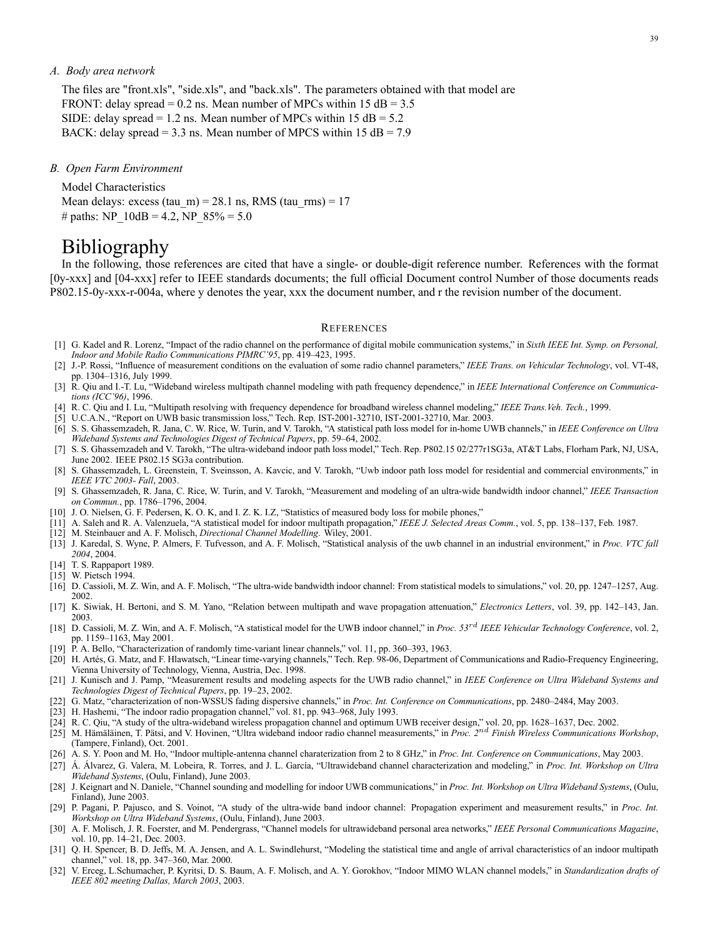### *A. Body area network*

The files are "front.xls", "side.xls", and "back.xls". The parameters obtained with that model are FRONT: delay spread =  $0.2$  ns. Mean number of MPCs within 15 dB =  $3.5$ SIDE: delay spread = 1.2 ns. Mean number of MPCs within  $15 dB = 5.2$ BACK: delay spread = 3.3 ns. Mean number of MPCS within 15 dB =  $7.9$ 

#### *B. Open Farm Environment*

Model Characteristics Mean delays: excess  $(tau_m) = 28.1$  ns, RMS  $(tau_{rms}) = 17$ # paths: NP\_10dB = 4.2, NP\_85% = 5.0

## Bibliography

In the following, those references are cited that have a single- or double-digit reference number. References with the format [0y-xxx] and [04-xxx] refer to IEEE standards documents; the full official Document control Number of those documents reads P802.15-0y-xxx-r-004a, where y denotes the year, xxx the document number, and r the revision number of the document.

#### **REFERENCES**

- [1] G. Kadel and R. Lorenz, "Impact of the radio channel on the performance of digital mobile communication systems," in *Sixth IEEE Int. Symp. on Personal, Indoor and Mobile Radio Communications PIMRC'95*, pp. 419–423, 1995.
- [2] J.-P. Rossi, "Influence of measurement conditions on the evaluation of some radio channel parameters," *IEEE Trans. on Vehicular Technology*, vol. VT-48, pp. 1304–1316, July 1999.
- [3] R. Qiu and I.-T. Lu, "Wideband wireless multipath channel modeling with path frequency dependence," in *IEEE International Conference on Communications (ICC'96)*, 1996.
- [4] R. C. Qiu and I. Lu, "Multipath resolving with frequency dependence for broadband wireless channel modeling," *IEEE Trans.Veh. Tech.*, 1999.
- [5] U.C.A.N., "Report on UWB basic transmission loss," Tech. Rep. IST-2001-32710, IST-2001-32710, Mar. 2003.
- [6] S. S. Ghassemzadeh, R. Jana, C. W. Rice, W. Turin, and V. Tarokh, "A statistical path loss model for in-home UWB channels," in *IEEE Conference on Ultra Wideband Systems and Technologies Digest of Technical Papers*, pp. 59–64, 2002.
- [7] S. S. Ghassemzadeh and V. Tarokh, "The ultra-wideband indoor path loss model," Tech. Rep. P802.15 02/277r1SG3a, AT&T Labs, Florham Park, NJ, USA, June 2002. IEEE P802.15 SG3a contribution.
- [8] S. Ghassemzadeh, L. Greenstein, T. Sveinsson, A. Kavcic, and V. Tarokh, "Uwb indoor path loss model for residential and commercial environments," in *IEEE VTC 2003- Fall*, 2003.
- [9] S. Ghassemzadeh, R. Jana, C. Rice, W. Turin, and V. Tarokh, "Measurement and modeling of an ultra-wide bandwidth indoor channel," *IEEE Transaction on Commun.*, pp. 1786–1796, 2004.
- [10] J. O. Nielsen, G. F. Pedersen, K. O. K, and I. Z. K. I.Z, "Statistics of measured body loss for mobile phones,"
- [11] A. Saleh and R. A. Valenzuela, "A statistical model for indoor multipath propagation," *IEEE J. Selected Areas Comm.*, vol. 5, pp. 138–137, Feb. 1987.
- [12] M. Steinbauer and A. F. Molisch, *Directional Channel Modelling*. Wiley, 2001.
- [13] J. Karedal, S. Wyne, P. Almers, F. Tufvesson, and A. F. Molisch, "Statistical analysis of the uwb channel in an industrial environment," in *Proc. VTC fall 2004*, 2004.
- [14] T. S. Rappaport 1989.
- [15] W. Pietsch 1994.
- $\left[16\right]$  D. Cassioli, M. Z. Win, and A. F. Molisch, "The ultra-wide bandwidth indoor channel: From statistical models to simulations," vol. 20, pp. 1247–1257, Aug. 2002.
- [17] K. Siwiak, H. Bertoni, and S. M. Yano, "Relation between multipath and wave propagation attenuation," *Electronics Letters*, vol. 39, pp. 142–143, Jan. 2003.
- [18] D. Cassioli, M. Z. Win, and A. F. Molisch, "A statistical model for the UWB indoor channel," in *Proc. 53*rd *IEEE Vehicular Technology Conference*, vol. 2, pp. 1159–1163, May 2001.
- [19] P. A. Bello, "Characterization of randomly time-variant linear channels," vol. 11, pp. 360–393, 1963.
- [20] H. Artés, G. Matz, and F. Hlawatsch, "Linear time-varying channels," Tech. Rep. 98-06, Department of Communications and Radio-Frequency Engineering, Vienna University of Technology, Vienna, Austria, Dec. 1998.
- [21] J. Kunisch and J. Pamp, "Measurement results and modeling aspects for the UWB radio channel," in *IEEE Conference on Ultra Wideband Systems and Technologies Digest of Technical Papers*, pp. 19–23, 2002.
- [22] G. Matz, "characterization of non-WSSUS fading dispersive channels," in *Proc. Int. Conference on Communications*, pp. 2480–2484, May 2003.
- [23] H. Hashemi, "The indoor radio propagation channel," vol. 81, pp. 943–968, July 1993.
- [24] R. C. Qiu, "A study of the ultra-wideband wireless propagation channel and optimum UWB receiver design," vol. 20, pp. 1628–1637, Dec. 2002.
- [25] M. Hämäläinen, T. Pätsi, and V. Hovinen, "Ultra wideband indoor radio channel measurements," in *Proc. 2*nd *Finish Wireless Communications Workshop*, (Tampere, Finland), Oct. 2001.
- [26] A. S. Y. Poon and M. Ho, "Indoor multiple-antenna channel charaterization from 2 to 8 GHz," in *Proc. Int. Conference on Communications*, May 2003.
- [27] Á. Álvarez, G. Valera, M. Lobeira, R. Torres, and J. L. García, "Ultrawideband channel characterization and modeling," in *Proc. Int. Workshop on Ultra Wideband Systems*, (Oulu, Finland), June 2003.
- [28] J. Keignart and N. Daniele, "Channel sounding and modelling for indoor UWB communications," in *Proc. Int. Workshop on Ultra Wideband Systems*, (Oulu, Finland), June 2003.
- [29] P. Pagani, P. Pajusco, and S. Voinot, "A study of the ultra-wide band indoor channel: Propagation experiment and measurement results," in *Proc. Int. Workshop on Ultra Wideband Systems*, (Oulu, Finland), June 2003.
- [30] A. F. Molisch, J. R. Foerster, and M. Pendergrass, "Channel models for ultrawideband personal area networks," *IEEE Personal Communications Magazine*, vol. 10, pp. 14–21, Dec. 2003.
- [31] Q. H. Spencer, B. D. Jeffs, M. A. Jensen, and A. L. Swindlehurst, "Modeling the statistical time and angle of arrival characteristics of an indoor multipath channel," vol. 18, pp. 347–360, Mar. 2000.
- [32] V. Erceg, L.Schumacher, P. Kyritsi, D. S. Baum, A. F. Molisch, and A. Y. Gorokhov, "Indoor MIMO WLAN channel models," in *Standardization drafts of IEEE 802 meeting Dallas, March 2003*, 2003.